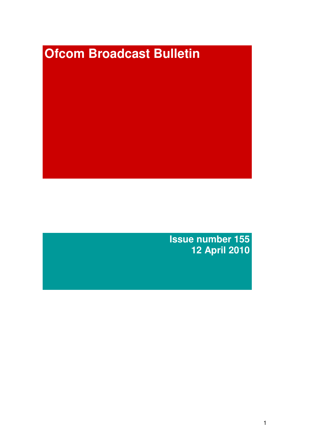# **Ofcom Broadcast Bulletin**

**Issue number 155 12 April 2010**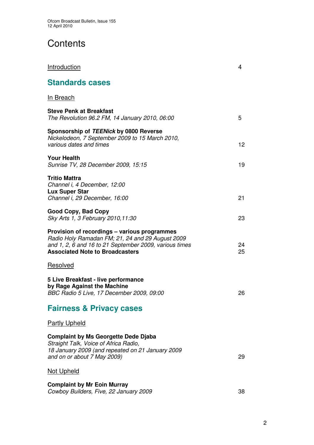# **Contents**

| <b>Introduction</b>                                                                                                                                                                                  | 4        |
|------------------------------------------------------------------------------------------------------------------------------------------------------------------------------------------------------|----------|
| <b>Standards cases</b>                                                                                                                                                                               |          |
| <b>In Breach</b>                                                                                                                                                                                     |          |
| <b>Steve Penk at Breakfast</b><br>The Revolution 96.2 FM, 14 January 2010, 06:00                                                                                                                     | 5        |
| Sponsorship of TEENick by 0800 Reverse<br>Nickelodeon, 7 September 2009 to 15 March 2010,<br>various dates and times                                                                                 | 12       |
| <b>Your Health</b><br>Sunrise TV, 28 December 2009, 15:15                                                                                                                                            | 19       |
| <b>Tritio Mattra</b><br>Channel i, 4 December, 12:00<br><b>Lux Super Star</b><br>Channel i, 29 December, 16:00                                                                                       | 21       |
| Good Copy, Bad Copy<br>Sky Arts 1, 3 February 2010, 11:30                                                                                                                                            | 23       |
| Provision of recordings - various programmes<br>Radio Holy Ramadan FM; 21, 24 and 29 August 2009<br>and 1, 2, 6 and 16 to 21 September 2009, various times<br><b>Associated Note to Broadcasters</b> | 24<br>25 |
| Resolved                                                                                                                                                                                             |          |
| 5 Live Breakfast - live performance<br>by Rage Against the Machine<br>BBC Radio 5 Live, 17 December 2009, 09:00                                                                                      | 26       |
| <b>Fairness &amp; Privacy cases</b>                                                                                                                                                                  |          |
| <b>Partly Upheld</b>                                                                                                                                                                                 |          |
| <b>Complaint by Ms Georgette Dede Djaba</b><br>Straight Talk, Voice of Africa Radio,<br>18 January 2009 (and repeated on 21 January 2009<br>and on or about 7 May 2009)                              | 29       |
| <b>Not Upheld</b>                                                                                                                                                                                    |          |
| <b>Complaint by Mr Eoin Murray</b><br>Cowboy Builders, Five, 22 January 2009                                                                                                                         | 38       |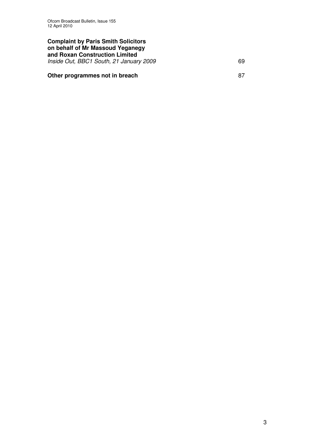**Complaint by Paris Smith Solicitors on behalf of Mr Massoud Yeganegy and Roxan Construction Limited** *Inside Out, BBC1 South, 21 January 2009* 69

## **Other programmes not in breach** 87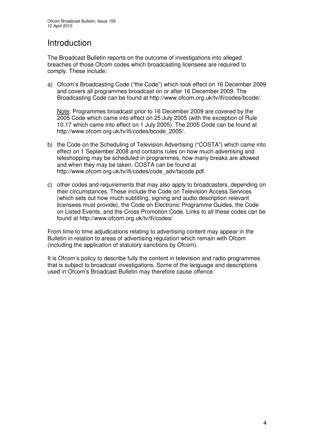# Introduction

The Broadcast Bulletin reports on the outcome of investigations into alleged breaches of those Ofcom codes which broadcasting licensees are required to comply. These include:

a) Ofcom's Broadcasting Code ("the Code") which took effect on 16 December 2009 and covers all programmes broadcast on or after 16 December 2009. The Broadcasting Code can be found at http://www.ofcom.org.uk/tv/ifi/codes/bcode/.

Note: Programmes broadcast prior to 16 December 2009 are covered by the 2005 Code which came into effect on 25 July 2005 (with the exception of Rule 10.17 which came into effect on 1 July 2005). The 2005 Code can be found at http://www.ofcom.org.uk/tv/ifi/codes/bcode\_2005/.

- b) the Code on the Scheduling of Television Advertising ("COSTA") which came into effect on 1 September 2008 and contains rules on how much advertising and teleshopping may be scheduled in programmes, how many breaks are allowed and when they may be taken. COSTA can be found at http://www.ofcom.org.uk/tv/ifi/codes/code\_adv/tacode.pdf.
- c) other codes and requirements that may also apply to broadcasters, depending on their circumstances. These include the Code on Television Access Services (which sets out how much subtitling, signing and audio description relevant licensees must provide), the Code on Electronic Programme Guides, the Code on Listed Events, and the Cross Promotion Code. Links to all these codes can be found at http://www.ofcom.org.uk/tv/ifi/codes/

From time to time adjudications relating to advertising content may appear in the Bulletin in relation to areas of advertising regulation which remain with Ofcom (including the application of statutory sanctions by Ofcom).

It is Ofcom's policy to describe fully the content in television and radio programmes that is subject to broadcast investigations. Some of the language and descriptions used in Ofcom's Broadcast Bulletin may therefore cause offence.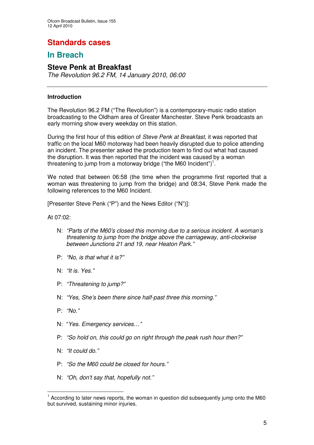# **Standards cases**

# **In Breach**

## **Steve Penk at Breakfast**

*The Revolution 96.2 FM, 14 January 2010, 06:00*

#### **Introduction**

The Revolution 96.2 FM ("The Revolution") is a contemporary-music radio station broadcasting to the Oldham area of Greater Manchester. Steve Penk broadcasts an early morning show every weekday on this station.

During the first hour of this edition of *Steve Penk at Breakfast,* it was reported that traffic on the local M60 motorway had been heavily disrupted due to police attending an incident. The presenter asked the production team to find out what had caused the disruption. It was then reported that the incident was caused by a woman threatening to jump from a motorway bridge ("the M60 Incident") $^1$ .

We noted that between 06:58 (the time when the programme first reported that a woman was threatening to jump from the bridge) and 08:34, Steve Penk made the following references to the M60 Incident.

[Presenter Steve Penk ("P") and the News Editor ("N")]:

At 07:02:

- N: *"Parts of the M60's closed this morning due to a serious incident. A woman's threatening to jump from the bridge above the carriageway, anti-clockwise between Junctions 21 and 19, near Heaton Park."*
- P: *"No, is that what it is?"*
- N: *"It is. Yes."*
- P: *"Threatening to jump?"*
- N: *"Yes, She's been there since half-past three this morning."*
- P: *"No."*
- N: "*Yes. Emergency services…"*
- P: *"So hold on, this could go on right through the peak rush hour then?"*
- N: *"It could do."*
- P: *"So the M60 could be closed for hours."*
- N: *"Oh, don't say that, hopefully not."*

<sup>&</sup>lt;sup>1</sup> According to later news reports, the woman in question did subsequently jump onto the M60 but survived, sustaining minor injuries.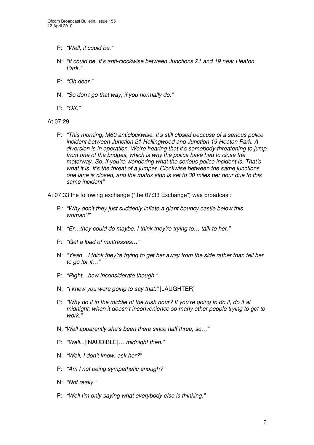- P: *"Well, it could be."*
- N: *"It could be. It's anti-clockwise between Junctions 21 and 19 near Heaton Park."*
- P: *"Oh dear."*
- N: *"So don't go that way, if you normally do."*
- P: *"OK."*

At 07:29

P: *"This morning, M60 anticlockwise. It's still closed because of a serious police incident between Junction 21 Hollingwood and Junction 19 Heaton Park. A diversion is in operation. We're hearing that it's somebody threatening to jump from one of the bridges, which is why the police have had to close the motorway. So, if you're wondering what the serious police incident is. That's what it is. It's the threat of a jumper. Clockwise between the same junctions one lane is closed, and the matrix sign is set to 30 miles per hour due to this same incident"*

At 07:33 the following exchange ("the 07:33 Exchange") was broadcast:

- P*: "Why don't they just suddenly inflate a giant bouncy castle below this woman?"*
- N: *"Er…they could do maybe. I think they're trying to… talk to her."*
- P: *"Get a load of mattresses…"*
- N: *"Yeah…I think they're trying to get her away from the side rather than tell her to go for it…"*
- P: *"Right…how inconsiderate though."*
- N: *"I knew you were going to say that."* [LAUGHTER]
- P: *"Why do it in the middle of the rush hour? If you're going to do it, do it at midnight, when it doesn't inconvenience so many other people trying to get to work."*
- N: *"Well apparently she's been there since half three, so…"*
- P: *"Well...*[INAUDIBLE]*… midnight then."*
- N: *"Well, I don't know, ask her?"*
- P: *"Am I not being sympathetic enough?"*
- N: *"Not really."*
- P: *"Well I'm only saying what everybody else is thinking."*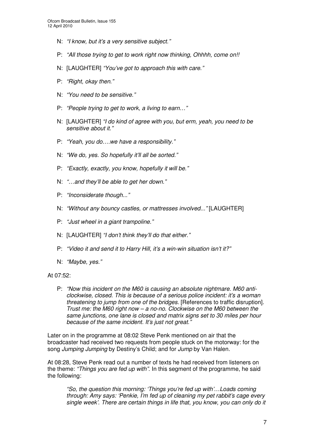- N: *"I know, but it's a very sensitive subject."*
- P: *"All those trying to get to work right now thinking, Ohhhh, come on!!*
- N: [LAUGHTER] *"You've got to approach this with care*.*"*
- P: *"Right, okay then."*
- N: *"You need to be sensitive."*
- P: *"People trying to get to work, a living to earn…"*
- N: [LAUGHTER] *"I do kind of agree with you, but erm, yeah, you need to be sensitive about it."*
- P: *"Yeah, you do….we have a responsibility."*
- N: *"We do, yes. So hopefully it'll all be sorted."*
- P: *"Exactly, exactly, you know, hopefully it will be."*
- N: *"…and they'll be able to get her down."*
- P: *"Inconsiderate though..."*
- N: *"Without any bouncy castles, or mattresses involved..."* [LAUGHTER]
- P: *"Just wheel in a giant trampoline."*
- N: [LAUGHTER] *"I don't think they'll do that either."*
- P: *"Video it and send it to Harry Hill, it's a win-win situation isn't it?"*
- N: *"Maybe, yes."*

At 07:52:

P: *"Now this incident on the M60 is causing an absolute nightmare. M60 anticlockwise, closed. This is because of a serious police incident: it's a woman threatening to jump from one of the bridges.* [References to traffic disruption]. *Trust me: the M60 right now – a no-no. Clockwise on the M60 between the same junctions, one lane is closed and matrix signs set to 30 miles per hour because of the same incident. It's just not great."*

Later on in the programme at 08:02 Steve Penk mentioned on air that the broadcaster had received two requests from people stuck on the motorway: for the song *Jumping Jumping* by Destiny's Child; and for *Jump* by Van Halen.

At 08:28, Steve Penk read out a number of texts he had received from listeners on the theme: *"Things you are fed up with"*. In this segment of the programme, he said the following:

*"So, the question this morning: 'Things you're fed up with'…Loads coming through: Amy says: 'Penkie, I'm fed up of cleaning my pet rabbit's cage every single week'. There are certain things in life that, you know, you can only do it*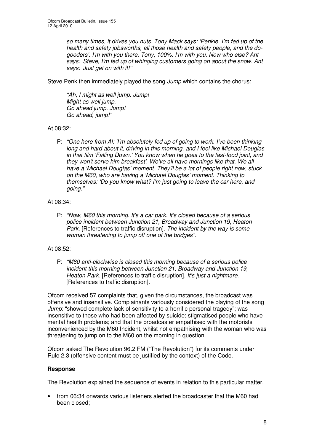*so many times, it drives you nuts. Tony Mack says: 'Penkie. I'm fed up of the health and safety jobsworths, all those health and safety people, and the dogooders'. I'm with you there, Tony, 100%. I'm with you. Now who else? Ant says: 'Steve, I'm fed up of whinging customers going on about the snow. Ant says: 'Just get on with it!'"*

Steve Penk then immediately played the song *Jump* which contains the chorus:

*"Ah, I might as well jump. Jump! Might as well jump. Go ahead jump. Jump! Go ahead, jump!"*

#### At 08:32:

P: *"One here from Al: 'I'm absolutely fed up of going to work. I've been thinking long and hard about it, driving in this morning, and I feel like Michael Douglas in that film 'Falling Down.' You know when he goes to the fast-food joint, and they won't serve him breakfast'. We've all have mornings like that. We all have a 'Michael Douglas' moment. They'll be a lot of people right now, stuck on the M60, who are having a 'Michael Douglas' moment. Thinking to themselves: 'Do you know what? I'm just going to leave the car here, and going."*

#### At 08:34:

P: *"Now, M60 this morning. It's a car park. It's closed because of a serious police incident between Junction 21, Broadway and Junction 19, Heaton Park.* [References to traffic disruption]. *The incident by the way is some woman threatening to jump off one of the bridges".*

#### At 08:52:

P: *"M60 anti-clockwise is closed this morning because of a serious police incident this morning between Junction 21, Broadway and Junction 19, Heaton Park.* [References to traffic disruption]. *It's just a nightmare.* [References to traffic disruption].

Ofcom received 57 complaints that, given the circumstances, the broadcast was offensive and insensitive. Complainants variously considered the playing of the song *Jump*: "showed complete lack of sensitivity to a horrific personal tragedy"; was insensitive to those who had been affected by suicide; stigmatised people who have mental health problems; and that the broadcaster empathised with the motorists inconvenienced by the M60 Incident, whilst not empathising with the woman who was threatening to jump on to the M60 on the morning in question.

Ofcom asked The Revolution 96.2 FM ("The Revolution") for its comments under Rule 2.3 (offensive content must be justified by the context) of the Code.

#### **Response**

The Revolution explained the sequence of events in relation to this particular matter.

• from 06:34 onwards various listeners alerted the broadcaster that the M60 had been closed;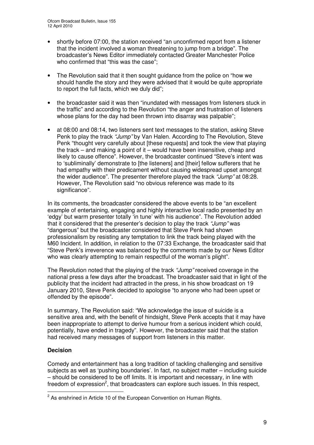- shortly before 07:00, the station received "an unconfirmed report from a listener that the incident involved a woman threatening to jump from a bridge". The broadcaster's News Editor immediately contacted Greater Manchester Police who confirmed that "this was the case";
- The Revolution said that it then sought guidance from the police on "how we should handle the story and they were advised that it would be quite appropriate to report the full facts, which we duly did";
- the broadcaster said it was then "inundated with messages from listeners stuck in the traffic" and according to the Revolution "the anger and frustration of listeners whose plans for the day had been thrown into disarray was palpable";
- at 08:00 and 08:14, two listeners sent text messages to the station, asking Steve Penk to play the track *"Jump"* by Van Halen. According to The Revolution, Steve Penk "thought very carefully about [these requests] and took the view that playing the track – and making a point of it – would have been insensitive, cheap and likely to cause offence". However, the broadcaster continued "Steve's intent was to 'subliminally' demonstrate to [the listeners] and [their] fellow sufferers that he had empathy with their predicament without causing widespread upset amongst the wider audience". The presenter therefore played the track *"Jump"* at 08:28. However, The Revolution said "no obvious reference was made to its significance".

In its comments, the broadcaster considered the above events to be "an excellent example of entertaining, engaging and highly interactive local radio presented by an 'edgy' but warm presenter totally 'in tune' with his audience". The Revolution added that it considered that the presenter's decision to play the track *"Jump"* was "dangerous" but the broadcaster considered that Steve Penk had shown professionalism by resisting any temptation to link the track being played with the M60 Incident. In addition, in relation to the 07:33 Exchange, the broadcaster said that "Steve Penk's irreverence was balanced by the comments made by our News Editor who was clearly attempting to remain respectful of the woman's plight".

The Revolution noted that the playing of the track *"Jump"* received coverage in the national press a few days after the broadcast. The broadcaster said that in light of the publicity that the incident had attracted in the press, in his show broadcast on 19 January 2010, Steve Penk decided to apologise "to anyone who had been upset or offended by the episode".

In summary, The Revolution said: "We acknowledge the issue of suicide is a sensitive area and, with the benefit of hindsight, Steve Penk accepts that it may have been inappropriate to attempt to derive humour from a serious incident which could, potentially, have ended in tragedy". However, the broadcaster said that the station had received many messages of support from listeners in this matter.

## **Decision**

Comedy and entertainment has a long tradition of tackling challenging and sensitive subjects as well as 'pushing boundaries'. In fact, no subject matter – including suicide – should be considered to be off limits. It is important and necessary, in line with freedom of expression<sup>2</sup>, that broadcasters can explore such issues. In this respect,

<sup>&</sup>lt;sup>2</sup> As enshrined in Article 10 of the European Convention on Human Rights.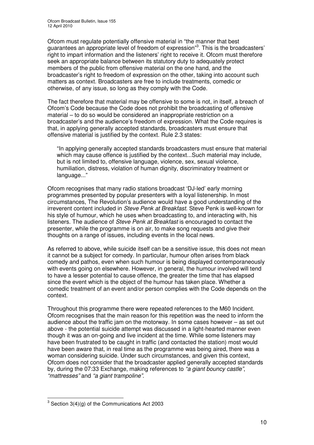Ofcom must regulate potentially offensive material in "the manner that best guarantees an appropriate level of freedom of expression"<sup>3</sup>. This is the broadcasters' right to impart information and the listeners' right to receive it. Ofcom must therefore seek an appropriate balance between its statutory duty to adequately protect members of the public from offensive material on the one hand, and the broadcaster's right to freedom of expression on the other, taking into account such matters as context. Broadcasters are free to include treatments, comedic or otherwise, of any issue, so long as they comply with the Code.

The fact therefore that material may be offensive to some is not, in itself, a breach of Ofcom's Code because the Code does not prohibit the broadcasting of offensive material – to do so would be considered an inappropriate restriction on a broadcaster's and the audience's freedom of expression. What the Code requires is that, in applying generally accepted standards, broadcasters must ensure that offensive material is justified by the context. Rule 2.3 states:

"In applying generally accepted standards broadcasters must ensure that material which may cause offence is justified by the context...Such material may include, but is not limited to, offensive language, violence, sex, sexual violence, humiliation, distress, violation of human dignity, discriminatory treatment or language..."

Ofcom recognises that many radio stations broadcast 'DJ-led' early morning programmes presented by popular presenters with a loyal listenership. In most circumstances, The Revolution's audience would have a good understanding of the irreverent content included in *Steve Penk at Breakfast*. Steve Penk is well-known for his style of humour, which he uses when broadcasting to, and interacting with, his listeners. The audience of *Steve Penk at Breakfast* is encouraged to contact the presenter, while the programme is on air, to make song requests and give their thoughts on a range of issues, including events in the local news.

As referred to above, while suicide itself can be a sensitive issue, this does not mean it cannot be a subject for comedy. In particular, humour often arises from black comedy and pathos, even when such humour is being displayed contemporaneously with events going on elsewhere. However, in general, the humour involved will tend to have a lesser potential to cause offence, the greater the time that has elapsed since the event which is the object of the humour has taken place. Whether a comedic treatment of an event and/or person complies with the Code depends on the context.

Throughout this programme there were repeated references to the M60 Incident. Ofcom recognises that the main reason for this repetition was the need to inform the audience about the traffic jam on the motorway. In some cases however – as set out above - the potential suicide attempt was discussed in a light-hearted manner even though it was an on-going and live incident at the time. While some listeners may have been frustrated to be caught in traffic (and contacted the station) most would have been aware that, in real time as the programme was being aired, there was a woman considering suicide. Under such circumstances, and given this context, Ofcom does not consider that the broadcaster applied generally accepted standards by, during the 07:33 Exchange, making references to *"a giant bouncy castle"*, *"mattresses"* and *"a giant trampoline"*.

 $3$  Section 3(4)(g) of the Communications Act 2003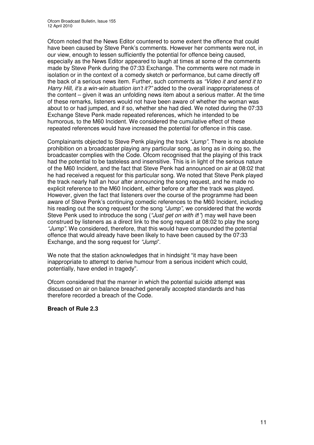Ofcom noted that the News Editor countered to some extent the offence that could have been caused by Steve Penk's comments. However her comments were not, in our view, enough to lessen sufficiently the potential for offence being caused, especially as the News Editor appeared to laugh at times at some of the comments made by Steve Penk during the 07:33 Exchange. The comments were not made in isolation or in the context of a comedy sketch or performance, but came directly off the back of a serious news item. Further, such comments as *"Video it and send it to Harry Hill, it's a win-win situation isn't it?"* added to the overall inappropriateness of the content – given it was an unfolding news item about a serious matter. At the time of these remarks, listeners would not have been aware of whether the woman was about to or had jumped, and if so, whether she had died. We noted during the 07:33 Exchange Steve Penk made repeated references, which he intended to be humorous, to the M60 Incident. We considered the cumulative effect of these repeated references would have increased the potential for offence in this case.

Complainants objected to Steve Penk playing the track *"Jump"*. There is no absolute prohibition on a broadcaster playing any particular song, as long as in doing so, the broadcaster complies with the Code. Ofcom recognised that the playing of this track had the potential to be tasteless and insensitive. This is in light of the serious nature of the M60 Incident, and the fact that Steve Penk had announced on air at 08:02 that he had received a request for this particular song. We noted that Steve Penk played the track nearly half an hour after announcing the song request, and he made no explicit reference to the M60 Incident, either before or after the track was played. However, given the fact that listeners over the course of the programme had been aware of Steve Penk's continuing comedic references to the M60 Incident, including his reading out the song request for the song *"Jump"*, we considered that the words Steve Penk used to introduce the song (*"Just get on with it*!*"*) may well have been construed by listeners as a direct link to the song request at 08:02 to play the song *"Jump"*. We considered, therefore, that this would have compounded the potential offence that would already have been likely to have been caused by the 07:33 Exchange, and the song request for *"Jump*".

We note that the station acknowledges that in hindsight "it may have been inappropriate to attempt to derive humour from a serious incident which could, potentially, have ended in tragedy".

Ofcom considered that the manner in which the potential suicide attempt was discussed on air on balance breached generally accepted standards and has therefore recorded a breach of the Code.

#### **Breach of Rule 2.3**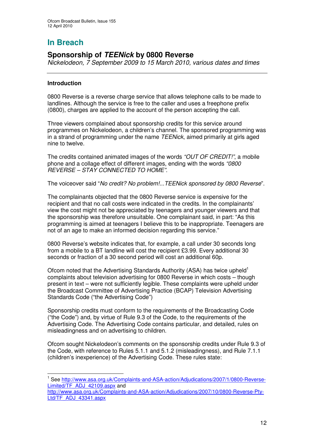# **In Breach**

## **Sponsorship of** *TEENick* **by 0800 Reverse**

*Nickelodeon, 7 September 2009 to 15 March 2010, various dates and times*

#### **Introduction**

0800 Reverse is a reverse charge service that allows telephone calls to be made to landlines. Although the service is free to the caller and uses a freephone prefix (0800), charges are applied to the account of the person accepting the call.

Three viewers complained about sponsorship credits for this service around programmes on Nickelodeon, a children's channel. The sponsored programming was in a strand of programming under the name *TEENick*, aimed primarily at girls aged nine to twelve.

The credits contained animated images of the words *"OUT OF CREDIT!"*, a mobile phone and a collage effect of different images, ending with the words *"0800 REVERSE – STAY CONNECTED TO HOME".*

The voiceover said "*No credit? No problem!...TEENick sponsored by 0800 Reverse*".

The complainants objected that the 0800 Reverse service is expensive for the recipient and that no call costs were indicated in the credits. In the complainants' view the cost might not be appreciated by teenagers and younger viewers and that the sponsorship was therefore unsuitable. One complainant said, in part: "As this programming is aimed at teenagers I believe this to be inappropriate. Teenagers are not of an age to make an informed decision regarding this service."

0800 Reverse's website indicates that, for example, a call under 30 seconds long from a mobile to a BT landline will cost the recipient £3.99. Every additional 30 seconds or fraction of a 30 second period will cost an additional 60p.

Ofcom noted that the Advertising Standards Authority (ASA) has twice upheld<sup>1</sup> complaints about television advertising for 0800 Reverse in which costs – though present in text – were not sufficiently legible. These complaints were upheld under the Broadcast Committee of Advertising Practice (BCAP) Television Advertising Standards Code ("the Advertising Code")

Sponsorship credits must conform to the requirements of the Broadcasting Code ("the Code") and, by virtue of Rule 9.3 of the Code, to the requirements of the Advertising Code. The Advertising Code contains particular, and detailed, rules on misleadingness and on advertising to children.

Ofcom sought Nickelodeon's comments on the sponsorship credits under Rule 9.3 of the Code, with reference to Rules 5.1.1 and 5.1.2 (misleadingness), and Rule 7.1.1 (children's inexperience) of the Advertising Code. These rules state:

<sup>1</sup> See http://www.asa.org.uk/Complaints-and-ASA-action/Adjudications/2007/1/0800-Reverse-Limited/TF\_ADJ\_42109.aspx and

http://www.asa.org.uk/Complaints-and-ASA-action/Adjudications/2007/10/0800-Reverse-Pty-Ltd/TF\_ADJ\_43341.aspx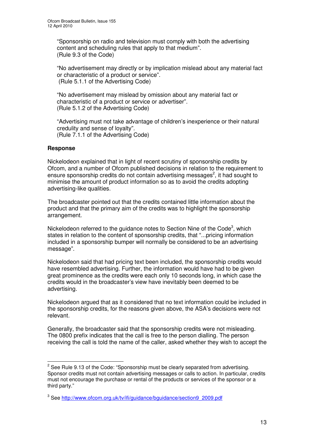"Sponsorship on radio and television must comply with both the advertising content and scheduling rules that apply to that medium". (Rule 9.3 of the Code)

"No advertisement may directly or by implication mislead about any material fact or characteristic of a product or service". (Rule 5.1.1 of the Advertising Code)

"No advertisement may mislead by omission about any material fact or characteristic of a product or service or advertiser". (Rule 5.1.2 of the Advertising Code)

"Advertising must not take advantage of children's inexperience or their natural credulity and sense of loyalty". (Rule 7.1.1 of the Advertising Code)

#### **Response**

Nickelodeon explained that in light of recent scrutiny of sponsorship credits by Ofcom, and a number of Ofcom published decisions in relation to the requirement to ensure sponsorship credits do not contain advertising messages<sup>2</sup>, it had sought to minimise the amount of product information so as to avoid the credits adopting advertising-like qualities.

The broadcaster pointed out that the credits contained little information about the product and that the primary aim of the credits was to highlight the sponsorship arrangement.

Nickelodeon referred to the guidance notes to Section Nine of the Code<sup>3</sup>, which states in relation to the content of sponsorship credits, that "...pricing information included in a sponsorship bumper will normally be considered to be an advertising message".

Nickelodeon said that had pricing text been included, the sponsorship credits would have resembled advertising. Further, the information would have had to be given great prominence as the credits were each only 10 seconds long, in which case the credits would in the broadcaster's view have inevitably been deemed to be advertising.

Nickelodeon argued that as it considered that no text information could be included in the sponsorship credits, for the reasons given above, the ASA's decisions were not relevant.

Generally, the broadcaster said that the sponsorship credits were not misleading. The 0800 prefix indicates that the call is free to the person dialling. The person receiving the call is told the name of the caller, asked whether they wish to accept the

 $2$  See Rule 9.13 of the Code: "Sponsorship must be clearly separated from advertising. Sponsor credits must not contain advertising messages or calls to action. In particular, credits must not encourage the purchase or rental of the products or services of the sponsor or a third party."

<sup>&</sup>lt;sup>3</sup> See http://www.ofcom.org.uk/tv/ifi/guidance/bguidance/section9\_2009.pdf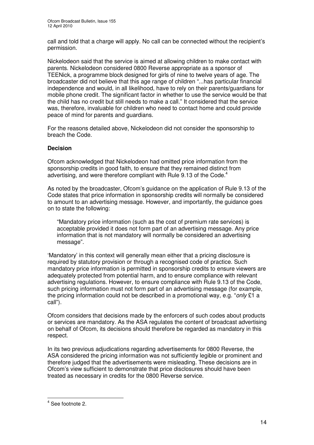call and told that a charge will apply. No call can be connected without the recipient's permission.

Nickelodeon said that the service is aimed at allowing children to make contact with parents. Nickelodeon considered 0800 Reverse appropriate as a sponsor of TEENick, a programme block designed for girls of nine to twelve years of age. The broadcaster did not believe that this age range of children "...has particular financial independence and would, in all likelihood, have to rely on their parents/guardians for mobile phone credit. The significant factor in whether to use the service would be that the child has no credit but still needs to make a call." It considered that the service was, therefore, invaluable for children who need to contact home and could provide peace of mind for parents and guardians.

For the reasons detailed above, Nickelodeon did not consider the sponsorship to breach the Code.

#### **Decision**

Ofcom acknowledged that Nickelodeon had omitted price information from the sponsorship credits in good faith, to ensure that they remained distinct from advertising, and were therefore compliant with Rule 9.13 of the Code. 4

As noted by the broadcaster, Ofcom's guidance on the application of Rule 9.13 of the Code states that price information in sponsorship credits will normally be considered to amount to an advertising message. However, and importantly, the guidance goes on to state the following:

"Mandatory price information (such as the cost of premium rate services) is acceptable provided it does not form part of an advertising message. Any price information that is not mandatory will normally be considered an advertising message".

'Mandatory' in this context will generally mean either that a pricing disclosure is required by statutory provision or through a recognised code of practice. Such mandatory price information is permitted in sponsorship credits to ensure viewers are adequately protected from potential harm, and to ensure compliance with relevant advertising regulations. However, to ensure compliance with Rule 9.13 of the Code, such pricing information must not form part of an advertising message (for example, the pricing information could not be described in a promotional way, e.g. "*only* £1 a call").

Ofcom considers that decisions made by the enforcers of such codes about products or services are mandatory. As the ASA regulates the content of broadcast advertising on behalf of Ofcom, its decisions should therefore be regarded as mandatory in this respect.

In its two previous adjudications regarding advertisements for 0800 Reverse, the ASA considered the pricing information was not sufficiently legible or prominent and therefore judged that the advertisements were misleading. These decisions are in Ofcom's view sufficient to demonstrate that price disclosures should have been treated as necessary in credits for the 0800 Reverse service.

<sup>&</sup>lt;sup>4</sup> See footnote 2.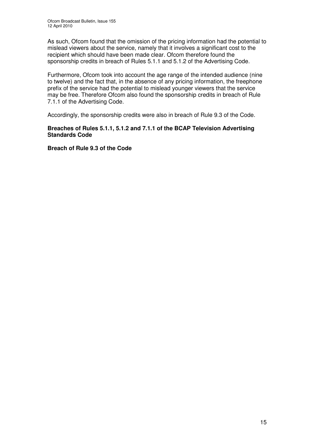As such, Ofcom found that the omission of the pricing information had the potential to mislead viewers about the service, namely that it involves a significant cost to the recipient which should have been made clear. Ofcom therefore found the sponsorship credits in breach of Rules 5.1.1 and 5.1.2 of the Advertising Code.

Furthermore, Ofcom took into account the age range of the intended audience (nine to twelve) and the fact that, in the absence of any pricing information, the freephone prefix of the service had the potential to mislead younger viewers that the service may be free. Therefore Ofcom also found the sponsorship credits in breach of Rule 7.1.1 of the Advertising Code.

Accordingly, the sponsorship credits were also in breach of Rule 9.3 of the Code.

#### **Breaches of Rules 5.1.1, 5.1.2 and 7.1.1 of the BCAP Television Advertising Standards Code**

**Breach of Rule 9.3 of the Code**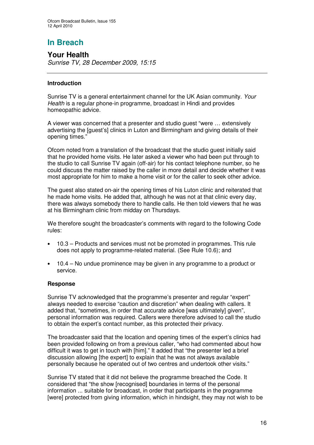# **In Breach**

**Your Health** *Sunrise TV, 28 December 2009, 15:15*

#### **Introduction**

Sunrise TV is a general entertainment channel for the UK Asian community. *Your Health* is a regular phone-in programme, broadcast in Hindi and provides homeopathic advice.

A viewer was concerned that a presenter and studio guest "were … extensively advertising the [guest's] clinics in Luton and Birmingham and giving details of their opening times."

Ofcom noted from a translation of the broadcast that the studio guest initially said that he provided home visits. He later asked a viewer who had been put through to the studio to call Sunrise TV again (off-air) for his contact telephone number, so he could discuss the matter raised by the caller in more detail and decide whether it was most appropriate for him to make a home visit or for the caller to seek other advice.

The guest also stated on-air the opening times of his Luton clinic and reiterated that he made home visits. He added that, although he was not at that clinic every day, there was always somebody there to handle calls. He then told viewers that he was at his Birmingham clinic from midday on Thursdays.

We therefore sought the broadcaster's comments with regard to the following Code rules:

- 10.3 Products and services must not be promoted in programmes. This rule does not apply to programme-related material. (See Rule 10.6); and
- 10.4 No undue prominence may be given in any programme to a product or service.

#### **Response**

Sunrise TV acknowledged that the programme's presenter and regular "expert" always needed to exercise "caution and discretion" when dealing with callers. It added that, "sometimes, in order that accurate advice [was ultimately] given", personal information was required. Callers were therefore advised to call the studio to obtain the expert's contact number, as this protected their privacy.

The broadcaster said that the location and opening times of the expert's clinics had been provided following on from a previous caller, "who had commented about how difficult it was to get in touch with [him]." It added that "the presenter led a brief discussion allowing [the expert] to explain that he was not always available personally because he operated out of two centres and undertook other visits."

Sunrise TV stated that it did not believe the programme breached the Code. It considered that "the show [recognised] boundaries in terms of the personal information ... suitable for broadcast, in order that participants in the programme [were] protected from giving information, which in hindsight, they may not wish to be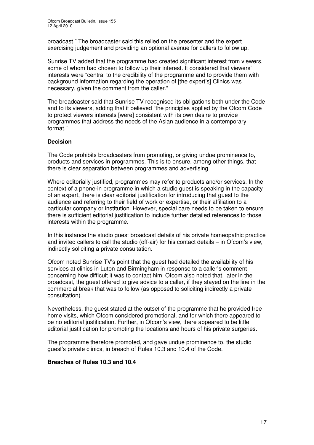broadcast." The broadcaster said this relied on the presenter and the expert exercising judgement and providing an optional avenue for callers to follow up.

Sunrise TV added that the programme had created significant interest from viewers, some of whom had chosen to follow up their interest. It considered that viewers' interests were "central to the credibility of the programme and to provide them with background information regarding the operation of [the expert's] Clinics was necessary, given the comment from the caller."

The broadcaster said that Sunrise TV recognised its obligations both under the Code and to its viewers, adding that it believed "the principles applied by the Ofcom Code to protect viewers interests [were] consistent with its own desire to provide programmes that address the needs of the Asian audience in a contemporary format."

#### **Decision**

The Code prohibits broadcasters from promoting, or giving undue prominence to, products and services in programmes. This is to ensure, among other things, that there is clear separation between programmes and advertising.

Where editorially justified, programmes may refer to products and/or services. In the context of a phone-in programme in which a studio guest is speaking in the capacity of an expert, there is clear editorial justification for introducing that guest to the audience and referring to their field of work or expertise, or their affiliation to a particular company or institution. However, special care needs to be taken to ensure there is sufficient editorial justification to include further detailed references to those interests within the programme.

In this instance the studio guest broadcast details of his private homeopathic practice and invited callers to call the studio (off-air) for his contact details – in Ofcom's view, indirectly soliciting a private consultation.

Ofcom noted Sunrise TV's point that the guest had detailed the availability of his services at clinics in Luton and Birmingham in response to a caller's comment concerning how difficult it was to contact him. Ofcom also noted that, later in the broadcast, the guest offered to give advice to a caller, if they stayed on the line in the commercial break that was to follow (as opposed to soliciting indirectly a private consultation).

Nevertheless, the guest stated at the outset of the programme that he provided free home visits, which Ofcom considered promotional, and for which there appeared to be no editorial justification. Further, in Ofcom's view, there appeared to be little editorial justification for promoting the locations and hours of his private surgeries.

The programme therefore promoted, and gave undue prominence to, the studio guest's private clinics, in breach of Rules 10.3 and 10.4 of the Code.

#### **Breaches of Rules 10.3 and 10.4**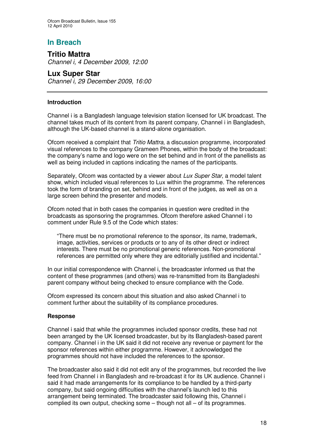Ofcom Broadcast Bulletin, Issue 155 12 April 2010

## **In Breach**

## **Tritio Mattra**

*Channel i, 4 December 2009, 12:00*

## **Lux Super Star**

*Channel i, 29 December 2009, 16:00*

#### **Introduction**

Channel i is a Bangladesh language television station licensed for UK broadcast. The channel takes much of its content from its parent company, Channel i in Bangladesh, although the UK-based channel is a stand-alone organisation.

Ofcom received a complaint that *Tritio Mattra*, a discussion programme, incorporated visual references to the company Grameen Phones, within the body of the broadcast: the company's name and logo were on the set behind and in front of the panellists as well as being included in captions indicating the names of the participants.

Separately, Ofcom was contacted by a viewer about *Lux Super Star*, a model talent show, which included visual references to Lux within the programme. The references took the form of branding on set, behind and in front of the judges, as well as on a large screen behind the presenter and models.

Ofcom noted that in both cases the companies in question were credited in the broadcasts as sponsoring the programmes. Ofcom therefore asked Channel i to comment under Rule 9.5 of the Code which states:

"There must be no promotional reference to the sponsor, its name, trademark, image, activities, services or products or to any of its other direct or indirect interests. There must be no promotional generic references. Non-promotional references are permitted only where they are editorially justified and incidental."

In our initial correspondence with Channel i, the broadcaster informed us that the content of these programmes (and others) was re-transmitted from its Bangladeshi parent company without being checked to ensure compliance with the Code.

Ofcom expressed its concern about this situation and also asked Channel i to comment further about the suitability of its compliance procedures.

#### **Response**

Channel i said that while the programmes included sponsor credits, these had not been arranged by the UK licensed broadcaster, but by its Bangladesh-based parent company. Channel i in the UK said it did not receive any revenue or payment for the sponsor references within either programme. However, it acknowledged the programmes should not have included the references to the sponsor.

The broadcaster also said it did not edit any of the programmes, but recorded the live feed from Channel i in Bangladesh and re-broadcast it for its UK audience. Channel i said it had made arrangements for its compliance to be handled by a third-party company, but said ongoing difficulties with the channel's launch led to this arrangement being terminated. The broadcaster said following this, Channel i complied its own output, checking some – though not all – of its programmes.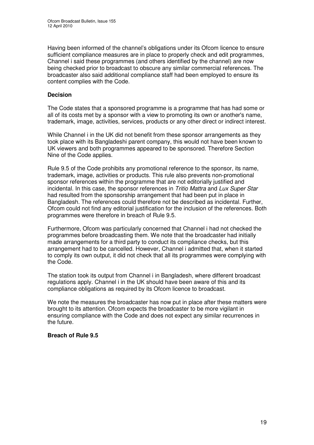Having been informed of the channel's obligations under its Ofcom licence to ensure sufficient compliance measures are in place to properly check and edit programmes, Channel i said these programmes (and others identified by the channel) are now being checked prior to broadcast to obscure any similar commercial references. The broadcaster also said additional compliance staff had been employed to ensure its content complies with the Code.

#### **Decision**

The Code states that a sponsored programme is a programme that has had some or all of its costs met by a sponsor with a view to promoting its own or another's name, trademark, image, activities, services, products or any other direct or indirect interest.

While Channel i in the UK did not benefit from these sponsor arrangements as they took place with its Bangladeshi parent company, this would not have been known to UK viewers and both programmes appeared to be sponsored. Therefore Section Nine of the Code applies.

Rule 9.5 of the Code prohibits any promotional reference to the sponsor, its name, trademark, image, activities or products. This rule also prevents non-promotional sponsor references within the programme that are not editorially justified and incidental. In this case, the sponsor references in *Tritio Mattra* and *Lux Super Star* had resulted from the sponsorship arrangement that had been put in place in Bangladesh. The references could therefore not be described as incidental. Further, Ofcom could not find any editorial justification for the inclusion of the references. Both programmes were therefore in breach of Rule 9.5.

Furthermore, Ofcom was particularly concerned that Channel i had not checked the programmes before broadcasting them. We note that the broadcaster had initially made arrangements for a third party to conduct its compliance checks, but this arrangement had to be cancelled. However, Channel i admitted that, when it started to comply its own output, it did not check that all its programmes were complying with the Code.

The station took its output from Channel i in Bangladesh, where different broadcast regulations apply. Channel i in the UK should have been aware of this and its compliance obligations as required by its Ofcom licence to broadcast.

We note the measures the broadcaster has now put in place after these matters were brought to its attention. Ofcom expects the broadcaster to be more vigilant in ensuring compliance with the Code and does not expect any similar recurrences in the future.

#### **Breach of Rule 9.5**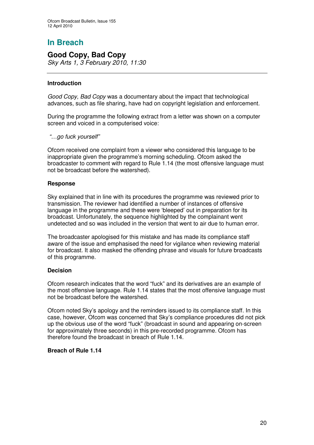# **In Breach**

**Good Copy, Bad Copy** *Sky Arts 1, 3 February 2010, 11:30*

#### **Introduction**

*Good Copy, Bad Copy* was a documentary about the impact that technological advances, such as file sharing, have had on copyright legislation and enforcement.

During the programme the following extract from a letter was shown on a computer screen and voiced in a computerised voice:

*"…go fuck yourself"*

Ofcom received one complaint from a viewer who considered this language to be inappropriate given the programme's morning scheduling. Ofcom asked the broadcaster to comment with regard to Rule 1.14 (the most offensive language must not be broadcast before the watershed).

#### **Response**

Sky explained that in line with its procedures the programme was reviewed prior to transmission. The reviewer had identified a number of instances of offensive language in the programme and these were 'bleeped' out in preparation for its broadcast. Unfortunately, the sequence highlighted by the complainant went undetected and so was included in the version that went to air due to human error.

The broadcaster apologised for this mistake and has made its compliance staff aware of the issue and emphasised the need for vigilance when reviewing material for broadcast. It also masked the offending phrase and visuals for future broadcasts of this programme.

#### **Decision**

Ofcom research indicates that the word "fuck" and its derivatives are an example of the most offensive language. Rule 1.14 states that the most offensive language must not be broadcast before the watershed.

Ofcom noted Sky's apology and the reminders issued to its compliance staff. In this case, however, Ofcom was concerned that Sky's compliance procedures did not pick up the obvious use of the word "fuck" (broadcast in sound and appearing on-screen for approximately three seconds) in this pre-recorded programme. Ofcom has therefore found the broadcast in breach of Rule 1.14.

#### **Breach of Rule 1.14**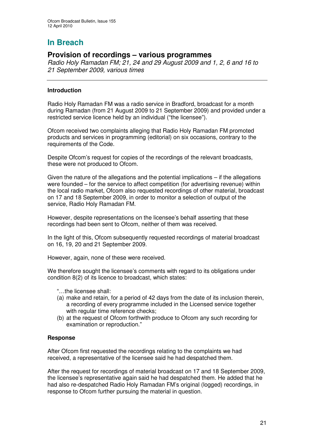# **In Breach**

## **Provision of recordings – various programmes**

*Radio Holy Ramadan FM; 21, 24 and 29 August 2009 and 1, 2, 6 and 16 to 21 September 2009, various times*

#### **Introduction**

Radio Holy Ramadan FM was a radio service in Bradford, broadcast for a month during Ramadan (from 21 August 2009 to 21 September 2009) and provided under a restricted service licence held by an individual ("the licensee").

Ofcom received two complaints alleging that Radio Holy Ramadan FM promoted products and services in programming (editorial) on six occasions, contrary to the requirements of the Code.

Despite Ofcom's request for copies of the recordings of the relevant broadcasts, these were not produced to Ofcom.

Given the nature of the allegations and the potential implications – if the allegations were founded – for the service to affect competition (for advertising revenue) within the local radio market, Ofcom also requested recordings of other material, broadcast on 17 and 18 September 2009, in order to monitor a selection of output of the service, Radio Holy Ramadan FM.

However, despite representations on the licensee's behalf asserting that these recordings had been sent to Ofcom, neither of them was received.

In the light of this, Ofcom subsequently requested recordings of material broadcast on 16, 19, 20 and 21 September 2009.

However, again, none of these were received.

We therefore sought the licensee's comments with regard to its obligations under condition 8(2) of its licence to broadcast, which states:

- "…the licensee shall:
- (a) make and retain, for a period of 42 days from the date of its inclusion therein, a recording of every programme included in the Licensed service together with regular time reference checks:
- (b) at the request of Ofcom forthwith produce to Ofcom any such recording for examination or reproduction."

#### **Response**

After Ofcom first requested the recordings relating to the complaints we had received, a representative of the licensee said he had despatched them.

After the request for recordings of material broadcast on 17 and 18 September 2009, the licensee's representative again said he had despatched them. He added that he had also re-despatched Radio Holy Ramadan FM's original (logged) recordings, in response to Ofcom further pursuing the material in question.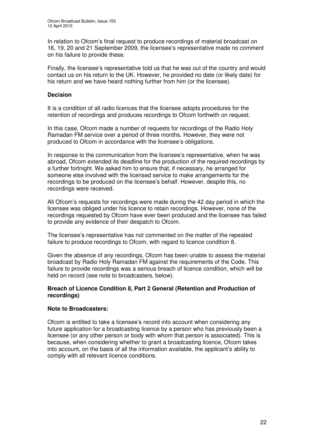In relation to Ofcom's final request to produce recordings of material broadcast on 16, 19, 20 and 21 September 2009, the licensee's representative made no comment on his failure to provide these.

Finally, the licensee's representative told us that he was out of the country and would contact us on his return to the UK. However, he provided no date (or likely date) for his return and we have heard nothing further from him (or the licensee).

#### **Decision**

It is a condition of all radio licences that the licensee adopts procedures for the retention of recordings and produces recordings to Ofcom forthwith on request.

In this case, Ofcom made a number of requests for recordings of the Radio Holy Ramadan FM service over a period of three months. However, they were not produced to Ofcom in accordance with the licensee's obligations.

In response to the communication from the licensee's representative, when he was abroad, Ofcom extended its deadline for the production of the required recordings by a further fortnight. We asked him to ensure that, if necessary, he arranged for someone else involved with the licensed service to make arrangements for the recordings to be produced on the licensee's behalf. However, despite this, no recordings were received.

All Ofcom's requests for recordings were made during the 42 day period in which the licensee was obliged under his licence to retain recordings. However, none of the recordings requested by Ofcom have ever been produced and the licensee has failed to provide any evidence of their despatch to Ofcom.

The licensee's representative has not commented on the matter of the repeated failure to produce recordings to Ofcom, with regard to licence condition 8.

Given the absence of any recordings, Ofcom has been unable to assess the material broadcast by Radio Holy Ramadan FM against the requirements of the Code. This failure to provide recordings was a serious breach of licence condition, which will be held on record (see note to broadcasters, below).

#### **Breach of Licence Condition 8, Part 2 General (Retention and Production of recordings)**

#### **Note to Broadcasters:**

Ofcom is entitled to take a licensee's record into account when considering any future application for a broadcasting licence by a person who has previously been a licensee (or any other person or body with whom that person is associated). This is because, when considering whether to grant a broadcasting licence, Ofcom takes into account, on the basis of all the information available, the applicant's ability to comply with all relevant licence conditions.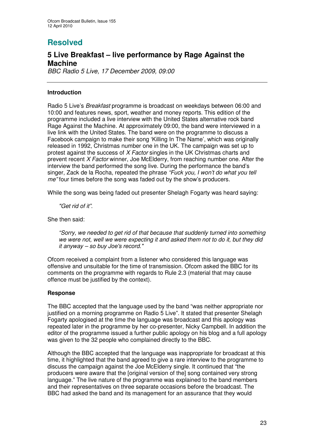# **Resolved**

## **5 Live Breakfast – live performance by Rage Against the Machine**

*BBC Radio 5 Live, 17 December 2009, 09:00*

#### **Introduction**

Radio 5 Live's *Breakfast* programme is broadcast on weekdays between 06:00 and 10:00 and features news, sport, weather and money reports. This edition of the programme included a live interview with the United States alternative rock band Rage Against the Machine. At approximately 09:00, the band were interviewed in a live link with the United States. The band were on the programme to discuss a Facebook campaign to make their song 'Killing In The Name', which was originally released in 1992, Christmas number one in the UK. The campaign was set up to protest against the success of *X Factor* singles in the UK Christmas charts and prevent recent *X Factor* winner, Joe McElderry, from reaching number one. After the interview the band performed the song live. During the performance the band's singer, Zack de la Rocha, repeated the phrase *"Fuck you, I won't do what you tell me"* four times before the song was faded out by the show's producers.

While the song was being faded out presenter Shelagh Fogarty was heard saying:

*"Get rid of it".*

She then said:

*"Sorry, we needed to get rid of that because that suddenly turned into something we were not, well we were expecting it and asked them not to do it, but they did it anyway – so buy Joe's record."*

Ofcom received a complaint from a listener who considered this language was offensive and unsuitable for the time of transmission. Ofcom asked the BBC for its comments on the programme with regards to Rule 2.3 (material that may cause offence must be justified by the context).

#### **Response**

The BBC accepted that the language used by the band "was neither appropriate nor justified on a morning programme on Radio 5 Live". It stated that presenter Shelagh Fogarty apologised at the time the language was broadcast and this apology was repeated later in the programme by her co-presenter, Nicky Campbell. In addition the editor of the programme issued a further public apology on his blog and a full apology was given to the 32 people who complained directly to the BBC.

Although the BBC accepted that the language was inappropriate for broadcast at this time, it highlighted that the band agreed to give a rare interview to the programme to discuss the campaign against the Joe McElderry single. It continued that "the producers were aware that the [original version of the] song contained very strong language." The live nature of the programme was explained to the band members and their representatives on three separate occasions before the broadcast. The BBC had asked the band and its management for an assurance that they would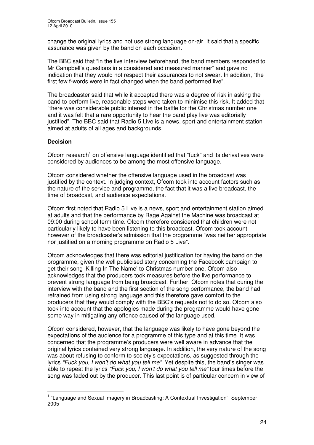change the original lyrics and not use strong language on-air. It said that a specific assurance was given by the band on each occasion.

The BBC said that "in the live interview beforehand, the band members responded to Mr Campbell's questions in a considered and measured manner" and gave no indication that they would not respect their assurances to not swear. In addition, "the first few f-words were in fact changed when the band performed live".

The broadcaster said that while it accepted there was a degree of risk in asking the band to perform live, reasonable steps were taken to minimise this risk. It added that "there was considerable public interest in the battle for the Christmas number one and it was felt that a rare opportunity to hear the band play live was editorially justified". The BBC said that Radio 5 Live is a news, sport and entertainment station aimed at adults of all ages and backgrounds.

#### **Decision**

Ofcom research<sup>1</sup> on offensive language identified that "fuck" and its derivatives were considered by audiences to be among the most offensive language.

Ofcom considered whether the offensive language used in the broadcast was justified by the context. In judging context, Ofcom took into account factors such as the nature of the service and programme, the fact that it was a live broadcast, the time of broadcast, and audience expectations.

Ofcom first noted that Radio 5 Live is a news, sport and entertainment station aimed at adults and that the performance by Rage Against the Machine was broadcast at 09:00 during school term time. Ofcom therefore considered that children were not particularly likely to have been listening to this broadcast. Ofcom took account however of the broadcaster's admission that the programme "was neither appropriate nor justified on a morning programme on Radio 5 Live".

Ofcom acknowledges that there was editorial justification for having the band on the programme, given the well publicised story concerning the Facebook campaign to get their song 'Killing In The Name' to Christmas number one. Ofcom also acknowledges that the producers took measures before the live performance to prevent strong language from being broadcast. Further, Ofcom notes that during the interview with the band and the first section of the song performance, the band had refrained from using strong language and this therefore gave comfort to the producers that they would comply with the BBC's requests not to do so. Ofcom also took into account that the apologies made during the programme would have gone some way in mitigating any offence caused of the language used.

Ofcom considered, however, that the language was likely to have gone beyond the expectations of the audience for a programme of this type and at this time. It was concerned that the programme's producers were well aware in advance that the original lyrics contained very strong language. In addition, the very nature of the song was about refusing to conform to society's expectations, as suggested through the lyrics *"Fuck you, I won't do what you tell me".* Yet despite this, the band's singer was able to repeat the lyrics *"Fuck you, I won't do what you tell me"* four times before the song was faded out by the producer. This last point is of particular concern in view of

<sup>&</sup>lt;sup>1</sup> "Language and Sexual Imagery in Broadcasting: A Contextual Investigation", September 2005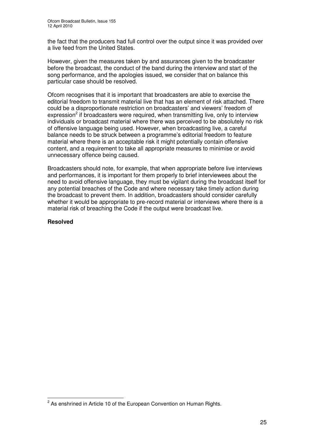the fact that the producers had full control over the output since it was provided over a live feed from the United States.

However, given the measures taken by and assurances given to the broadcaster before the broadcast, the conduct of the band during the interview and start of the song performance, and the apologies issued, we consider that on balance this particular case should be resolved.

Ofcom recognises that it is important that broadcasters are able to exercise the editorial freedom to transmit material live that has an element of risk attached. There could be a disproportionate restriction on broadcasters' and viewers' freedom of expression<sup>2</sup> if broadcasters were required, when transmitting live, only to interview individuals or broadcast material where there was perceived to be absolutely no risk of offensive language being used. However, when broadcasting live, a careful balance needs to be struck between a programme's editorial freedom to feature material where there is an acceptable risk it might potentially contain offensive content, and a requirement to take all appropriate measures to minimise or avoid unnecessary offence being caused.

Broadcasters should note, for example, that when appropriate before live interviews and performances, it is important for them properly to brief interviewees about the need to avoid offensive language, they must be vigilant during the broadcast itself for any potential breaches of the Code and where necessary take timely action during the broadcast to prevent them. In addition, broadcasters should consider carefully whether it would be appropriate to pre-record material or interviews where there is a material risk of breaching the Code if the output were broadcast live.

#### **Resolved**

 $2^{2}$  As enshrined in Article 10 of the European Convention on Human Rights.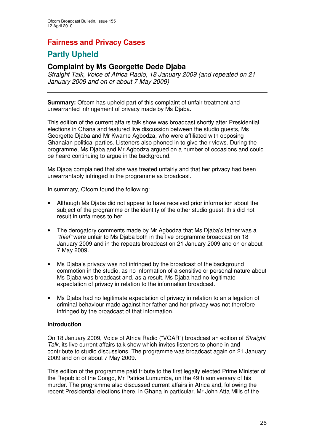# **Fairness and Privacy Cases**

# **Partly Upheld**

## **Complaint by Ms Georgette Dede Djaba**

*Straight Talk, Voice of Africa Radio, 18 January 2009 (and repeated on 21 January 2009 and on or about 7 May 2009)*

**Summary:** Ofcom has upheld part of this complaint of unfair treatment and unwarranted infringement of privacy made by Ms Djaba.

This edition of the current affairs talk show was broadcast shortly after Presidential elections in Ghana and featured live discussion between the studio guests, Ms Georgette Djaba and Mr Kwame Agbodza, who were affiliated with opposing Ghanaian political parties. Listeners also phoned in to give their views. During the programme, Ms Djaba and Mr Agbodza argued on a number of occasions and could be heard continuing to argue in the background.

Ms Djaba complained that she was treated unfairly and that her privacy had been unwarrantably infringed in the programme as broadcast.

In summary, Ofcom found the following:

- Although Ms Djaba did not appear to have received prior information about the subject of the programme or the identity of the other studio guest, this did not result in unfairness to her.
- The derogatory comments made by Mr Agbodza that Ms Diaba's father was a *"thief"* were unfair to Ms Djaba both in the live programme broadcast on 18 January 2009 and in the repeats broadcast on 21 January 2009 and on or about 7 May 2009.
- Ms Djaba's privacy was not infringed by the broadcast of the background commotion in the studio, as no information of a sensitive or personal nature about Ms Djaba was broadcast and, as a result, Ms Djaba had no legitimate expectation of privacy in relation to the information broadcast.
- Ms Djaba had no legitimate expectation of privacy in relation to an allegation of criminal behaviour made against her father and her privacy was not therefore infringed by the broadcast of that information.

#### **Introduction**

On 18 January 2009, Voice of Africa Radio ("VOAR") broadcast an edition of *Straight Talk*, its live current affairs talk show which invites listeners to phone in and contribute to studio discussions. The programme was broadcast again on 21 January 2009 and on or about 7 May 2009.

This edition of the programme paid tribute to the first legally elected Prime Minister of the Republic of the Congo, Mr Patrice Lumumba, on the 49th anniversary of his murder. The programme also discussed current affairs in Africa and, following the recent Presidential elections there, in Ghana in particular. Mr John Atta Mills of the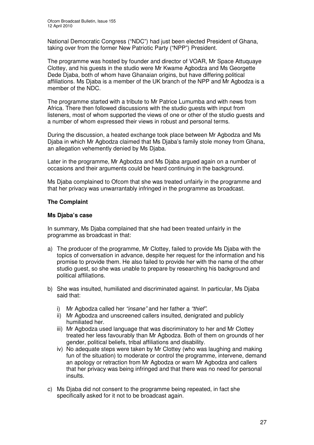National Democratic Congress ("NDC") had just been elected President of Ghana, taking over from the former New Patriotic Party ("NPP") President.

The programme was hosted by founder and director of VOAR, Mr Space Attuquaye Clottey, and his guests in the studio were Mr Kwame Agbodza and Ms Georgette Dede Djaba, both of whom have Ghanaian origins, but have differing political affiliations. Ms Djaba is a member of the UK branch of the NPP and Mr Agbodza is a member of the NDC.

The programme started with a tribute to Mr Patrice Lumumba and with news from Africa. There then followed discussions with the studio guests with input from listeners, most of whom supported the views of one or other of the studio guests and a number of whom expressed their views in robust and personal terms.

During the discussion, a heated exchange took place between Mr Agbodza and Ms Djaba in which Mr Agbodza claimed that Ms Djaba's family stole money from Ghana, an allegation vehemently denied by Ms Djaba.

Later in the programme, Mr Agbodza and Ms Djaba argued again on a number of occasions and their arguments could be heard continuing in the background.

Ms Djaba complained to Ofcom that she was treated unfairly in the programme and that her privacy was unwarrantably infringed in the programme as broadcast.

#### **The Complaint**

#### **Ms Djaba's case**

In summary, Ms Djaba complained that she had been treated unfairly in the programme as broadcast in that:

- a) The producer of the programme, Mr Clottey, failed to provide Ms Djaba with the topics of conversation in advance, despite her request for the information and his promise to provide them. He also failed to provide her with the name of the other studio guest, so she was unable to prepare by researching his background and political affiliations.
- b) She was insulted, humiliated and discriminated against. In particular, Ms Djaba said that:
	- i) Mr Agbodza called her *"insane"* and her father a *"thief"*.
	- ii) Mr Agbodza and unscreened callers insulted, denigrated and publicly humiliated her.
	- iii) Mr Agbodza used language that was discriminatory to her and Mr Clottey treated her less favourably than Mr Agbodza. Both of them on grounds of her gender, political beliefs, tribal affiliations and disability.
	- iv) No adequate steps were taken by Mr Clottey (who was laughing and making fun of the situation) to moderate or control the programme, intervene, demand an apology or retraction from Mr Agbodza or warn Mr Agbodza and callers that her privacy was being infringed and that there was no need for personal insults.
- c) Ms Djaba did not consent to the programme being repeated, in fact she specifically asked for it not to be broadcast again.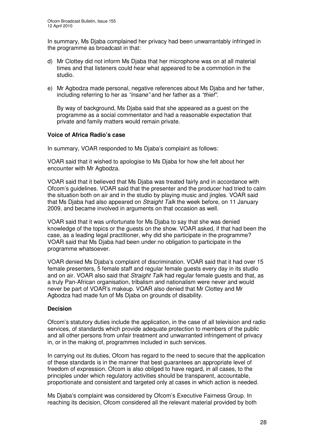In summary, Ms Djaba complained her privacy had been unwarrantably infringed in the programme as broadcast in that:

- d) Mr Clottey did not inform Ms Djaba that her microphone was on at all material times and that listeners could hear what appeared to be a commotion in the studio.
- e) Mr Agbodza made personal, negative references about Ms Djaba and her father, including referring to her as *"insane"* and her father as a *"thief"*.

By way of background. Ms Diaba said that she appeared as a quest on the programme as a social commentator and had a reasonable expectation that private and family matters would remain private.

#### **Voice of Africa Radio's case**

In summary, VOAR responded to Ms Djaba's complaint as follows:

VOAR said that it wished to apologise to Ms Djaba for how she felt about her encounter with Mr Agbodza.

VOAR said that it believed that Ms Djaba was treated fairly and in accordance with Ofcom's guidelines. VOAR said that the presenter and the producer had tried to calm the situation both on air and in the studio by playing music and jingles. VOAR said that Ms Djaba had also appeared on *Straight Talk* the week before, on 11 January 2009, and became involved in arguments on that occasion as well.

VOAR said that it was unfortunate for Ms Djaba to say that she was denied knowledge of the topics or the guests on the show. VOAR asked, if that had been the case, as a leading legal practitioner, why did she participate in the programme? VOAR said that Ms Djaba had been under no obligation to participate in the programme whatsoever.

VOAR denied Ms Djaba's complaint of discrimination. VOAR said that it had over 15 female presenters, 5 female staff and regular female guests every day in its studio and on air. VOAR also said that *Straight Talk* had regular female guests and that, as a truly Pan-African organisation, tribalism and nationalism were never and would never be part of VOAR's makeup. VOAR also denied that Mr Clottey and Mr Agbodza had made fun of Ms Djaba on grounds of disability.

#### **Decision**

Ofcom's statutory duties include the application, in the case of all television and radio services, of standards which provide adequate protection to members of the public and all other persons from unfair treatment and unwarranted infringement of privacy in, or in the making of, programmes included in such services.

In carrying out its duties, Ofcom has regard to the need to secure that the application of these standards is in the manner that best guarantees an appropriate level of freedom of expression. Ofcom is also obliged to have regard, in all cases, to the principles under which regulatory activities should be transparent, accountable, proportionate and consistent and targeted only at cases in which action is needed.

Ms Djaba's complaint was considered by Ofcom's Executive Fairness Group. In reaching its decision, Ofcom considered all the relevant material provided by both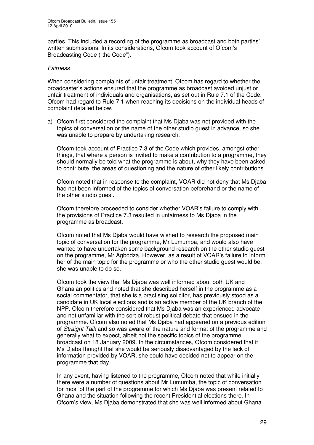parties. This included a recording of the programme as broadcast and both parties' written submissions. In its considerations, Ofcom took account of Ofcom's Broadcasting Code ("the Code").

#### *Fairness*

When considering complaints of unfair treatment, Ofcom has regard to whether the broadcaster's actions ensured that the programme as broadcast avoided unjust or unfair treatment of individuals and organisations, as set out in Rule 7.1 of the Code. Ofcom had regard to Rule 7.1 when reaching its decisions on the individual heads of complaint detailed below.

a) Ofcom first considered the complaint that Ms Djaba was not provided with the topics of conversation or the name of the other studio guest in advance, so she was unable to prepare by undertaking research.

Ofcom took account of Practice 7.3 of the Code which provides, amongst other things, that where a person is invited to make a contribution to a programme, they should normally be told what the programme is about, why they have been asked to contribute, the areas of questioning and the nature of other likely contributions.

Ofcom noted that in response to the complaint, VOAR did not deny that Ms Djaba had not been informed of the topics of conversation beforehand or the name of the other studio guest.

Ofcom therefore proceeded to consider whether VOAR's failure to comply with the provisions of Practice 7.3 resulted in unfairness to Ms Djaba in the programme as broadcast.

Ofcom noted that Ms Djaba would have wished to research the proposed main topic of conversation for the programme, Mr Lumumba, and would also have wanted to have undertaken some background research on the other studio guest on the programme, Mr Agbodza. However, as a result of VOAR's failure to inform her of the main topic for the programme or who the other studio guest would be, she was unable to do so.

Ofcom took the view that Ms Djaba was well informed about both UK and Ghanaian politics and noted that she described herself in the programme as a social commentator, that she is a practising solicitor, has previously stood as a candidate in UK local elections and is an active member of the UK branch of the NPP. Ofcom therefore considered that Ms Djaba was an experienced advocate and not unfamiliar with the sort of robust political debate that ensued in the programme. Ofcom also noted that Ms Djaba had appeared on a previous edition of *Straight Talk* and so was aware of the nature and format of the programme and generally what to expect, albeit not the specific topics of the programme broadcast on 18 January 2009. In the circumstances, Ofcom considered that if Ms Djaba thought that she would be seriously disadvantaged by the lack of information provided by VOAR, she could have decided not to appear on the programme that day.

In any event, having listened to the programme, Ofcom noted that while initially there were a number of questions about Mr Lumumba, the topic of conversation for most of the part of the programme for which Ms Djaba was present related to Ghana and the situation following the recent Presidential elections there. In Ofcom's view, Ms Djaba demonstrated that she was well informed about Ghana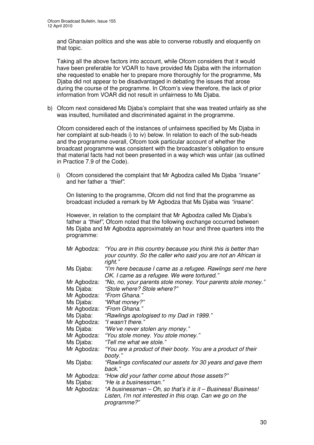and Ghanaian politics and she was able to converse robustly and eloquently on that topic.

Taking all the above factors into account, while Ofcom considers that it would have been preferable for VOAR to have provided Ms Djaba with the information she requested to enable her to prepare more thoroughly for the programme, Ms Djaba did not appear to be disadvantaged in debating the issues that arose during the course of the programme. In Ofcom's view therefore, the lack of prior information from VOAR did not result in unfairness to Ms Djaba.

b) Ofcom next considered Ms Djaba's complaint that she was treated unfairly as she was insulted, humiliated and discriminated against in the programme.

Ofcom considered each of the instances of unfairness specified by Ms Djaba in her complaint at sub-heads i) to iv) below. In relation to each of the sub-heads and the programme overall, Ofcom took particular account of whether the broadcast programme was consistent with the broadcaster's obligation to ensure that material facts had not been presented in a way which was unfair (as outlined in Practice 7.9 of the Code).

i) Ofcom considered the complaint that Mr Agbodza called Ms Djaba *"insane"* and her father a *"thief"*.

On listening to the programme, Ofcom did not find that the programme as broadcast included a remark by Mr Agbodza that Ms Djaba was *"insane"*.

However, in relation to the complaint that Mr Agbodza called Ms Djaba's father a *"thief"*, Ofcom noted that the following exchange occurred between Ms Djaba and Mr Agbodza approximately an hour and three quarters into the programme:

| Mr Agbodza:              | "You are in this country because you think this is better than<br>your country. So the caller who said you are not an African is<br>right." |
|--------------------------|---------------------------------------------------------------------------------------------------------------------------------------------|
| Ms Djaba:                | "I'm here because I came as a refugee. Rawlings sent me here<br>OK. I came as a refugee. We were tortured."                                 |
| Mr Agbodza:<br>Ms Djaba: | "No, no, your parents stole money. Your parents stole money."<br>"Stole where? Stole where?"                                                |
|                          | Mr Agbodza: "From Ghana."                                                                                                                   |
| Ms Djaba:                | "What money?"                                                                                                                               |
| Mr Agbodza:              | "From Ghana."                                                                                                                               |
| Ms Djaba:                | "Rawlings apologised to my Dad in 1999."                                                                                                    |
| Mr Agbodza:              | "I wasn't there."                                                                                                                           |
| Ms Djaba:                | "We've never stolen any money."                                                                                                             |
| Mr Agbodza:              | "You stole money. You stole money."                                                                                                         |
| Ms Djaba:                | "Tell me what we stole."                                                                                                                    |
| Mr Agbodza:              | "You are a product of their booty. You are a product of their<br>booty."                                                                    |
| Ms Djaba:                | "Rawlings confiscated our assets for 30 years and gave them<br>back."                                                                       |
| Mr Agbodza:              | "How did your father come about those assets?"                                                                                              |
| Ms Djaba:                | "He is a businessman."                                                                                                                      |
| Mr Agbodza:              | "A businessman – Oh, so that's it is it – Business! Business!<br>Listen, I'm not interested in this crap. Can we go on the<br>programme?"   |
|                          |                                                                                                                                             |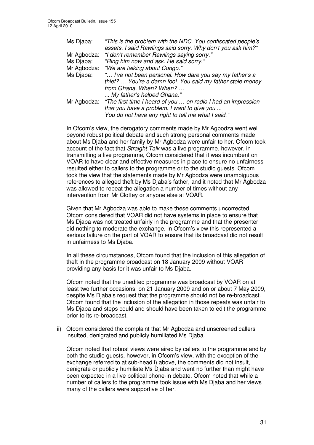| Ms Djaba:   | "This is the problem with the NDC. You confiscated people's  |
|-------------|--------------------------------------------------------------|
|             | assets. I said Rawlings said sorry. Why don't you ask him?"  |
| Mr Agbodza: | "I don't remember Rawlings saying sorry."                    |
| Ms Djaba:   | "Ring him now and ask. He said sorry."                       |
| Mr Agbodza: | "We are talking about Congo."                                |
| Ms Djaba:   | " I've not been personal. How dare you say my father's a     |
|             | thief?  You're a damn fool. You said my father stole money   |
|             | from Ghana. When? When?                                      |
|             | My father's helped Ghana."                                   |
| Mr Agbodza: | "The first time I heard of you  on radio I had an impression |
|             | that you have a problem. I want to give you                  |
|             | You do not have any right to tell me what I said."           |

In Ofcom's view, the derogatory comments made by Mr Agbodza went well beyond robust political debate and such strong personal comments made about Ms Djaba and her family by Mr Agbodza were unfair to her. Ofcom took account of the fact that *Straight Talk* was a live programme, however, in transmitting a live programme, Ofcom considered that it was incumbent on VOAR to have clear and effective measures in place to ensure no unfairness resulted either to callers to the programme or to the studio guests. Ofcom took the view that the statements made by Mr Agbodza were unambiguous references to alleged theft by Ms Djaba's father, and it noted that Mr Agbodza was allowed to repeat the allegation a number of times without any intervention from Mr Clottey or anyone else at VOAR.

Given that Mr Agbodza was able to make these comments uncorrected, Ofcom considered that VOAR did not have systems in place to ensure that Ms Djaba was not treated unfairly in the programme and that the presenter did nothing to moderate the exchange. In Ofcom's view this represented a serious failure on the part of VOAR to ensure that its broadcast did not result in unfairness to Ms Djaba.

In all these circumstances, Ofcom found that the inclusion of this allegation of theft in the programme broadcast on 18 January 2009 without VOAR providing any basis for it was unfair to Ms Djaba.

Ofcom noted that the unedited programme was broadcast by VOAR on at least two further occasions, on 21 January 2009 and on or about 7 May 2009, despite Ms Djaba's request that the programme should not be re-broadcast. Ofcom found that the inclusion of the allegation in those repeats was unfair to Ms Djaba and steps could and should have been taken to edit the programme prior to its re-broadcast.

ii) Ofcom considered the complaint that Mr Agbodza and unscreened callers insulted, denigrated and publicly humiliated Ms Djaba.

Ofcom noted that robust views were aired by callers to the programme and by both the studio guests, however, in Ofcom's view, with the exception of the exchange referred to at sub-head i) above, the comments did not insult, denigrate or publicly humiliate Ms Djaba and went no further than might have been expected in a live political phone-in debate. Ofcom noted that while a number of callers to the programme took issue with Ms Djaba and her views many of the callers were supportive of her.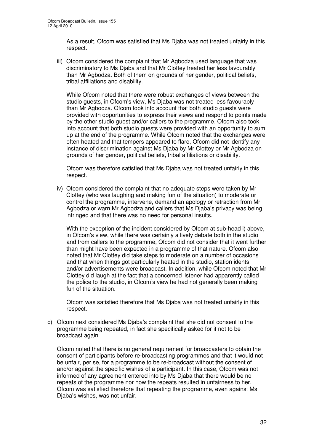As a result, Ofcom was satisfied that Ms Djaba was not treated unfairly in this respect.

iii) Ofcom considered the complaint that Mr Agbodza used language that was discriminatory to Ms Djaba and that Mr Clottey treated her less favourably than Mr Agbodza. Both of them on grounds of her gender, political beliefs, tribal affiliations and disability.

While Ofcom noted that there were robust exchanges of views between the studio guests, in Ofcom's view, Ms Djaba was not treated less favourably than Mr Agbodza. Ofcom took into account that both studio guests were provided with opportunities to express their views and respond to points made by the other studio guest and/or callers to the programme. Ofcom also took into account that both studio guests were provided with an opportunity to sum up at the end of the programme. While Ofcom noted that the exchanges were often heated and that tempers appeared to flare, Ofcom did not identify any instance of discrimination against Ms Djaba by Mr Clottey or Mr Agbodza on grounds of her gender, political beliefs, tribal affiliations or disability.

Ofcom was therefore satisfied that Ms Djaba was not treated unfairly in this respect.

iv) Ofcom considered the complaint that no adequate steps were taken by Mr Clottey (who was laughing and making fun of the situation) to moderate or control the programme, intervene, demand an apology or retraction from Mr Agbodza or warn Mr Agbodza and callers that Ms Djaba's privacy was being infringed and that there was no need for personal insults.

With the exception of the incident considered by Ofcom at sub-head i) above, in Ofcom's view, while there was certainly a lively debate both in the studio and from callers to the programme, Ofcom did not consider that it went further than might have been expected in a programme of that nature. Ofcom also noted that Mr Clottey did take steps to moderate on a number of occasions and that when things got particularly heated in the studio, station idents and/or advertisements were broadcast. In addition, while Ofcom noted that Mr Clottey did laugh at the fact that a concerned listener had apparently called the police to the studio, in Ofcom's view he had not generally been making fun of the situation.

Ofcom was satisfied therefore that Ms Djaba was not treated unfairly in this respect.

c) Ofcom next considered Ms Djaba's complaint that she did not consent to the programme being repeated, in fact she specifically asked for it not to be broadcast again.

Ofcom noted that there is no general requirement for broadcasters to obtain the consent of participants before re-broadcasting programmes and that it would not be unfair, per se, for a programme to be re-broadcast without the consent of and/or against the specific wishes of a participant. In this case, Ofcom was not informed of any agreement entered into by Ms Djaba that there would be no repeats of the programme nor how the repeats resulted in unfairness to her. Ofcom was satisfied therefore that repeating the programme, even against Ms Djaba's wishes, was not unfair.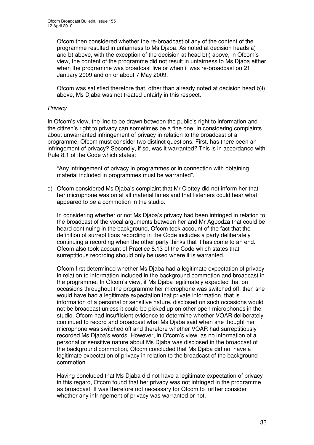Ofcom then considered whether the re-broadcast of any of the content of the programme resulted in unfairness to Ms Djaba. As noted at decision heads a) and b) above, with the exception of the decision at head b)i) above, in Ofcom's view, the content of the programme did not result in unfairness to Ms Djaba either when the programme was broadcast live or when it was re-broadcast on 21 January 2009 and on or about 7 May 2009.

Ofcom was satisfied therefore that, other than already noted at decision head b)i) above, Ms Djaba was not treated unfairly in this respect.

#### *Privacy*

In Ofcom's view, the line to be drawn between the public's right to information and the citizen's right to privacy can sometimes be a fine one. In considering complaints about unwarranted infringement of privacy in relation to the broadcast of a programme, Ofcom must consider two distinct questions. First, has there been an infringement of privacy? Secondly, if so, was it warranted? This is in accordance with Rule 8.1 of the Code which states:

"Any infringement of privacy in programmes or in connection with obtaining material included in programmes must be warranted".

d) Ofcom considered Ms Djaba's complaint that Mr Clottey did not inform her that her microphone was on at all material times and that listeners could hear what appeared to be a commotion in the studio.

In considering whether or not Ms Djaba's privacy had been infringed in relation to the broadcast of the vocal arguments between her and Mr Agbodza that could be heard continuing in the background, Ofcom took account of the fact that the definition of surreptitious recording in the Code includes a party deliberately continuing a recording when the other party thinks that it has come to an end. Ofcom also took account of Practice 8.13 of the Code which states that surreptitious recording should only be used where it is warranted.

Ofcom first determined whether Ms Djaba had a legitimate expectation of privacy in relation to information included in the background commotion and broadcast in the programme. In Ofcom's view, if Ms Djaba legitimately expected that on occasions throughout the programme her microphone was switched off, then she would have had a legitimate expectation that private information, that is information of a personal or sensitive nature, disclosed on such occasions would not be broadcast unless it could be picked up on other open microphones in the studio. Ofcom had insufficient evidence to determine whether VOAR deliberately continued to record and broadcast what Ms Djaba said when she thought her microphone was switched off and therefore whether VOAR had surreptitiously recorded Ms Djaba's words. However, in Ofcom's view, as no information of a personal or sensitive nature about Ms Djaba was disclosed in the broadcast of the background commotion, Ofcom concluded that Ms Djaba did not have a legitimate expectation of privacy in relation to the broadcast of the background commotion.

Having concluded that Ms Djaba did not have a legitimate expectation of privacy in this regard, Ofcom found that her privacy was not infringed in the programme as broadcast. It was therefore not necessary for Ofcom to further consider whether any infringement of privacy was warranted or not.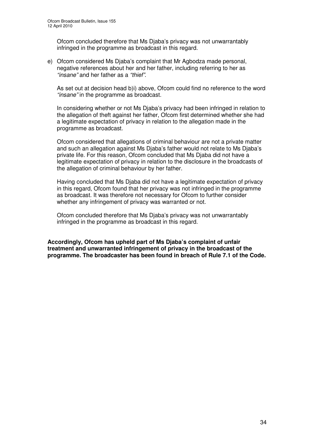Ofcom concluded therefore that Ms Djaba's privacy was not unwarrantably infringed in the programme as broadcast in this regard.

e) Ofcom considered Ms Djaba's complaint that Mr Agbodza made personal, negative references about her and her father, including referring to her as *"insane"* and her father as a *"thief"*.

As set out at decision head b)i) above, Ofcom could find no reference to the word *"insane"* in the programme as broadcast.

In considering whether or not Ms Djaba's privacy had been infringed in relation to the allegation of theft against her father, Ofcom first determined whether she had a legitimate expectation of privacy in relation to the allegation made in the programme as broadcast.

Ofcom considered that allegations of criminal behaviour are not a private matter and such an allegation against Ms Djaba's father would not relate to Ms Djaba's private life. For this reason, Ofcom concluded that Ms Djaba did not have a legitimate expectation of privacy in relation to the disclosure in the broadcasts of the allegation of criminal behaviour by her father.

Having concluded that Ms Djaba did not have a legitimate expectation of privacy in this regard, Ofcom found that her privacy was not infringed in the programme as broadcast. It was therefore not necessary for Ofcom to further consider whether any infringement of privacy was warranted or not.

Ofcom concluded therefore that Ms Djaba's privacy was not unwarrantably infringed in the programme as broadcast in this regard.

**Accordingly, Ofcom has upheld part of Ms Djaba's complaint of unfair treatment and unwarranted infringement of privacy in the broadcast of the programme. The broadcaster has been found in breach of Rule 7.1 of the Code.**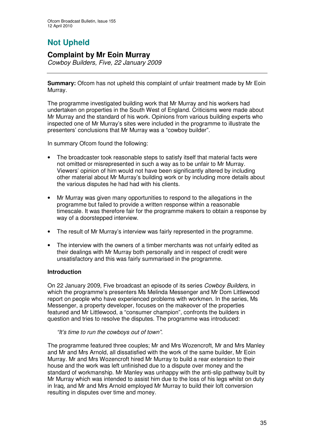# **Not Upheld**

## **Complaint by Mr Eoin Murray**

*Cowboy Builders, Five, 22 January 2009*

**Summary:** Ofcom has not upheld this complaint of unfair treatment made by Mr Eoin Murray.

The programme investigated building work that Mr Murray and his workers had undertaken on properties in the South West of England. Criticisms were made about Mr Murray and the standard of his work. Opinions from various building experts who inspected one of Mr Murray's sites were included in the programme to illustrate the presenters' conclusions that Mr Murray was a "cowboy builder".

In summary Ofcom found the following:

- The broadcaster took reasonable steps to satisfy itself that material facts were not omitted or misrepresented in such a way as to be unfair to Mr Murray. Viewers' opinion of him would not have been significantly altered by including other material about Mr Murray's building work or by including more details about the various disputes he had had with his clients.
- Mr Murray was given many opportunities to respond to the allegations in the programme but failed to provide a written response within a reasonable timescale. It was therefore fair for the programme makers to obtain a response by way of a doorstepped interview.
- The result of Mr Murray's interview was fairly represented in the programme.
- The interview with the owners of a timber merchants was not unfairly edited as their dealings with Mr Murray both personally and in respect of credit were unsatisfactory and this was fairly summarised in the programme.

#### **Introduction**

On 22 January 2009, Five broadcast an episode of its series *Cowboy Builders,* in which the programme's presenters Ms Melinda Messenger and Mr Dom Littlewood report on people who have experienced problems with workmen. In the series, Ms Messenger, a property developer, focuses on the makeover of the properties featured and Mr Littlewood, a "consumer champion", confronts the builders in question and tries to resolve the disputes. The programme was introduced:

#### *"It's time to run the cowboys out of town".*

The programme featured three couples; Mr and Mrs Wozencroft, Mr and Mrs Manley and Mr and Mrs Arnold, all dissatisfied with the work of the same builder, Mr Eoin Murray. Mr and Mrs Wozencroft hired Mr Murray to build a rear extension to their house and the work was left unfinished due to a dispute over money and the standard of workmanship. Mr Manley was unhappy with the anti-slip pathway built by Mr Murray which was intended to assist him due to the loss of his legs whilst on duty in Iraq, and Mr and Mrs Arnold employed Mr Murray to build their loft conversion resulting in disputes over time and money.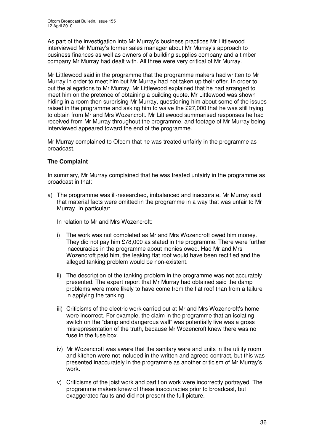As part of the investigation into Mr Murray's business practices Mr Littlewood interviewed Mr Murray's former sales manager about Mr Murray's approach to business finances as well as owners of a building supplies company and a timber company Mr Murray had dealt with. All three were very critical of Mr Murray.

Mr Littlewood said in the programme that the programme makers had written to Mr Murray in order to meet him but Mr Murray had not taken up their offer. In order to put the allegations to Mr Murray, Mr Littlewood explained that he had arranged to meet him on the pretence of obtaining a building quote. Mr Littlewood was shown hiding in a room then surprising Mr Murray, questioning him about some of the issues raised in the programme and asking him to waive the £27,000 that he was still trying to obtain from Mr and Mrs Wozencroft. Mr Littlewood summarised responses he had received from Mr Murray throughout the programme, and footage of Mr Murray being interviewed appeared toward the end of the programme.

Mr Murray complained to Ofcom that he was treated unfairly in the programme as broadcast.

#### **The Complaint**

In summary, Mr Murray complained that he was treated unfairly in the programme as broadcast in that:

a) The programme was ill-researched, imbalanced and inaccurate. Mr Murray said that material facts were omitted in the programme in a way that was unfair to Mr Murray. In particular:

In relation to Mr and Mrs Wozencroft:

- i) The work was not completed as Mr and Mrs Wozencroft owed him money. They did not pay him £78,000 as stated in the programme. There were further inaccuracies in the programme about monies owed. Had Mr and Mrs Wozencroft paid him, the leaking flat roof would have been rectified and the alleged tanking problem would be non-existent.
- ii) The description of the tanking problem in the programme was not accurately presented. The expert report that Mr Murray had obtained said the damp problems were more likely to have come from the flat roof than from a failure in applying the tanking.
- iii) Criticisms of the electric work carried out at Mr and Mrs Wozencroft's home were incorrect. For example, the claim in the programme that an isolating switch on the "damp and dangerous wall" was potentially live was a gross misrepresentation of the truth, because Mr Wozencroft knew there was no fuse in the fuse box.
- iv) Mr Wozencroft was aware that the sanitary ware and units in the utility room and kitchen were not included in the written and agreed contract, but this was presented inaccurately in the programme as another criticism of Mr Murray's work.
- v) Criticisms of the joist work and partition work were incorrectly portrayed. The programme makers knew of these inaccuracies prior to broadcast, but exaggerated faults and did not present the full picture.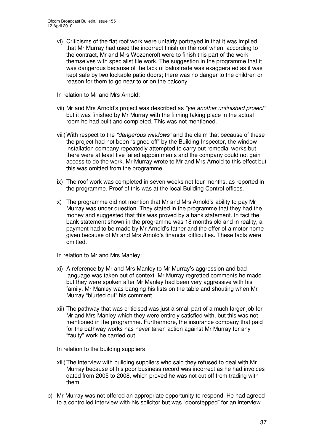- vi) Criticisms of the flat roof work were unfairly portrayed in that it was implied that Mr Murray had used the incorrect finish on the roof when, according to the contract, Mr and Mrs Wozencroft were to finish this part of the work themselves with specialist tile work. The suggestion in the programme that it was dangerous because of the lack of balustrade was exaggerated as it was kept safe by two lockable patio doors; there was no danger to the children or reason for them to go near to or on the balcony.
- In relation to Mr and Mrs Arnold:
- vii) Mr and Mrs Arnold's project was described as *"yet another unfinished project"* but it was finished by Mr Murray with the filming taking place in the actual room he had built and completed. This was not mentioned.
- viii)With respect to the *"dangerous windows"* and the claim that because of these the project had not been "signed off" by the Building Inspector, the window installation company repeatedly attempted to carry out remedial works but there were at least five failed appointments and the company could not gain access to do the work. Mr Murray wrote to Mr and Mrs Arnold to this effect but this was omitted from the programme.
- ix) The roof work was completed in seven weeks not four months, as reported in the programme. Proof of this was at the local Building Control offices.
- x) The programme did not mention that Mr and Mrs Arnold's ability to pay Mr Murray was under question. They stated in the programme that they had the money and suggested that this was proved by a bank statement. In fact the bank statement shown in the programme was 18 months old and in reality, a payment had to be made by Mr Arnold's father and the offer of a motor home given because of Mr and Mrs Arnold's financial difficulties. These facts were omitted.

In relation to Mr and Mrs Manley:

- xi) A reference by Mr and Mrs Manley to Mr Murray's aggression and bad language was taken out of context. Mr Murray regretted comments he made but they were spoken after Mr Manley had been very aggressive with his family. Mr Manley was banging his fists on the table and shouting when Mr Murray "blurted out" his comment.
- xii) The pathway that was criticised was just a small part of a much larger job for Mr and Mrs Manley which they were entirely satisfied with, but this was not mentioned in the programme. Furthermore, the insurance company that paid for the pathway works has never taken action against Mr Murray for any "faulty" work he carried out.

In relation to the building suppliers:

- xiii)The interview with building suppliers who said they refused to deal with Mr Murray because of his poor business record was incorrect as he had invoices dated from 2005 to 2008, which proved he was not cut off from trading with them.
- b) Mr Murray was not offered an appropriate opportunity to respond. He had agreed to a controlled interview with his solicitor but was "doorstepped" for an interview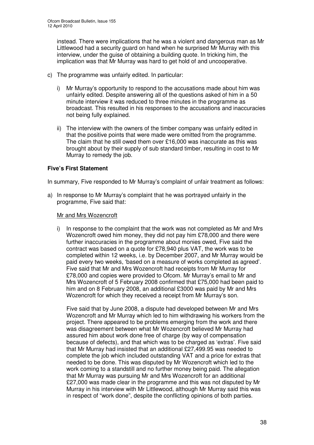instead. There were implications that he was a violent and dangerous man as Mr Littlewood had a security guard on hand when he surprised Mr Murray with this interview, under the guise of obtaining a building quote. In tricking him, the implication was that Mr Murray was hard to get hold of and uncooperative.

- c) The programme was unfairly edited. In particular:
	- i) Mr Murray's opportunity to respond to the accusations made about him was unfairly edited. Despite answering all of the questions asked of him in a 50 minute interview it was reduced to three minutes in the programme as broadcast. This resulted in his responses to the accusations and inaccuracies not being fully explained.
	- ii) The interview with the owners of the timber company was unfairly edited in that the positive points that were made were omitted from the programme. The claim that he still owed them over £16,000 was inaccurate as this was brought about by their supply of sub standard timber, resulting in cost to Mr Murray to remedy the job.

## **Five's First Statement**

In summary, Five responded to Mr Murray's complaint of unfair treatment as follows:

a) In response to Mr Murray's complaint that he was portrayed unfairly in the programme, Five said that:

#### Mr and Mrs Wozencroft

i) In response to the complaint that the work was not completed as Mr and Mrs Wozencroft owed him money, they did not pay him £78,000 and there were further inaccuracies in the programme about monies owed, Five said the contract was based on a quote for £78,940 plus VAT, the work was to be completed within 12 weeks, i.e. by December 2007, and Mr Murray would be paid every two weeks, 'based on a measure of works completed as agreed'. Five said that Mr and Mrs Wozencroft had receipts from Mr Murray for £78,000 and copies were provided to Ofcom. Mr Murray's email to Mr and Mrs Wozencroft of 5 February 2008 confirmed that £75,000 had been paid to him and on 8 February 2008, an additional £3000 was paid by Mr and Mrs Wozencroft for which they received a receipt from Mr Murray's son.

Five said that by June 2008, a dispute had developed between Mr and Mrs Wozencroft and Mr Murray which led to him withdrawing his workers from the project. There appeared to be problems emerging from the work and there was disagreement between what Mr Wozencroft believed Mr Murray had assured him about work done free of charge (by way of compensation because of defects), and that which was to be charged as 'extras'. Five said that Mr Murray had insisted that an additional £27,499.95 was needed to complete the job which included outstanding VAT and a price for extras that needed to be done. This was disputed by Mr Wozencroft which led to the work coming to a standstill and no further money being paid. The allegation that Mr Murray was pursuing Mr and Mrs Wozencroft for an additional £27,000 was made clear in the programme and this was not disputed by Mr Murray in his interview with Mr Littlewood, although Mr Murray said this was in respect of "work done", despite the conflicting opinions of both parties.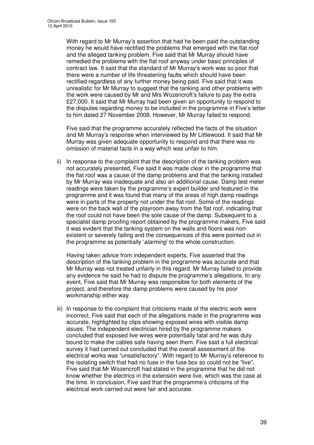With regard to Mr Murray's assertion that had he been paid the outstanding money he would have rectified the problems that emerged with the flat roof and the alleged tanking problem, Five said that Mr Murray should have remedied the problems with the flat roof anyway under basic principles of contract law. It said that the standard of Mr Murray's work was so poor that there were a number of life threatening faults which should have been rectified regardless of any further money being paid. Five said that it was unrealistic for Mr Murray to suggest that the tanking and other problems with the work were caused by Mr and Mrs Wozencroft's failure to pay the extra £27,000. It said that Mr Murray had been given an opportunity to respond to the disputes regarding money to be included in the programme in Five's letter to him dated 27 November 2008. However, Mr Murray failed to respond.

Five said that the programme accurately reflected the facts of the situation and Mr Murray's response when interviewed by Mr Littlewood. It said that Mr Murray was given adequate opportunity to respond and that there was no omission of material facts in a way which was unfair to him.

ii) In response to the complaint that the description of the tanking problem was not accurately presented, Five said it was made clear in the programme that the flat roof was a cause of the damp problems and that the tanking installed by Mr Murray was inadequate and also an additional cause. Damp test meter readings were taken by the programme's expert builder and featured in the programme and it was found that many of the areas of high damp readings were in parts of the property not under the flat roof. Some of the readings were on the back wall of the playroom away from the flat roof, indicating that the roof could not have been the sole cause of the damp. Subsequent to a specialist damp proofing report obtained by the programme makers, Five said it was evident that the tanking system on the walls and floors was nonexistent or severely failing and the consequences of this were pointed out in the programme as potentially '*alarming*' to the whole construction.

Having taken advice from independent experts, Five asserted that the description of the tanking problem in the programme was accurate and that Mr Murray was not treated unfairly in this regard. Mr Murray failed to provide any evidence he said he had to dispute the programme's allegations. In any event, Five said that Mr Murray was responsible for both elements of the project, and therefore the damp problems were caused by his poor workmanship either way.

iii) In response to the complaint that criticisms made of the electric work were incorrect, Five said that each of the allegations made in the programme was accurate, highlighted by clips showing exposed wires with visible damp issues. The independent electrician hired by the programme makers concluded that exposed live wires were potentially fatal and he was duty bound to make the cables safe having seen them. Five said a full electrical survey it had carried out concluded that the overall assessment of the electrical works was "unsatisfactory". With regard to Mr Murray's reference to the isolating switch that had no fuse in the fuse box so could not be "live", Five said that Mr Wozencroft had stated in the programme that he did not know whether the electrics in the extension were live, which was the case at the time. In conclusion, Five said that the programme's criticisms of the electrical work carried out were fair and accurate.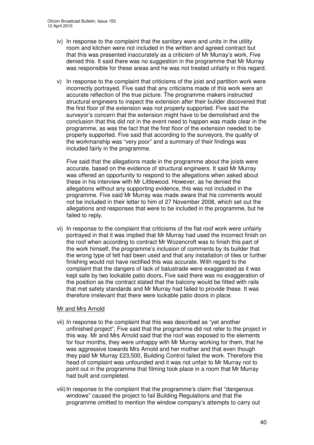- iv) In response to the complaint that the sanitary ware and units in the utility room and kitchen were not included in the written and agreed contract but that this was presented inaccurately as a criticism of Mr Murray's work, Five denied this. It said there was no suggestion in the programme that Mr Murray was responsible for these areas and he was not treated unfairly in this regard.
- v) In response to the complaint that criticisms of the joist and partition work were incorrectly portrayed, Five said that any criticisms made of this work were an accurate reflection of the true picture. The programme makers instructed structural engineers to inspect the extension after their builder discovered that the first floor of the extension was not properly supported. Five said the surveyor's concern that the extension might have to be demolished and the conclusion that this did not in the event need to happen was made clear in the programme, as was the fact that the first floor of the extension needed to be properly supported. Five said that according to the surveyors, the quality of the workmanship was "very poor" and a summary of their findings was included fairly in the programme.

Five said that the allegations made in the programme about the joists were accurate, based on the evidence of structural engineers. It said Mr Murray was offered an opportunity to respond to the allegations when asked about these in his interview with Mr Littlewood. However, as he denied the allegations without any supporting evidence, this was not included in the programme. Five said Mr Murray was made aware that his comments would not be included in their letter to him of 27 November 2008, which set out the allegations and responses that were to be included in the programme, but he failed to reply.

vi) In response to the complaint that criticisms of the flat roof work were unfairly portrayed in that it was implied that Mr Murray had used the incorrect finish on the roof when according to contract Mr Wozencroft was to finish this part of the work himself, the programme's inclusion of comments by its builder that the wrong type of felt had been used and that any installation of tiles or further finishing would not have rectified this was accurate. With regard to the complaint that the dangers of lack of balustrade were exaggerated as it was kept safe by two lockable patio doors, Five said there was no exaggeration of the position as the contract stated that the balcony would be fitted with rails that met safety standards and Mr Murray had failed to provide these. It was therefore irrelevant that there were lockable patio doors in place.

#### Mr and Mrs Arnold

- vii) In response to the complaint that this was described as "yet another unfinished project", Five said that the programme did not refer to the project in this way. Mr and Mrs Arnold said that the roof was exposed to the elements for four months, they were unhappy with Mr Murray working for them, that he was aggressive towards Mrs Arnold and her mother and that even though they paid Mr Murray £23,500, Building Control failed the work. Therefore this head of complaint was unfounded and it was not unfair to Mr Murray not to point out in the programme that filming took place in a room that Mr Murray had built and completed.
- viii) In response to the complaint that the programme's claim that "dangerous" windows" caused the project to fail Building Regulations and that the programme omitted to mention the window company's attempts to carry out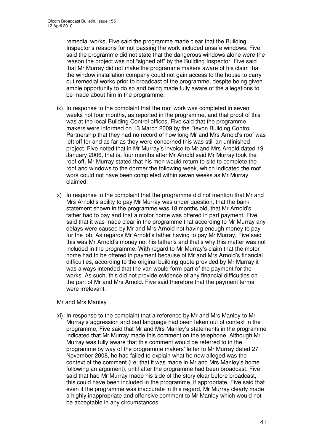remedial works, Five said the programme made clear that the Building Inspector's reasons for not passing the work included unsafe windows. Five said the programme did not state that the dangerous windows alone were the reason the project was not "signed off" by the Building Inspector. Five said that Mr Murray did not make the programme makers aware of his claim that the window installation company could not gain access to the house to carry out remedial works prior to broadcast of the programme, despite being given ample opportunity to do so and being made fully aware of the allegations to be made about him in the programme.

- ix) In response to the complaint that the roof work was completed in seven weeks not four months, as reported in the programme, and that proof of this was at the local Building Control offices, Five said that the programme makers were informed on 13 March 2009 by the Devon Building Control Partnership that they had no record of how long Mr and Mrs Arnold's roof was left off for and as far as they were concerned this was still an unfinished project. Five noted that in Mr Murray's invoice to Mr and Mrs Arnold dated 19 January 2006, that is, four months after Mr Arnold said Mr Murray took the roof off, Mr Murray stated that his men would return to site to complete the roof and windows to the dormer the following week, which indicated the roof work could not have been completed within seven weeks as Mr Murray claimed.
- x) In response to the complaint that the programme did not mention that Mr and Mrs Arnold's ability to pay Mr Murray was under question, that the bank statement shown in the programme was 18 months old, that Mr Arnold's father had to pay and that a motor home was offered in part payment, Five said that it was made clear in the programme that according to Mr Murray any delays were caused by Mr and Mrs Arnold not having enough money to pay for the job. As regards Mr Arnold's father having to pay Mr Murray, Five said this was Mr Arnold's money not his father's and that's why this matter was not included in the programme. With regard to Mr Murray's claim that the motor home had to be offered in payment because of Mr and Mrs Arnold's financial difficulties, according to the original building quote provided by Mr Murray it was always intended that the van would form part of the payment for the works. As such, this did not provide evidence of any financial difficulties on the part of Mr and Mrs Arnold. Five said therefore that the payment terms were irrelevant.

#### Mr and Mrs Manley

xi) In response to the complaint that a reference by Mr and Mrs Manley to Mr Murray's aggression and bad language had been taken out of context in the programme, Five said that Mr and Mrs Manley's statements in the programme indicated that Mr Murray made this comment on the telephone. Although Mr Murray was fully aware that this comment would be referred to in the programme by way of the programme makers' letter to Mr Murray dated 27 November 2008, he had failed to explain what he now alleged was the context of the comment (i.e. that it was made in Mr and Mrs Manley's home following an argument), until after the programme had been broadcast. Five said that had Mr Murray made his side of the story clear before broadcast, this could have been included in the programme, if appropriate. Five said that even if the programme was inaccurate in this regard, Mr Murray clearly made a highly inappropriate and offensive comment to Mr Manley which would not be acceptable in any circumstances.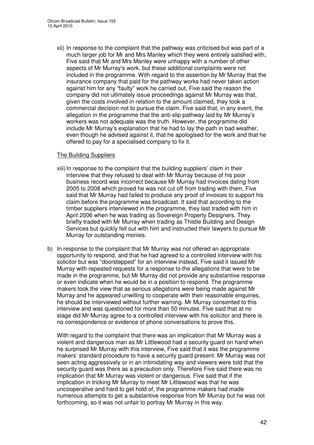xii) In response to the complaint that the pathway was criticised but was part of a much larger job for Mr and Mrs Manley which they were entirely satisfied with, Five said that Mr and Mrs Manley were unhappy with a number of other aspects of Mr Murray's work, but these additional complaints were not included in the programme. With regard to the assertion by Mr Murray that the insurance company that paid for the pathway works had never taken action against him for any "faulty" work he carried out, Five said the reason the company did not ultimately issue proceedings against Mr Murray was that, given the costs involved in relation to the amount claimed, they took a commercial decision not to pursue the claim. Five said that, in any event, the allegation in the programme that the anti-slip pathway laid by Mr Murray's workers was not adequate was the truth. However, the programme did include Mr Murray's explanation that he had to lay the path in bad weather, even though he advised against it, that he apologised for the work and that he offered to pay for a specialised company to fix it.

## The Building Suppliers

- xiii) In response to the complaint that the building suppliers' claim in their interview that they refused to deal with Mr Murray because of his poor business record was incorrect because Mr Murray had invoices dating from 2005 to 2008 which proved he was not cut off from trading with them, Five said that Mr Murray had failed to produce any proof of invoices to support his claim before the programme was broadcast. It said that according to the timber suppliers interviewed in the programme, they last traded with him in April 2006 when he was trading as Sovereign Property Designers. They briefly traded with Mr Murray when trading as Thistle Building and Design Services but quickly fell out with him and instructed their lawyers to pursue Mr Murray for outstanding monies.
- b) In response to the complaint that Mr Murray was not offered an appropriate opportunity to respond, and that he had agreed to a controlled interview with his solicitor but was "doorstepped" for an interview instead, Five said it issued Mr Murray with repeated requests for a response to the allegations that were to be made in the programme, but Mr Murray did not provide any substantive response or even indicate when he would be in a position to respond. The programme makers took the view that as serious allegations were being made against Mr Murray and he appeared unwilling to cooperate with their reasonable enquiries, he should be interviewed without further warning. Mr Murray consented to this interview and was questioned for more than 50 minutes. Five said that at no stage did Mr Murray agree to a controlled interview with his solicitor and there is no correspondence or evidence of phone conversations to prove this.

With regard to the complaint that there was an implication that Mr Murray was a violent and dangerous man as Mr Littlewood had a security guard on hand when he surprised Mr Murray with this interview, Five said that it was the programme makers' standard procedure to have a security guard present. Mr Murray was not seen acting aggressively or in an intimidating way and viewers were told that the security guard was there as a precaution only. Therefore Five said there was no implication that Mr Murray was violent or dangerous. Five said that if the implication in tricking Mr Murray to meet Mr Littlewood was that he was uncooperative and hard to get hold of, the programme makers had made numerous attempts to get a substantive response from Mr Murray but he was not forthcoming, so it was not unfair to portray Mr Murray in this way.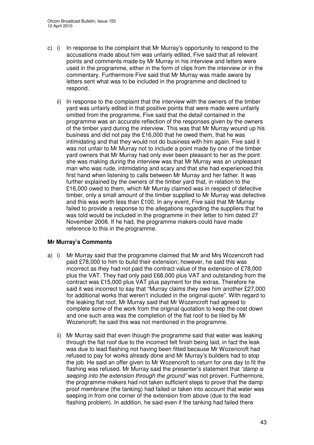- c) i) In response to the complaint that Mr Murray's opportunity to respond to the accusations made about him was unfairly edited, Five said that all relevant points and comments made by Mr Murray in his interview and letters were used in the programme, either in the form of clips from the interview or in the commentary. Furthermore Five said that Mr Murray was made aware by letters sent what was to be included in the programme and declined to respond.
	- ii) In response to the complaint that the interview with the owners of the timber yard was unfairly edited in that positive points that were made were unfairly omitted from the programme, Five said that the detail contained in the programme was an accurate reflection of the responses given by the owners of the timber yard during the interview. This was that Mr Murray wound up his business and did not pay the £16,000 that he owed them, that he was intimidating and that they would not do business with him again. Five said it was not unfair to Mr Murray not to include a point made by one of the timber yard owners that Mr Murray had only ever been pleasant to her as the point she was making during the interview was that Mr Murray was an unpleasant man who was rude, intimidating and scary and that she had experienced this first hand when listening to calls between Mr Murray and her father. It was further explained by the owners of the timber yard that, in relation to the £16,000 owed to them, which Mr Murray claimed was in respect of defective timber, only a small amount of the timber supplied to Mr Murray was defective and this was worth less than £100. In any event, Five said that Mr Murray failed to provide a response to the allegations regarding the suppliers that he was told would be included in the programme in their letter to him dated 27 November 2008. If he had, the programme makers could have made reference to this in the programme.

# **Mr Murray's Comments**

- a) i) Mr Murray said that the programme claimed that Mr and Mrs Wozencroft had paid £78,000 to him to build their extension; however, he said this was incorrect as they had not paid the contract value of the extension of £78,000 plus the VAT. They had only paid £68,000 plus VAT and outstanding from the contract was £15,000 plus VAT plus payment for the extras. Therefore he said it was incorrect to say that "Murray claims they owe him another £27,000 for additional works that weren't included in the original quote". With regard to the leaking flat roof, Mr Murray said that Mr Wozencroft had agreed to complete some of the work from the original quotation to keep the cost down and one such area was the completion of the flat roof to be tiled by Mr Wozencroft; he said this was not mentioned in the programme.
	- ii) Mr Murray said that even though the programme said that water was leaking through the flat roof due to the incorrect felt finish being laid, in fact the leak was due to lead flashing not having been fitted because Mr Wozencroft had refused to pay for works already done and Mr Murray's builders had to stop the job. He said an offer given to Mr Wozencroft to return for one day to fit the flashing was refused. Mr Murray said the presenter's statement that *"damp is seeping into the extension through the ground"* was not proven. Furthermore, the programme makers had not taken sufficient steps to prove that the damp proof membrane (the tanking) had failed or taken into account that water was seeping in from one corner of the extension from above (due to the lead flashing problem). In addition, he said even if the tanking had failed there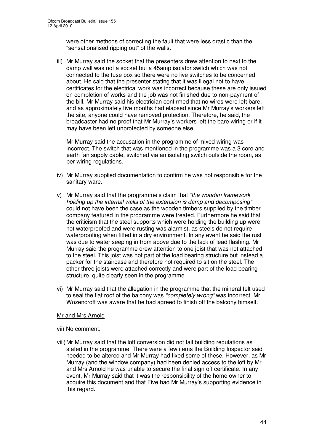were other methods of correcting the fault that were less drastic than the "sensationalised ripping out" of the walls.

iii) Mr Murray said the socket that the presenters drew attention to next to the damp wall was not a socket but a 45amp isolator switch which was not connected to the fuse box so there were no live switches to be concerned about. He said that the presenter stating that it was illegal not to have certificates for the electrical work was incorrect because these are only issued on completion of works and the job was not finished due to non-payment of the bill. Mr Murray said his electrician confirmed that no wires were left bare, and as approximately five months had elapsed since Mr Murray's workers left the site, anyone could have removed protection. Therefore, he said, the broadcaster had no proof that Mr Murray's workers left the bare wiring or if it may have been left unprotected by someone else.

Mr Murray said the accusation in the programme of mixed wiring was incorrect. The switch that was mentioned in the programme was a 3 core and earth fan supply cable, switched via an isolating switch outside the room, as per wiring regulations.

- iv) Mr Murray supplied documentation to confirm he was not responsible for the sanitary ware.
- v) Mr Murray said that the programme's claim that *"the wooden framework holding up the internal walls of the extension is damp and decomposing"* could not have been the case as the wooden timbers supplied by the timber company featured in the programme were treated. Furthermore he said that the criticism that the steel supports which were holding the building up were not waterproofed and were rusting was alarmist, as steels do not require waterproofing when fitted in a dry environment. In any event he said the rust was due to water seeping in from above due to the lack of lead flashing. Mr Murray said the programme drew attention to one joist that was not attached to the steel. This joist was not part of the load bearing structure but instead a packer for the staircase and therefore not required to sit on the steel. The other three joists were attached correctly and were part of the load bearing structure, quite clearly seen in the programme.
- vi) Mr Murray said that the allegation in the programme that the mineral felt used to seal the flat roof of the balcony was *"completely wrong"* was incorrect. Mr Wozencroft was aware that he had agreed to finish off the balcony himself.

#### Mr and Mrs Arnold

- vii) No comment.
- viii)Mr Murray said that the loft conversion did not fail building regulations as stated in the programme. There were a few items the Building Inspector said needed to be altered and Mr Murray had fixed some of these. However, as Mr Murray (and the window company) had been denied access to the loft by Mr and Mrs Arnold he was unable to secure the final sign off certificate. In any event, Mr Murray said that it was the responsibility of the home owner to acquire this document and that Five had Mr Murray's supporting evidence in this regard.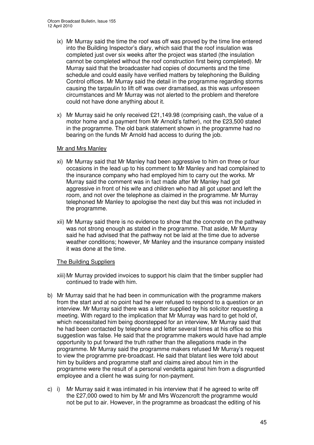- ix) Mr Murray said the time the roof was off was proved by the time line entered into the Building Inspector's diary, which said that the roof insulation was completed just over six weeks after the project was started (the insulation cannot be completed without the roof construction first being completed). Mr Murray said that the broadcaster had copies of documents and the time schedule and could easily have verified matters by telephoning the Building Control offices. Mr Murray said the detail in the programme regarding storms causing the tarpaulin to lift off was over dramatised, as this was unforeseen circumstances and Mr Murray was not alerted to the problem and therefore could not have done anything about it.
- x) Mr Murray said he only received £21,149.98 (comprising cash, the value of a motor home and a payment from Mr Arnold's father), not the £23,500 stated in the programme. The old bank statement shown in the programme had no bearing on the funds Mr Arnold had access to during the job.

#### Mr and Mrs Manley

- xi) Mr Murray said that Mr Manley had been aggressive to him on three or four occasions in the lead up to his comment to Mr Manley and had complained to the insurance company who had employed him to carry out the works. Mr Murray said the comment was in fact made after Mr Manley had got aggressive in front of his wife and children who had all got upset and left the room, and not over the telephone as claimed in the programme. Mr Murray telephoned Mr Manley to apologise the next day but this was not included in the programme.
- xii) Mr Murray said there is no evidence to show that the concrete on the pathway was not strong enough as stated in the programme. That aside, Mr Murray said he had advised that the pathway not be laid at the time due to adverse weather conditions; however, Mr Manley and the insurance company insisted it was done at the time.

#### The Building Suppliers

- xiii)Mr Murray provided invoices to support his claim that the timber supplier had continued to trade with him.
- b) Mr Murray said that he had been in communication with the programme makers from the start and at no point had he ever refused to respond to a question or an interview. Mr Murray said there was a letter supplied by his solicitor requesting a meeting. With regard to the implication that Mr Murray was hard to get hold of. which necessitated him being doorstepped for an interview, Mr Murray said that he had been contacted by telephone and letter several times at his office so this suggestion was false. He said that the programme makers would have had ample opportunity to put forward the truth rather than the allegations made in the programme. Mr Murray said the programme makers refused Mr Murray's request to view the programme pre-broadcast. He said that blatant lies were told about him by builders and programme staff and claims aired about him in the programme were the result of a personal vendetta against him from a disgruntled employee and a client he was suing for non-payment.
- c) i) Mr Murray said it was intimated in his interview that if he agreed to write off the £27,000 owed to him by Mr and Mrs Wozencroft the programme would not be put to air. However, in the programme as broadcast the editing of his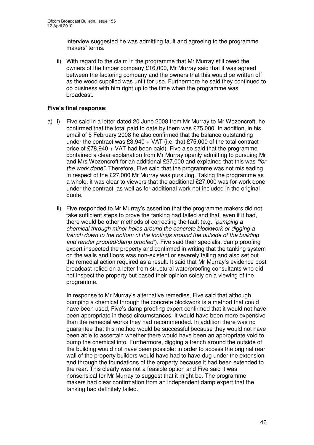interview suggested he was admitting fault and agreeing to the programme makers' terms.

ii) With regard to the claim in the programme that Mr Murray still owed the owners of the timber company £16,000, Mr Murray said that it was agreed between the factoring company and the owners that this would be written off as the wood supplied was unfit for use. Furthermore he said they continued to do business with him right up to the time when the programme was broadcast.

#### **Five's final response**:

- a) i) Five said in a letter dated 20 June 2008 from Mr Murray to Mr Wozencroft, he confirmed that the total paid to date by them was £75,000. In addition, in his email of 5 February 2008 he also confirmed that the balance outstanding under the contract was £3,940 + VAT (i.e. that £75,000 of the total contract price of £78,940 + VAT had been paid). Five also said that the programme contained a clear explanation from Mr Murray openly admitting to pursuing Mr and Mrs Wozencroft for an additional £27,000 and explained that this was *"for the work done"*. Therefore, Five said that the programme was not misleading in respect of the £27,000 Mr Murray was pursuing. Taking the programme as a whole, it was clear to viewers that the additional £27,000 was for work done under the contract, as well as for additional work not included in the original quote.
	- ii) Five responded to Mr Murray's assertion that the programme makers did not take sufficient steps to prove the tanking had failed and that, even if it had, there would be other methods of correcting the fault (e.g. *"pumping a chemical through minor holes around the concrete blockwork or digging a trench down to the bottom of the footings around the outside of the building and render proofed/damp proofed"*). Five said their specialist damp proofing expert inspected the property and confirmed in writing that the tanking system on the walls and floors was non-existent or severely failing and also set out the remedial action required as a result. It said that Mr Murray's evidence post broadcast relied on a letter from structural waterproofing consultants who did not inspect the property but based their opinion solely on a viewing of the programme.

In response to Mr Murray's alternative remedies, Five said that although pumping a chemical through the concrete blockwork is a method that could have been used, Five's damp proofing expert confirmed that it would not have been appropriate in these circumstances. It would have been more expensive than the remedial works they had recommended. In addition there was no guarantee that this method would be successful because they would not have been able to ascertain whether there would have been an appropriate void to pump the chemical into. Furthermore, digging a trench around the outside of the building would not have been possible: in order to access the original rear wall of the property builders would have had to have dug under the extension and through the foundations of the property because it had been extended to the rear. This clearly was not a feasible option and Five said it was nonsensical for Mr Murray to suggest that it might be. The programme makers had clear confirmation from an independent damp expert that the tanking had definitely failed.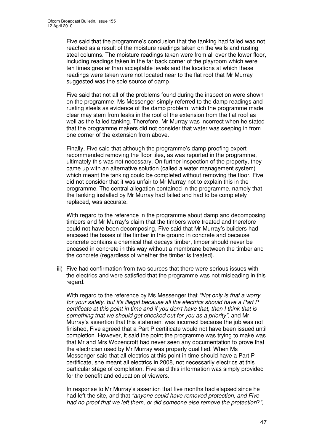Five said that the programme's conclusion that the tanking had failed was not reached as a result of the moisture readings taken on the walls and rusting steel columns. The moisture readings taken were from all over the lower floor, including readings taken in the far back corner of the playroom which were ten times greater than acceptable levels and the locations at which these readings were taken were not located near to the flat roof that Mr Murray suggested was the sole source of damp.

Five said that not all of the problems found during the inspection were shown on the programme; Ms Messenger simply referred to the damp readings and rusting steels as evidence of the damp problem, which the programme made clear may stem from leaks in the roof of the extension from the flat roof as well as the failed tanking. Therefore, Mr Murray was incorrect when he stated that the programme makers did not consider that water was seeping in from one corner of the extension from above.

Finally, Five said that although the programme's damp proofing expert recommended removing the floor tiles, as was reported in the programme, ultimately this was not necessary. On further inspection of the property, they came up with an alternative solution (called a water management system) which meant the tanking could be completed without removing the floor. Five did not consider that it was unfair to Mr Murray not to explain this in the programme. The central allegation contained in the programme, namely that the tanking installed by Mr Murray had failed and had to be completely replaced, was accurate.

With regard to the reference in the programme about damp and decomposing timbers and Mr Murray's claim that the timbers were treated and therefore could not have been decomposing, Five said that Mr Murray's builders had encased the bases of the timber in the ground in concrete and because concrete contains a chemical that decays timber, timber should never be encased in concrete in this way without a membrane between the timber and the concrete (regardless of whether the timber is treated).

iii) Five had confirmation from two sources that there were serious issues with the electrics and were satisfied that the programme was not misleading in this regard.

With regard to the reference by Ms Messenger that *"Not only is that a worry for your safety, but it's illegal because all the electrics should have a Part P certificate at this point in time and if you don't have that, then I think that is something that we should get checked out for you as a priority"*, and Mr Murray's assertion that this statement was incorrect because the job was not finished, Five agreed that a Part P certificate would not have been issued until completion. However, it said the point the programme was trying to make was that Mr and Mrs Wozencroft had never seen any documentation to prove that the electrician used by Mr Murray was properly qualified. When Ms Messenger said that all electrics at this point in time should have a Part P certificate, she meant all electrics in 2008, not necessarily electrics at this particular stage of completion. Five said this information was simply provided for the benefit and education of viewers.

In response to Mr Murray's assertion that five months had elapsed since he had left the site, and that *"anyone could have removed protection, and Five had no proof that we left them, or did someone else remove the protection*?*"*,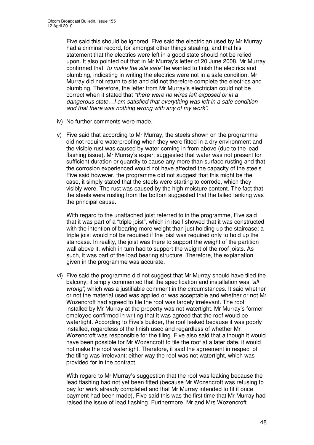Five said this should be ignored. Five said the electrician used by Mr Murray had a criminal record, for amongst other things stealing, and that his statement that the electrics were left in a good state should not be relied upon. It also pointed out that in Mr Murray's letter of 20 June 2008, Mr Murray confirmed that *"to make the site safe"* he wanted to finish the electrics and plumbing, indicating in writing the electrics were not in a safe condition*.* Mr Murray did not return to site and did not therefore complete the electrics and plumbing. Therefore, the letter from Mr Murray's electrician could not be correct when it stated that *"there were no wires left exposed or in a dangerous state…I am satisfied that everything was left in a safe condition and that there was nothing wrong with any of my work"*.

- iv) No further comments were made.
- v) Five said that according to Mr Murray, the steels shown on the programme did not require waterproofing when they were fitted in a dry environment and the visible rust was caused by water coming in from above (due to the lead flashing issue). Mr Murray's expert suggested that water was not present for sufficient duration or quantity to cause any more than surface rusting and that the corrosion experienced would not have affected the capacity of the steels. Five said however, the programme did not suggest that this might be the case, it simply stated that the steels were starting to corrode, which they visibly were. The rust was caused by the high moisture content. The fact that the steels were rusting from the bottom suggested that the failed tanking was the principal cause.

With regard to the unattached joist referred to in the programme, Five said that it was part of a "triple joist", which in itself showed that it was constructed with the intention of bearing more weight than just holding up the staircase; a triple joist would not be required if the joist was required only to hold up the staircase. In reality, the joist was there to support the weight of the partition wall above it, which in turn had to support the weight of the roof joists. As such, it was part of the load bearing structure. Therefore, the explanation given in the programme was accurate.

vi) Five said the programme did not suggest that Mr Murray should have tiled the balcony, it simply commented that the specification and installation was *"all wrong"*, which was a justifiable comment in the circumstances. It said whether or not the material used was applied or was acceptable and whether or not Mr Wozencroft had agreed to tile the roof was largely irrelevant. The roof installed by Mr Murray at the property was not watertight. Mr Murray's former employee confirmed in writing that it was agreed that the roof would be watertight. According to Five's builder, the roof leaked because it was poorly installed, regardless of the finish used and regardless of whether Mr Wozencroft was responsible for the tiling. Five also said that although it would have been possible for Mr Wozencroft to tile the roof at a later date, it would not make the roof watertight. Therefore, it said the agreement in respect of the tiling was irrelevant: either way the roof was not watertight, which was provided for in the contract.

With regard to Mr Murray's suggestion that the roof was leaking because the lead flashing had not yet been fitted (because Mr Wozencroft was refusing to pay for work already completed and that Mr Murray intended to fit it once payment had been made), Five said this was the first time that Mr Murray had raised the issue of lead flashing. Furthermore, Mr and Mrs Wozencroft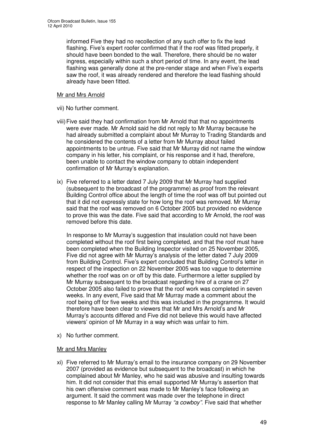informed Five they had no recollection of any such offer to fix the lead flashing. Five's expert roofer confirmed that if the roof was fitted properly, it should have been bonded to the wall. Therefore, there should be no water ingress, especially within such a short period of time. In any event, the lead flashing was generally done at the pre-render stage and when Five's experts saw the roof, it was already rendered and therefore the lead flashing should already have been fitted.

#### Mr and Mrs Arnold

- vii) No further comment.
- viii)Five said they had confirmation from Mr Arnold that that no appointments were ever made. Mr Arnold said he did not reply to Mr Murray because he had already submitted a complaint about Mr Murray to Trading Standards and he considered the contents of a letter from Mr Murray about failed appointments to be untrue. Five said that Mr Murray did not name the window company in his letter, his complaint, or his response and it had, therefore, been unable to contact the window company to obtain independent confirmation of Mr Murray's explanation.
- ix) Five referred to a letter dated 7 July 2009 that Mr Murray had supplied (subsequent to the broadcast of the programme) as proof from the relevant Building Control office about the length of time the roof was off but pointed out that it did not expressly state for how long the roof was removed. Mr Murray said that the roof was removed on 6 October 2005 but provided no evidence to prove this was the date. Five said that according to Mr Arnold, the roof was removed before this date.

In response to Mr Murray's suggestion that insulation could not have been completed without the roof first being completed, and that the roof must have been completed when the Building Inspector visited on 25 November 2005, Five did not agree with Mr Murray's analysis of the letter dated 7 July 2009 from Building Control. Five's expert concluded that Building Control's letter in respect of the inspection on 22 November 2005 was too vague to determine whether the roof was on or off by this date. Furthermore a letter supplied by Mr Murray subsequent to the broadcast regarding hire of a crane on 27 October 2005 also failed to prove that the roof work was completed in seven weeks. In any event, Five said that Mr Murray made a comment about the roof being off for five weeks and this was included in the programme. It would therefore have been clear to viewers that Mr and Mrs Arnold's and Mr Murray's accounts differed and Five did not believe this would have affected viewers' opinion of Mr Murray in a way which was unfair to him.

x) No further comment.

#### Mr and Mrs Manley

xi) Five referred to Mr Murray's email to the insurance company on 29 November 2007 (provided as evidence but subsequent to the broadcast) in which he complained about Mr Manley, who he said was abusive and insulting towards him. It did not consider that this email supported Mr Murray's assertion that his own offensive comment was made to Mr Manley's face following an argument. It said the comment was made over the telephone in direct response to Mr Manley calling Mr Murray *"a cowboy"*. Five said that whether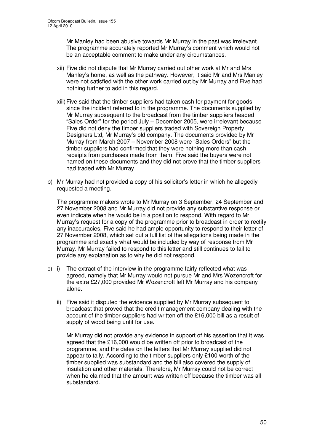Mr Manley had been abusive towards Mr Murray in the past was irrelevant. The programme accurately reported Mr Murray's comment which would not be an acceptable comment to make under any circumstances.

- xii) Five did not dispute that Mr Murray carried out other work at Mr and Mrs Manley's home, as well as the pathway. However, it said Mr and Mrs Manley were not satisfied with the other work carried out by Mr Murray and Five had nothing further to add in this regard.
- xiii)Five said that the timber suppliers had taken cash for payment for goods since the incident referred to in the programme. The documents supplied by Mr Murray subsequent to the broadcast from the timber suppliers headed "Sales Order" for the period July – December 2005, were irrelevant because Five did not deny the timber suppliers traded with Sovereign Property Designers Ltd, Mr Murray's old company. The documents provided by Mr Murray from March 2007 – November 2008 were "Sales Orders" but the timber suppliers had confirmed that they were nothing more than cash receipts from purchases made from them. Five said the buyers were not named on these documents and they did not prove that the timber suppliers had traded with Mr Murray.
- b) Mr Murray had not provided a copy of his solicitor's letter in which he allegedly requested a meeting.

The programme makers wrote to Mr Murray on 3 September, 24 September and 27 November 2008 and Mr Murray did not provide any substantive response or even indicate when he would be in a position to respond. With regard to Mr Murray's request for a copy of the programme prior to broadcast in order to rectify any inaccuracies, Five said he had ample opportunity to respond to their letter of 27 November 2008, which set out a full list of the allegations being made in the programme and exactly what would be included by way of response from Mr Murray. Mr Murray failed to respond to this letter and still continues to fail to provide any explanation as to why he did not respond.

- c) i) The extract of the interview in the programme fairly reflected what was agreed, namely that Mr Murray would not pursue Mr and Mrs Wozencroft for the extra £27,000 provided Mr Wozencroft left Mr Murray and his company alone.
	- ii) Five said it disputed the evidence supplied by Mr Murray subsequent to broadcast that proved that the credit management company dealing with the account of the timber suppliers had written off the £16,000 bill as a result of supply of wood being unfit for use.

Mr Murray did not provide any evidence in support of his assertion that it was agreed that the £16,000 would be written off prior to broadcast of the programme, and the dates on the letters that Mr Murray supplied did not appear to tally. According to the timber suppliers only £100 worth of the timber supplied was substandard and the bill also covered the supply of insulation and other materials. Therefore, Mr Murray could not be correct when he claimed that the amount was written off because the timber was all substandard.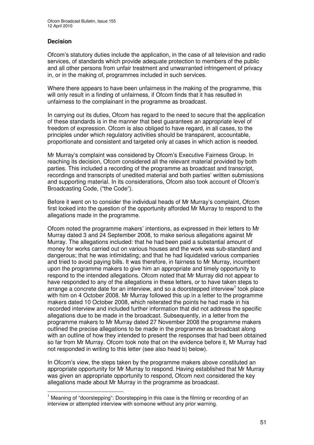# **Decision**

Ofcom's statutory duties include the application, in the case of all television and radio services, of standards which provide adequate protection to members of the public and all other persons from unfair treatment and unwarranted infringement of privacy in, or in the making of, programmes included in such services.

Where there appears to have been unfairness in the making of the programme, this will only result in a finding of unfairness, if Ofcom finds that it has resulted in unfairness to the complainant in the programme as broadcast.

In carrying out its duties, Ofcom has regard to the need to secure that the application of these standards is in the manner that best guarantees an appropriate level of freedom of expression. Ofcom is also obliged to have regard, in all cases, to the principles under which regulatory activities should be transparent, accountable, proportionate and consistent and targeted only at cases in which action is needed.

Mr Murray's complaint was considered by Ofcom's Executive Fairness Group. In reaching its decision, Ofcom considered all the relevant material provided by both parties. This included a recording of the programme as broadcast and transcript, recordings and transcripts of unedited material and both parties' written submissions and supporting material. In its considerations, Ofcom also took account of Ofcom's Broadcasting Code, ("the Code").

Before it went on to consider the individual heads of Mr Murray's complaint, Ofcom first looked into the question of the opportunity afforded Mr Murray to respond to the allegations made in the programme.

Ofcom noted the programme makers' intentions, as expressed in their letters to Mr Murray dated 3 and 24 September 2008, to make serious allegations against Mr Murray. The allegations included: that he had been paid a substantial amount of money for works carried out on various houses and the work was sub-standard and dangerous; that he was intimidating; and that he had liquidated various companies and tried to avoid paying bills. It was therefore, in fairness to Mr Murray, incumbent upon the programme makers to give him an appropriate and timely opportunity to respond to the intended allegations. Ofcom noted that Mr Murray did not appear to have responded to any of the allegations in these letters, or to have taken steps to arrange a concrete date for an interview, and so a doorstepped interview<sup>1</sup> took place with him on 4 October 2008. Mr Murray followed this up in a letter to the programme makers dated 10 October 2008, which reiterated the points he had made in his recorded interview and included further information that did not address the specific allegations due to be made in the broadcast. Subsequently, in a letter from the programme makers to Mr Murray dated 27 November 2008 the programme makers outlined the precise allegations to be made in the programme as broadcast along with an outline of how they intended to present the responses that had been obtained so far from Mr Murray. Ofcom took note that on the evidence before it, Mr Murray had not responded in writing to this letter (see also head b) below).

In Ofcom's view, the steps taken by the programme makers above constituted an appropriate opportunity for Mr Murray to respond. Having established that Mr Murray was given an appropriate opportunity to respond, Ofcom next considered the key allegations made about Mr Murray in the programme as broadcast.

<sup>&</sup>lt;sup>1</sup> Meaning of "doorstepping": Doorstepping in this case is the filming or recording of an interview or attempted interview with someone without any prior warning.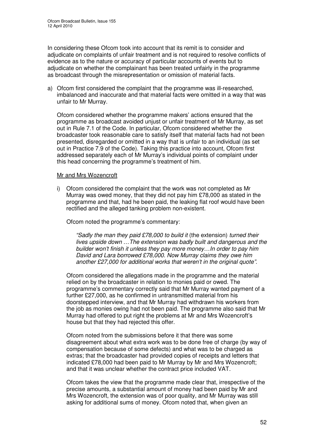In considering these Ofcom took into account that its remit is to consider and adjudicate on complaints of unfair treatment and is not required to resolve conflicts of evidence as to the nature or accuracy of particular accounts of events but to adjudicate on whether the complainant has been treated unfairly in the programme as broadcast through the misrepresentation or omission of material facts.

a) Ofcom first considered the complaint that the programme was ill-researched, imbalanced and inaccurate and that material facts were omitted in a way that was unfair to Mr Murray.

Ofcom considered whether the programme makers' actions ensured that the programme as broadcast avoided unjust or unfair treatment of Mr Murray, as set out in Rule 7.1 of the Code. In particular, Ofcom considered whether the broadcaster took reasonable care to satisfy itself that material facts had not been presented, disregarded or omitted in a way that is unfair to an individual (as set out in Practice 7.9 of the Code). Taking this practice into account, Ofcom first addressed separately each of Mr Murray's individual points of complaint under this head concerning the programme's treatment of him.

#### Mr and Mrs Wozencroft

i) Ofcom considered the complaint that the work was not completed as Mr Murray was owed money, that they did not pay him £78,000 as stated in the programme and that, had he been paid, the leaking flat roof would have been rectified and the alleged tanking problem non-existent.

Ofcom noted the programme's commentary:

*"Sadly the man they paid £78,000 to build it* (the extension) *turned their lives upside down* …*The extension was badly built and dangerous and the builder won't finish it unless they pay more money*…*In order to pay him David and Lara borrowed £78,000. Now Murray claims they owe him another £27,000 for additional works that weren't in the original quote"*.

Ofcom considered the allegations made in the programme and the material relied on by the broadcaster in relation to monies paid or owed. The programme's commentary correctly said that Mr Murray wanted payment of a further £27,000, as he confirmed in untransmitted material from his doorstepped interview, and that Mr Murray had withdrawn his workers from the job as monies owing had not been paid. The programme also said that Mr Murray had offered to put right the problems at Mr and Mrs Wozencroft's house but that they had rejected this offer.

Ofcom noted from the submissions before it that there was some disagreement about what extra work was to be done free of charge (by way of compensation because of some defects) and what was to be charged as extras; that the broadcaster had provided copies of receipts and letters that indicated £78,000 had been paid to Mr Murray by Mr and Mrs Wozencroft; and that it was unclear whether the contract price included VAT.

Ofcom takes the view that the programme made clear that, irrespective of the precise amounts, a substantial amount of money had been paid by Mr and Mrs Wozencroft, the extension was of poor quality, and Mr Murray was still asking for additional sums of money. Ofcom noted that, when given an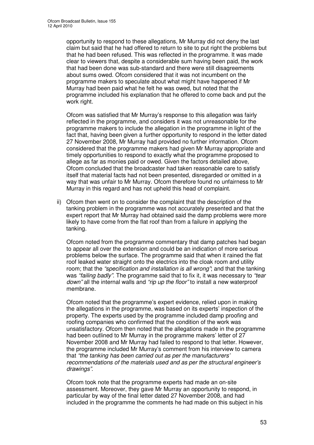opportunity to respond to these allegations, Mr Murray did not deny the last claim but said that he had offered to return to site to put right the problems but that he had been refused. This was reflected in the programme. It was made clear to viewers that, despite a considerable sum having been paid, the work that had been done was sub-standard and there were still disagreements about sums owed. Ofcom considered that it was not incumbent on the programme makers to speculate about what might have happened if Mr Murray had been paid what he felt he was owed, but noted that the programme included his explanation that he offered to come back and put the work right.

Ofcom was satisfied that Mr Murray's response to this allegation was fairly reflected in the programme, and considers it was not unreasonable for the programme makers to include the allegation in the programme in light of the fact that, having been given a further opportunity to respond in the letter dated 27 November 2008, Mr Murray had provided no further information. Ofcom considered that the programme makers had given Mr Murray appropriate and timely opportunities to respond to exactly what the programme proposed to allege as far as monies paid or owed. Given the factors detailed above, Ofcom concluded that the broadcaster had taken reasonable care to satisfy itself that material facts had not been presented, disregarded or omitted in a way that was unfair to Mr Murray. Ofcom therefore found no unfairness to Mr Murray in this regard and has not upheld this head of complaint.

ii) Ofcom then went on to consider the complaint that the description of the tanking problem in the programme was not accurately presented and that the expert report that Mr Murray had obtained said the damp problems were more likely to have come from the flat roof than from a failure in applying the tanking.

Ofcom noted from the programme commentary that damp patches had began to appear all over the extension and could be an indication of more serious problems below the surface. The programme said that when it rained the flat roof leaked water straight onto the electrics into the cloak room and utility room; that the *"specification and installation is all wrong"*; and that the tanking was *"failing badly"*. The programme said that to fix it, it was necessary to *"tear down"* all the internal walls and *"rip up the floor"* to install a new waterproof membrane.

Ofcom noted that the programme's expert evidence, relied upon in making the allegations in the programme, was based on its experts' inspection of the property. The experts used by the programme included damp proofing and roofing companies who confirmed that the condition of the work was unsatisfactory. Ofcom then noted that the allegations made in the programme had been outlined to Mr Murray in the programme makers' letter of 27 November 2008 and Mr Murray had failed to respond to that letter. However, the programme included Mr Murray's comment from his interview to camera that *"the tanking has been carried out as per the manufacturers' recommendations of the materials used and as per the structural engineer's drawings"*.

Ofcom took note that the programme experts had made an on-site assessment. Moreover, they gave Mr Murray an opportunity to respond, in particular by way of the final letter dated 27 November 2008, and had included in the programme the comments he had made on this subject in his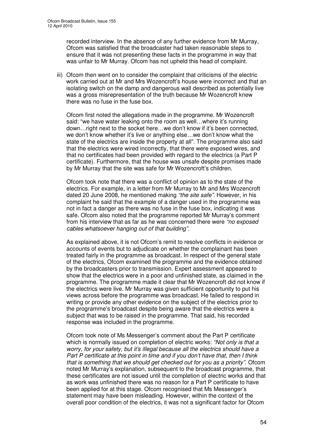recorded interview. In the absence of any further evidence from Mr Murray, Ofcom was satisfied that the broadcaster had taken reasonable steps to ensure that it was not presenting these facts in the programme in way that was unfair to Mr Murray. Ofcom has not upheld this head of complaint.

iii) Ofcom then went on to consider the complaint that criticisms of the electric work carried out at Mr and Mrs Wozencroft's house were incorrect and that an isolating switch on the damp and dangerous wall described as potentially live was a gross misrepresentation of the truth because Mr Wozencroft knew there was no fuse in the fuse box.

Ofcom first noted the allegations made in the programme. Mr Wozencroft said: "we have water leaking onto the room as well…where it's running down…right next to the socket here…we don't know if it's been connected, we don't know whether it's live or anything else…we don't know what the state of the electrics are inside the property at all". The programme also said that the electrics were wired incorrectly, that there were exposed wires, and that no certificates had been provided with regard to the electrics (a Part P certificate). Furthermore, that the house was unsafe despite promises made by Mr Murray that the site was safe for Mr Wozencroft's children.

Ofcom took note that there was a conflict of opinion as to the state of the electrics. For example, in a letter from Mr Murray to Mr and Mrs Wozencroft dated 20 June 2008, he mentioned making *"the site safe".* However, in his complaint he said that the example of a danger used in the programme was not in fact a danger as there was no fuse in the fuse box, indicating it was safe. Ofcom also noted that the programme reported Mr Murray's comment from his interview that as far as he was concerned there were *"no exposed cables whatsoever hanging out of that building"*.

As explained above, it is not Ofcom's remit to resolve conflicts in evidence or accounts of events but to adjudicate on whether the complainant has been treated fairly in the programme as broadcast. In respect of the general state of the electrics, Ofcom examined the programme and the evidence obtained by the broadcasters prior to transmission. Expert assessment appeared to show that the electrics were in a poor and unfinished state, as claimed in the programme. The programme made it clear that Mr Wozencroft did not know if the electrics were live. Mr Murray was given sufficient opportunity to put his views across before the programme was broadcast. He failed to respond in writing or provide any other evidence on the subject of the electrics prior to the programme's broadcast despite being aware that the electrics were a subject that was to be raised in the programme. That said, his recorded response was included in the programme.

Ofcom took note of Ms Messenger's comment about the Part P certificate which is normally issued on completion of electric works: *"Not only is that a worry, for your safety, but it's illegal because all the electrics should have a Part P certificate at this point in time and if you don't have that, then I think that is something that we should get checked out for you as a priority"*. Ofcom noted Mr Murray's explanation, subsequent to the broadcast programme, that these certificates are not issued until the completion of electric works and that as work was unfinished there was no reason for a Part P certificate to have been applied for at this stage. Ofcom recognised that Ms Messenger's statement may have been misleading. However, within the context of the overall poor condition of the electrics, it was not a significant factor for Ofcom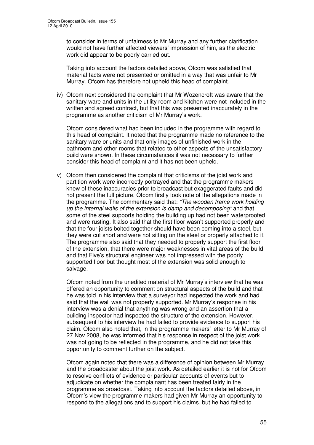to consider in terms of unfairness to Mr Murray and any further clarification would not have further affected viewers' impression of him, as the electric work did appear to be poorly carried out.

Taking into account the factors detailed above, Ofcom was satisfied that material facts were not presented or omitted in a way that was unfair to Mr Murray. Ofcom has therefore not upheld this head of complaint.

iv) Ofcom next considered the complaint that Mr Wozencroft was aware that the sanitary ware and units in the utility room and kitchen were not included in the written and agreed contract, but that this was presented inaccurately in the programme as another criticism of Mr Murray's work.

Ofcom considered what had been included in the programme with regard to this head of complaint. It noted that the programme made no reference to the sanitary ware or units and that only images of unfinished work in the bathroom and other rooms that related to other aspects of the unsatisfactory build were shown. In these circumstances it was not necessary to further consider this head of complaint and it has not been upheld.

v) Ofcom then considered the complaint that criticisms of the joist work and partition work were incorrectly portrayed and that the programme makers knew of these inaccuracies prior to broadcast but exaggerated faults and did not present the full picture. Ofcom firstly took note of the allegations made in the programme. The commentary said that: *"The wooden frame work holding up the internal walls of the extension is damp and decomposing"* and that some of the steel supports holding the building up had not been waterproofed and were rusting*.* It also said that the first floor wasn't supported properly and that the four joists bolted together should have been coming into a steel, but they were cut short and were not sitting on the steel or properly attached to it. The programme also said that they needed to properly support the first floor of the extension, that there were major weaknesses in vital areas of the build and that Five's structural engineer was not impressed with the poorly supported floor but thought most of the extension was solid enough to salvage.

Ofcom noted from the unedited material of Mr Murray's interview that he was offered an opportunity to comment on structural aspects of the build and that he was told in his interview that a surveyor had inspected the work and had said that the wall was not properly supported. Mr Murray's response in his interview was a denial that anything was wrong and an assertion that a building inspector had inspected the structure of the extension. However, subsequent to his interview he had failed to provide evidence to support his claim. Ofcom also noted that, in the programme makers' letter to Mr Murray of 27 Nov 2008, he was informed that his response in respect of the joist work was not going to be reflected in the programme, and he did not take this opportunity to comment further on the subject.

Ofcom again noted that there was a difference of opinion between Mr Murray and the broadcaster about the joist work. As detailed earlier it is not for Ofcom to resolve conflicts of evidence or particular accounts of events but to adjudicate on whether the complainant has been treated fairly in the programme as broadcast. Taking into account the factors detailed above, in Ofcom's view the programme makers had given Mr Murray an opportunity to respond to the allegations and to support his claims, but he had failed to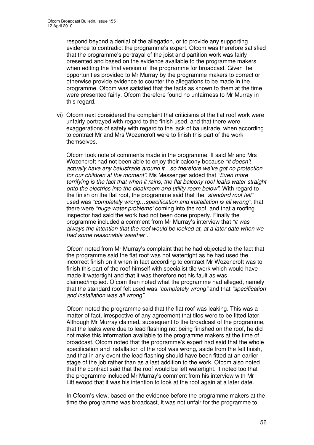respond beyond a denial of the allegation, or to provide any supporting evidence to contradict the programme's expert. Ofcom was therefore satisfied that the programme's portrayal of the joist and partition work was fairly presented and based on the evidence available to the programme makers when editing the final version of the programme for broadcast. Given the opportunities provided to Mr Murray by the programme makers to correct or otherwise provide evidence to counter the allegations to be made in the programme, Ofcom was satisfied that the facts as known to them at the time were presented fairly. Ofcom therefore found no unfairness to Mr Murray in this regard.

vi) Ofcom next considered the complaint that criticisms of the flat roof work were unfairly portrayed with regard to the finish used, and that there were exaggerations of safety with regard to the lack of balustrade, when according to contract Mr and Mrs Wozencroft were to finish this part of the work themselves.

Ofcom took note of comments made in the programme. It said Mr and Mrs Wozencroft had not been able to enjoy their balcony because *"it doesn't actually have any balustrade around it…so therefore we've got no protection for our children at the moment"*. Ms Messenger added that *"Even more terrifying is the fact that when it rains, the flat balcony roof leaks water straight onto the electrics into the cloakroom and utility room below"*. With regard to the finish on the flat roof, the programme said that the *"standard roof felt"* used was *"completely wrong…specification and installation is all wrong"*, that there were *"huge water problems"* coming into the roof, and that a roofing inspector had said the work had not been done properly. Finally the programme included a comment from Mr Murray's interview that *"it was always the intention that the roof would be looked at, at a later date when we had some reasonable weather"*.

Ofcom noted from Mr Murray's complaint that he had objected to the fact that the programme said the flat roof was not watertight as he had used the incorrect finish on it when in fact according to contract Mr Wozencroft was to finish this part of the roof himself with specialist tile work which would have made it watertight and that it was therefore not his fault as was claimed/implied. Ofcom then noted what the programme had alleged, namely that the standard roof felt used was *"completely wrong"* and that *"specification and installation was all wrong"*.

Ofcom noted the programme said that the flat roof was leaking. This was a matter of fact, irrespective of any agreement that tiles were to be fitted later. Although Mr Murray claimed, subsequent to the broadcast of the programme, that the leaks were due to lead flashing not being finished on the roof, he did not make this information available to the programme makers at the time of broadcast. Ofcom noted that the programme's expert had said that the whole specification and installation of the roof was wrong, aside from the felt finish, and that in any event the lead flashing should have been fitted at an earlier stage of the job rather than as a last addition to the work. Ofcom also noted that the contract said that the roof would be left watertight. It noted too that the programme included Mr Murray's comment from his interview with Mr Littlewood that it was his intention to look at the roof again at a later date.

In Ofcom's view, based on the evidence before the programme makers at the time the programme was broadcast, it was not unfair for the programme to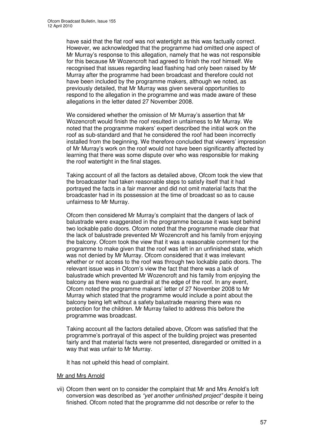have said that the flat roof was not watertight as this was factually correct. However, we acknowledged that the programme had omitted one aspect of Mr Murray's response to this allegation, namely that he was not responsible for this because Mr Wozencroft had agreed to finish the roof himself. We recognised that issues regarding lead flashing had only been raised by Mr Murray after the programme had been broadcast and therefore could not have been included by the programme makers, although we noted, as previously detailed, that Mr Murray was given several opportunities to respond to the allegation in the programme and was made aware of these allegations in the letter dated 27 November 2008.

We considered whether the omission of Mr Murray's assertion that Mr Wozencroft would finish the roof resulted in unfairness to Mr Murray. We noted that the programme makers' expert described the initial work on the roof as sub-standard and that he considered the roof had been incorrectly installed from the beginning. We therefore concluded that viewers' impression of Mr Murray's work on the roof would not have been significantly affected by learning that there was some dispute over who was responsible for making the roof watertight in the final stages.

Taking account of all the factors as detailed above, Ofcom took the view that the broadcaster had taken reasonable steps to satisfy itself that it had portrayed the facts in a fair manner and did not omit material facts that the broadcaster had in its possession at the time of broadcast so as to cause unfairness to Mr Murray.

Ofcom then considered Mr Murray's complaint that the dangers of lack of balustrade were exaggerated in the programme because it was kept behind two lockable patio doors. Ofcom noted that the programme made clear that the lack of balustrade prevented Mr Wozencroft and his family from enjoying the balcony. Ofcom took the view that it was a reasonable comment for the programme to make given that the roof was left in an unfinished state, which was not denied by Mr Murray. Ofcom considered that it was irrelevant whether or not access to the roof was through two lockable patio doors. The relevant issue was in Ofcom's view the fact that there was a lack of balustrade which prevented Mr Wozencroft and his family from enjoying the balcony as there was no guardrail at the edge of the roof. In any event, Ofcom noted the programme makers' letter of 27 November 2008 to Mr Murray which stated that the programme would include a point about the balcony being left without a safety balustrade meaning there was no protection for the children. Mr Murray failed to address this before the programme was broadcast.

Taking account all the factors detailed above, Ofcom was satisfied that the programme's portrayal of this aspect of the building project was presented fairly and that material facts were not presented, disregarded or omitted in a way that was unfair to Mr Murray.

It has not upheld this head of complaint.

#### Mr and Mrs Arnold

vii) Ofcom then went on to consider the complaint that Mr and Mrs Arnold's loft conversion was described as *"yet another unfinished project"* despite it being finished. Ofcom noted that the programme did not describe or refer to the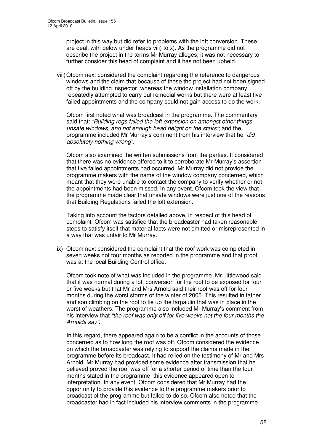project in this way but did refer to problems with the loft conversion. These are dealt with below under heads viii) to x). As the programme did not describe the project in the terms Mr Murray alleges, it was not necessary to further consider this head of complaint and it has not been upheld.

viii)Ofcom next considered the complaint regarding the reference to dangerous windows and the claim that because of these the project had not been signed off by the building inspector, whereas the window installation company repeatedly attempted to carry out remedial works but there were at least five failed appointments and the company could not gain access to do the work.

Ofcom first noted what was broadcast in the programme. The commentary said that: *"Building regs failed the loft extension on amongst other things, unsafe windows, and not enough head height on the stairs"*; and the programme included Mr Murray's comment from his interview that he *"did absolutely nothing wrong"*.

Ofcom also examined the written submissions from the parties. It considered that there was no evidence offered to it to corroborate Mr Murray's assertion that five failed appointments had occurred. Mr Murray did not provide the programme makers with the name of the window company concerned, which meant that they were unable to contact the company to verify whether or not the appointments had been missed. In any event, Ofcom took the view that the programme made clear that unsafe windows were just one of the reasons that Building Regulations failed the loft extension.

Taking into account the factors detailed above, in respect of this head of complaint, Ofcom was satisfied that the broadcaster had taken reasonable steps to satisfy itself that material facts were not omitted or misrepresented in a way that was unfair to Mr Murray.

ix) Ofcom next considered the complaint that the roof work was completed in seven weeks not four months as reported in the programme and that proof was at the local Building Control office.

Ofcom took note of what was included in the programme. Mr Littlewood said that it was normal during a loft conversion for the roof to be exposed for four or five weeks but that Mr and Mrs Arnold said their roof was off for four months during the worst storms of the winter of 2005. This resulted in father and son climbing on the roof to tie up the tarpaulin that was in place in the worst of weathers. The programme also included Mr Murray's comment from his interview that *"the roof was only off for five weeks not the four months the Arnolds say".*

In this regard, there appeared again to be a conflict in the accounts of those concerned as to how long the roof was off. Ofcom considered the evidence on which the broadcaster was relying to support the claims made in the programme before its broadcast. It had relied on the testimony of Mr and Mrs Arnold. Mr Murray had provided some evidence after transmission that he believed proved the roof was off for a shorter period of time than the four months stated in the programme; this evidence appeared open to interpretation. In any event, Ofcom considered that Mr Murray had the opportunity to provide this evidence to the programme makers prior to broadcast of the programme but failed to do so. Ofcom also noted that the broadcaster had in fact included his interview comments in the programme.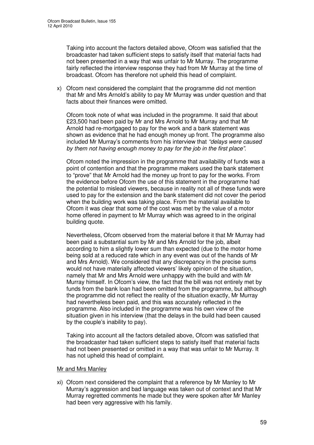Taking into account the factors detailed above, Ofcom was satisfied that the broadcaster had taken sufficient steps to satisfy itself that material facts had not been presented in a way that was unfair to Mr Murray. The programme fairly reflected the interview response they had from Mr Murray at the time of broadcast. Ofcom has therefore not upheld this head of complaint.

x) Ofcom next considered the complaint that the programme did not mention that Mr and Mrs Arnold's ability to pay Mr Murray was under question and that facts about their finances were omitted.

Ofcom took note of what was included in the programme. It said that about £23,500 had been paid by Mr and Mrs Arnold to Mr Murray and that Mr Arnold had re-mortgaged to pay for the work and a bank statement was shown as evidence that he had enough money up front. The programme also included Mr Murray's comments from his interview that *"delays were caused by them not having enough money to pay for the job in the first place"*.

Ofcom noted the impression in the programme that availability of funds was a point of contention and that the programme makers used the bank statement to "prove" that Mr Arnold had the money up front to pay for the works. From the evidence before Ofcom the use of this statement in the programme had the potential to mislead viewers, because in reality not all of these funds were used to pay for the extension and the bank statement did not cover the period when the building work was taking place. From the material available to Ofcom it was clear that some of the cost was met by the value of a motor home offered in payment to Mr Murray which was agreed to in the original building quote.

Nevertheless, Ofcom observed from the material before it that Mr Murray had been paid a substantial sum by Mr and Mrs Arnold for the job, albeit according to him a slightly lower sum than expected (due to the motor home being sold at a reduced rate which in any event was out of the hands of Mr and Mrs Arnold). We considered that any discrepancy in the precise sums would not have materially affected viewers' likely opinion of the situation, namely that Mr and Mrs Arnold were unhappy with the build and with Mr Murray himself. In Ofcom's view, the fact that the bill was not entirely met by funds from the bank loan had been omitted from the programme, but although the programme did not reflect the reality of the situation exactly, Mr Murray had nevertheless been paid, and this was accurately reflected in the programme. Also included in the programme was his own view of the situation given in his interview (that the delays in the build had been caused by the couple's inability to pay).

Taking into account all the factors detailed above, Ofcom was satisfied that the broadcaster had taken sufficient steps to satisfy itself that material facts had not been presented or omitted in a way that was unfair to Mr Murray. It has not upheld this head of complaint.

#### Mr and Mrs Manley

xi) Ofcom next considered the complaint that a reference by Mr Manley to Mr Murray's aggression and bad language was taken out of context and that Mr Murray regretted comments he made but they were spoken after Mr Manley had been very aggressive with his family.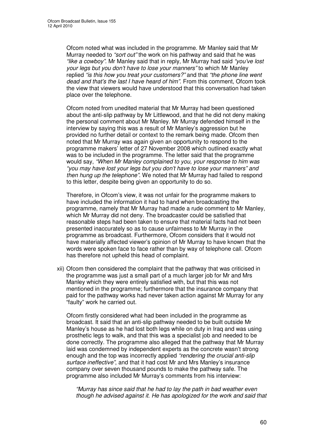Ofcom noted what was included in the programme. Mr Manley said that Mr Murray needed to *"sort out"* the work on his pathway and said that he was *"like a cowboy"*. Mr Manley said that in reply, Mr Murray had said *"you've lost your legs but you don't have to lose your manners"* to which Mr Manley replied *"is this how you treat your customers?"* and that *"the phone line went dead and that's the last I have heard of him"*. From this comment, Ofcom took the view that viewers would have understood that this conversation had taken place over the telephone.

Ofcom noted from unedited material that Mr Murray had been questioned about the anti-slip pathway by Mr Littlewood, and that he did not deny making the personal comment about Mr Manley. Mr Murray defended himself in the interview by saying this was a result of Mr Manley's aggression but he provided no further detail or context to the remark being made. Ofcom then noted that Mr Murray was again given an opportunity to respond to the programme makers' letter of 27 November 2008 which outlined exactly what was to be included in the programme. The letter said that the programme would say, *"When Mr Manley complained to you, your response to him was "you may have lost your legs but you don't have to lose your manners" and then hung up the telephone"*. We noted that Mr Murray had failed to respond to this letter, despite being given an opportunity to do so.

Therefore, in Ofcom's view, it was not unfair for the programme makers to have included the information it had to hand when broadcasting the programme, namely that Mr Murray had made a rude comment to Mr Manley, which Mr Murray did not deny. The broadcaster could be satisfied that reasonable steps had been taken to ensure that material facts had not been presented inaccurately so as to cause unfairness to Mr Murray in the programme as broadcast. Furthermore, Ofcom considers that it would not have materially affected viewer's opinion of Mr Murray to have known that the words were spoken face to face rather than by way of telephone call. Ofcom has therefore not upheld this head of complaint.

xii) Ofcom then considered the complaint that the pathway that was criticised in the programme was just a small part of a much larger job for Mr and Mrs Manley which they were entirely satisfied with, but that this was not mentioned in the programme; furthermore that the insurance company that paid for the pathway works had never taken action against Mr Murray for any "faulty" work he carried out.

Ofcom firstly considered what had been included in the programme as broadcast. It said that an anti-slip pathway needed to be built outside Mr Manley's house as he had lost both legs while on duty in Iraq and was using prosthetic legs to walk, and that this was a specialist job and needed to be done correctly. The programme also alleged that the pathway that Mr Murray laid was condemned by independent experts as the concrete wasn't strong enough and the top was incorrectly applied *"rendering the crucial anti-slip surface ineffective"*, and that it had cost Mr and Mrs Manley's insurance company over seven thousand pounds to make the pathway safe. The programme also included Mr Murray's comments from his interview:

*"Murray has since said that he had to lay the path in bad weather even though he advised against it. He has apologized for the work and said that*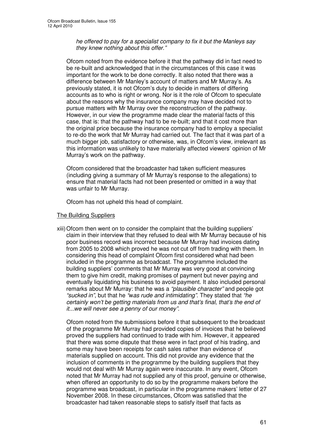*he offered to pay for a specialist company to fix it but the Manleys say they knew nothing about this offer."*

Ofcom noted from the evidence before it that the pathway did in fact need to be re-built and acknowledged that in the circumstances of this case it was important for the work to be done correctly. It also noted that there was a difference between Mr Manley's account of matters and Mr Murray's. As previously stated, it is not Ofcom's duty to decide in matters of differing accounts as to who is right or wrong. Nor is it the role of Ofcom to speculate about the reasons why the insurance company may have decided not to pursue matters with Mr Murray over the reconstruction of the pathway. However, in our view the programme made clear the material facts of this case, that is: that the pathway had to be re-built; and that it cost more than the original price because the insurance company had to employ a specialist to re-do the work that Mr Murray had carried out. The fact that it was part of a much bigger job, satisfactory or otherwise, was, in Ofcom's view, irrelevant as this information was unlikely to have materially affected viewers' opinion of Mr Murray's work on the pathway.

Ofcom considered that the broadcaster had taken sufficient measures (including giving a summary of Mr Murray's response to the allegations) to ensure that material facts had not been presented or omitted in a way that was unfair to Mr Murray.

Ofcom has not upheld this head of complaint.

#### The Building Suppliers

xiii)Ofcom then went on to consider the complaint that the building suppliers' claim in their interview that they refused to deal with Mr Murray because of his poor business record was incorrect because Mr Murray had invoices dating from 2005 to 2008 which proved he was not cut off from trading with them. In considering this head of complaint Ofcom first considered what had been included in the programme as broadcast. The programme included the building suppliers' comments that Mr Murray was very good at convincing them to give him credit, making promises of payment but never paying and eventually liquidating his business to avoid payment. It also included personal remarks about Mr Murray: that he was a *"plausible character"* and people got *"sucked in"*, but that he *"*w*as rude and intimidating"*. They stated that *"he certainly won't be getting materials from us and that's final, that's the end of it...we will never see a penny of our money".*

Ofcom noted from the submissions before it that subsequent to the broadcast of the programme Mr Murray had provided copies of invoices that he believed proved the suppliers had continued to trade with him. However, it appeared that there was some dispute that these were in fact proof of his trading, and some may have been receipts for cash sales rather than evidence of materials supplied on account. This did not provide any evidence that the inclusion of comments in the programme by the building suppliers that they would not deal with Mr Murray again were inaccurate. In any event, Ofcom noted that Mr Murray had not supplied any of this proof, genuine or otherwise, when offered an opportunity to do so by the programme makers before the programme was broadcast, in particular in the programme makers' letter of 27 November 2008. In these circumstances, Ofcom was satisfied that the broadcaster had taken reasonable steps to satisfy itself that facts as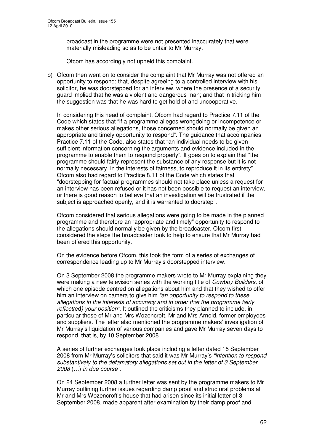broadcast in the programme were not presented inaccurately that were materially misleading so as to be unfair to Mr Murray.

Ofcom has accordingly not upheld this complaint.

b) Ofcom then went on to consider the complaint that Mr Murray was not offered an opportunity to respond; that, despite agreeing to a controlled interview with his solicitor, he was doorstepped for an interview, where the presence of a security guard implied that he was a violent and dangerous man; and that in tricking him the suggestion was that he was hard to get hold of and uncooperative.

In considering this head of complaint, Ofcom had regard to Practice 7.11 of the Code which states that "if a programme alleges wrongdoing or incompetence or makes other serious allegations, those concerned should normally be given an appropriate and timely opportunity to respond". The guidance that accompanies Practice 7.11 of the Code, also states that "an individual needs to be given sufficient information concerning the arguments and evidence included in the programme to enable them to respond properly". It goes on to explain that "the programme should fairly represent the substance of any response but it is not normally necessary, in the interests of fairness, to reproduce it in its entirety". Ofcom also had regard to Practice 8.11 of the Code which states that "doorstepping for factual programmes should not take place unless a request for an interview has been refused or it has not been possible to request an interview, or there is good reason to believe that an investigation will be frustrated if the subject is approached openly, and it is warranted to doorstep".

Ofcom considered that serious allegations were going to be made in the planned programme and therefore an "appropriate and timely" opportunity to respond to the allegations should normally be given by the broadcaster. Ofcom first considered the steps the broadcaster took to help to ensure that Mr Murray had been offered this opportunity.

On the evidence before Ofcom, this took the form of a series of exchanges of correspondence leading up to Mr Murray's doorstepped interview.

On 3 September 2008 the programme makers wrote to Mr Murray explaining they were making a new television series with the working title of *Cowboy Builders,* of which one episode centred on allegations about him and that they wished to offer him an interview on camera to give him *"an opportunity to respond to these allegations in the interests of accuracy and in order that the programme fairly reflect(*ed*) your position".* It outlined the criticisms they planned to include, in particular those of Mr and Mrs Wozencroft, Mr and Mrs Arnold, former employees and suppliers. The letter also mentioned the programme makers' investigation of Mr Murray's liquidation of various companies and gave Mr Murray seven days to respond, that is, by 10 September 2008.

A series of further exchanges took place including a letter dated 15 September 2008 from Mr Murray's solicitors that said it was Mr Murray's *"intention to respond substantively to the defamatory allegations set out in the letter of 3 September 2008* (…) *in due course"*.

On 24 September 2008 a further letter was sent by the programme makers to Mr Murray outlining further issues regarding damp proof and structural problems at Mr and Mrs Wozencroft's house that had arisen since its initial letter of 3 September 2008, made apparent after examination by their damp proof and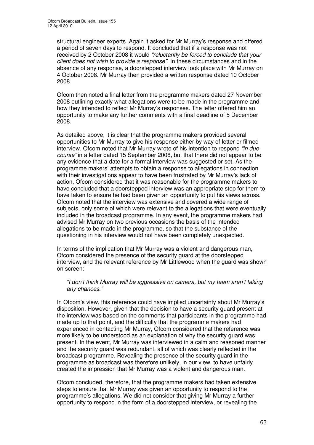structural engineer experts. Again it asked for Mr Murray's response and offered a period of seven days to respond. It concluded that if a response was not received by 2 October 2008 it would *"reluctantly be forced to conclude that your client does not wish to provide a response".* In these circumstances and in the absence of any response, a doorstepped interview took place with Mr Murray on 4 October 2008. Mr Murray then provided a written response dated 10 October 2008.

Ofcom then noted a final letter from the programme makers dated 27 November 2008 outlining exactly what allegations were to be made in the programme and how they intended to reflect Mr Murray's responses. The letter offered him an opportunity to make any further comments with a final deadline of 5 December 2008.

As detailed above, it is clear that the programme makers provided several opportunities to Mr Murray to give his response either by way of letter or filmed interview. Ofcom noted that Mr Murray wrote of his intention to respond *"in due course"* in a letter dated 15 September 2008, but that there did not appear to be any evidence that a date for a formal interview was suggested or set. As the programme makers' attempts to obtain a response to allegations in connection with their investigations appear to have been frustrated by Mr Murray's lack of action, Ofcom considered that it was reasonable for the programme makers to have concluded that a doorstepped interview was an appropriate step for them to have taken to ensure he had been given an opportunity to put his views across. Ofcom noted that the interview was extensive and covered a wide range of subjects, only some of which were relevant to the allegations that were eventually included in the broadcast programme. In any event, the programme makers had advised Mr Murray on two previous occasions the basis of the intended allegations to be made in the programme, so that the substance of the questioning in his interview would not have been completely unexpected.

In terms of the implication that Mr Murray was a violent and dangerous man, Ofcom considered the presence of the security guard at the doorstepped interview, and the relevant reference by Mr Littlewood when the guard was shown on screen:

#### *"I don't think Murray will be aggressive on camera, but my team aren't taking any chances."*

In Ofcom's view, this reference could have implied uncertainty about Mr Murray's disposition. However, given that the decision to have a security guard present at the interview was based on the comments that participants in the programme had made up to that point, and the difficulty that the programme makers had experienced in contacting Mr Murray, Ofcom considered that the reference was more likely to be understood as an explanation of why the security guard was present. In the event, Mr Murray was interviewed in a calm and reasoned manner and the security guard was redundant, all of which was clearly reflected in the broadcast programme. Revealing the presence of the security guard in the programme as broadcast was therefore unlikely, in our view, to have unfairly created the impression that Mr Murray was a violent and dangerous man.

Ofcom concluded, therefore, that the programme makers had taken extensive steps to ensure that Mr Murray was given an opportunity to respond to the programme's allegations. We did not consider that giving Mr Murray a further opportunity to respond in the form of a doorstepped interview, or revealing the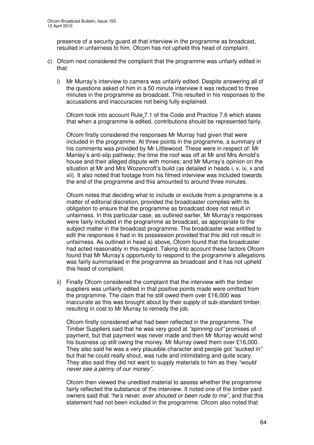presence of a security guard at that interview in the programme as broadcast, resulted in unfairness to him. Ofcom has not upheld this head of complaint.

- c) Ofcom next considered the complaint that the programme was unfairly edited in that:
	- i) Mr Murray's interview to camera was unfairly edited. Despite answering all of the questions asked of him in a 50 minute interview it was reduced to three minutes in the programme as broadcast. This resulted in his responses to the accusations and inaccuracies not being fully explained.

Ofcom took into account Rule 7.1 of the Code and Practice 7.6 which states that when a programme is edited, contributions should be represented fairly.

Ofcom firstly considered the responses Mr Murray had given that were included in the programme. At three points in the programme, a summary of his comments was provided by Mr Littlewood. These were in respect of: Mr Manley's anti-slip pathway; the time the roof was off at Mr and Mrs Arnold's house and their alleged dispute with monies; and Mr Murray's opinion on the situation at Mr and Mrs Wozencroft's build (as detailed in heads i, v, ix, x and xii). It also noted that footage from his filmed interview was included towards the end of the programme and this amounted to around three minutes.

Ofcom notes that deciding what to include or exclude from a programme is a matter of editorial discretion, provided the broadcaster complies with its obligation to ensure that the programme as broadcast does not result in unfairness. In this particular case, as outlined earlier, Mr Murray's responses were fairly included in the programme as broadcast, as appropriate to the subject matter in the broadcast programme. The broadcaster was entitled to edit the responses it had in its possession provided that this did not result in unfairness. As outlined in head a) above, Ofcom found that the broadcaster had acted reasonably in this regard. Taking into account these factors Ofcom found that Mr Murray's opportunity to respond to the programme's allegations was fairly summarised in the programme as broadcast and it has not upheld this head of complaint.

ii) Finally Ofcom considered the complaint that the interview with the timber suppliers was unfairly edited in that positive points made were omitted from the programme. The claim that he still owed them over £16,000 was inaccurate as this was brought about by their supply of sub-standard timber, resulting in cost to Mr Murray to remedy the job.

Ofcom firstly considered what had been reflected in the programme. The Timber Suppliers said that he was very good at *"spinning out"* promises of payment, but that payment was never made and then Mr Murray would wind his business up still owing the money. Mr Murray owed them over £16,000. They also said he was a very plausible character and people got *"sucked in"* but that he could really shout, was rude and intimidating and quite scary. They also said they did not want to supply materials to him as they *"would never see a penny of our money"*.

Ofcom then viewed the unedited material to assess whether the programme fairly reflected the substance of the interview. It noted one of the timber yard owners said that *"he's never, ever shouted or been rude to me"*, and that this statement had not been included in the programme. Ofcom also noted that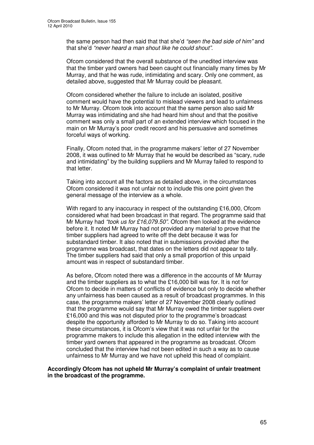the same person had then said that that she'd *"seen the bad side of him"* and that she'd *"never heard a man shout like he could shout"*.

Ofcom considered that the overall substance of the unedited interview was that the timber yard owners had been caught out financially many times by Mr Murray, and that he was rude, intimidating and scary. Only one comment, as detailed above, suggested that Mr Murray could be pleasant.

Ofcom considered whether the failure to include an isolated, positive comment would have the potential to mislead viewers and lead to unfairness to Mr Murray. Ofcom took into account that the same person also said Mr Murray was intimidating and she had heard him shout and that the positive comment was only a small part of an extended interview which focused in the main on Mr Murray's poor credit record and his persuasive and sometimes forceful ways of working.

Finally, Ofcom noted that, in the programme makers' letter of 27 November 2008, it was outlined to Mr Murray that he would be described as "scary, rude and intimidating" by the building suppliers and Mr Murray failed to respond to that letter.

Taking into account all the factors as detailed above, in the circumstances Ofcom considered it was not unfair not to include this one point given the general message of the interview as a whole.

With regard to any inaccuracy in respect of the outstanding £16,000, Ofcom considered what had been broadcast in that regard. The programme said that Mr Murray had *"took us for £16,079.50"*. Ofcom then looked at the evidence before it. It noted Mr Murray had not provided any material to prove that the timber suppliers had agreed to write off the debt because it was for substandard timber. It also noted that in submissions provided after the programme was broadcast, that dates on the letters did not appear to tally. The timber suppliers had said that only a small proportion of this unpaid amount was in respect of substandard timber.

As before, Ofcom noted there was a difference in the accounts of Mr Murray and the timber suppliers as to what the £16,000 bill was for. It is not for Ofcom to decide in matters of conflicts of evidence but only to decide whether any unfairness has been caused as a result of broadcast programmes. In this case, the programme makers' letter of 27 November 2008 clearly outlined that the programme would say that Mr Murray owed the timber suppliers over £16,000 and this was not disputed prior to the programme's broadcast despite the opportunity afforded to Mr Murray to do so. Taking into account these circumstances, it is Ofcom's view that it was not unfair for the programme makers to include this allegation in the edited interview with the timber yard owners that appeared in the programme as broadcast. Ofcom concluded that the interview had not been edited in such a way as to cause unfairness to Mr Murray and we have not upheld this head of complaint.

#### **Accordingly Ofcom has not upheld Mr Murray's complaint of unfair treatment in the broadcast of the programme.**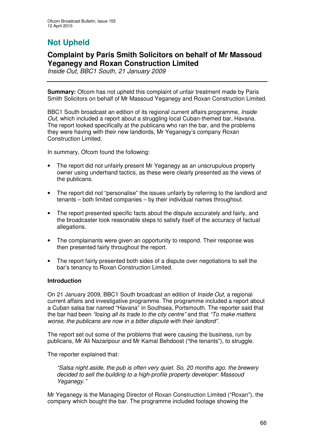# **Not Upheld**

# **Complaint by Paris Smith Solicitors on behalf of Mr Massoud Yeganegy and Roxan Construction Limited**

*Inside Out, BBC1 South, 21 January 2009*

**Summary:** Ofcom has not upheld this complaint of unfair treatment made by Paris Smith Solicitors on behalf of Mr Massoud Yeganegy and Roxan Construction Limited.

BBC1 South broadcast an edition of its regional current affairs programme, *Inside Out*, which included a report about a struggling local Cuban-themed bar, Havana. The report looked specifically at the publicans who ran the bar, and the problems they were having with their new landlords, Mr Yeganegy's company Roxan Construction Limited.

In summary, Ofcom found the following:

- The report did not unfairly present Mr Yeganegy as an unscrupulous property owner using underhand tactics, as these were clearly presented as the views of the publicans.
- The report did not "personalise" the issues unfairly by referring to the landlord and tenants – both limited companies – by their individual names throughout.
- The report presented specific facts about the dispute accurately and fairly, and the broadcaster took reasonable steps to satisfy itself of the accuracy of factual allegations.
- The complainants were given an opportunity to respond. Their response was then presented fairly throughout the report.
- The report fairly presented both sides of a dispute over negotiations to sell the bar's tenancy to Roxan Construction Limited.

#### **Introduction**

On 21 January 2009, BBC1 South broadcast an edition of *Inside Out*, a regional current affairs and investigative programme. The programme included a report about a Cuban salsa bar named "Havana" in Southsea, Portsmouth. The reporter said that the bar had been *"losing all its trade to the city centre"* and that *"To make matters worse, the publicans are now in a bitter dispute with their landlord"*.

The report set out some of the problems that were causing the business, run by publicans, Mr Ali Nazaripour and Mr Kamal Behdoost ("the tenants"), to struggle.

The reporter explained that:

*"Salsa night aside, the pub is often very quiet. So, 20 months ago, the brewery decided to sell the building to a high-profile property developer: Massoud Yeganegy."*

Mr Yeganegy is the Managing Director of Roxan Construction Limited ("Roxan"), the company which bought the bar. The programme included footage showing the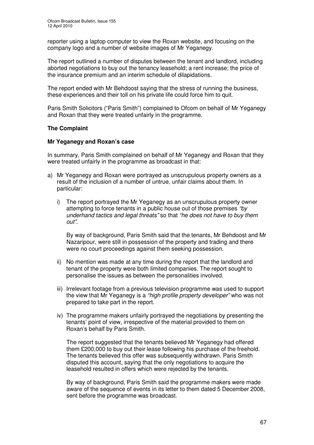reporter using a laptop computer to view the Roxan website, and focusing on the company logo and a number of website images of Mr Yeganegy.

The report outlined a number of disputes between the tenant and landlord, including aborted negotiations to buy out the tenancy leasehold; a rent increase; the price of the insurance premium and an interim schedule of dilapidations.

The report ended with Mr Behdoost saying that the stress of running the business, these experiences and their toll on his private life could force him to quit.

Paris Smith Solicitors ("Paris Smith") complained to Ofcom on behalf of Mr Yeganegy and Roxan that they were treated unfairly in the programme.

#### **The Complaint**

#### **Mr Yeganegy and Roxan's case**

In summary, Paris Smith complained on behalf of Mr Yeganegy and Roxan that they were treated unfairly in the programme as broadcast in that:

- a) Mr Yeganegy and Roxan were portrayed as unscrupulous property owners as a result of the inclusion of a number of untrue, unfair claims about them. In particular:
	- i) The report portrayed the Mr Yeganegy as an unscrupulous property owner attempting to force tenants in a public house out of those premises *"by underhand tactics and legal threats"* so that *"he does not have to buy them out"*.

By way of background, Paris Smith said that the tenants, Mr Behdoost and Mr Nazaripour, were still in possession of the property and trading and there were no court proceedings against them seeking possession.

- ii) No mention was made at any time during the report that the landlord and tenant of the property were both limited companies. The report sought to personalise the issues as between the personalities involved.
- iii) Irrelevant footage from a previous television programme was used to support the view that Mr Yeganegy is a *"high profile property developer"* who was not prepared to take part in the report.
- iv) The programme makers unfairly portrayed the negotiations by presenting the tenants' point of view, irrespective of the material provided to them on Roxan's behalf by Paris Smith.

The report suggested that the tenants believed Mr Yeganegy had offered them £200,000 to buy out their lease following his purchase of the freehold. The tenants believed this offer was subsequently withdrawn. Paris Smith disputed this account, saying that the only negotiations to acquire the leasehold resulted in offers which were rejected by the tenants.

By way of background, Paris Smith said the programme makers were made aware of the sequence of events in its letter to them dated 5 December 2008, sent before the programme was broadcast.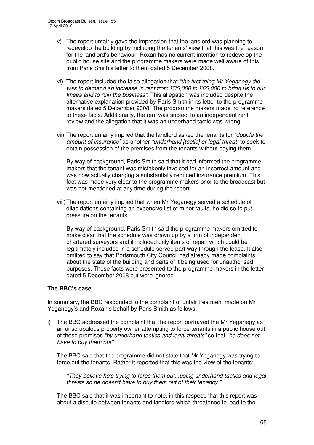- v) The report unfairly gave the impression that the landlord was planning to redevelop the building by including the tenants' view that this was the reason for the landlord's behaviour. Roxan has no current intention to redevelop the public house site and the programme makers were made well aware of this from Paris Smith's letter to them dated 5 December 2008.
- vi) The report included the false allegation that *"the first thing Mr Yeganegy did was to demand an increase in rent from £35,000 to £65,000 to bring us to our knees and to ruin the business"*. This allegation was included despite the alternative explanation provided by Paris Smith in its letter to the programme makers dated 5 December 2008. The programme makers made no reference to these facts. Additionally, the rent was subject to an independent rent review and the allegation that it was an underhand tactic was wrong.
- vii) The report unfairly implied that the landlord asked the tenants for *"double the amount of insurance"* as another *"underhand [tactic] or legal threat"* to seek to obtain possession of the premises from the tenants without paying them.

By way of background, Paris Smith said that it had informed the programme makers that the tenant was mistakenly invoiced for an incorrect amount and was now actually charging a substantially reduced insurance premium. This fact was made very clear to the programme makers prior to the broadcast but was not mentioned at any time during the report.

viii)The report unfairly implied that when Mr Yeganegy served a schedule of dilapidations containing an expensive list of minor faults, he did so to put pressure on the tenants.

By way of background, Paris Smith said the programme makers omitted to make clear that the schedule was drawn up by a firm of independent chartered surveyors and it included only items of repair which could be legitimately included in a schedule served part way through the lease. It also omitted to say that Portsmouth City Council had already made complaints about the state of the building and parts of it being used for unauthorised purposes. These facts were presented to the programme makers in the letter dated 5 December 2008 but were ignored.

#### **The BBC's case**

In summary, the BBC responded to the complaint of unfair treatment made on Mr Yeganegy's and Roxan's behalf by Paris Smith as follows:

i) The BBC addressed the complaint that the report portrayed the Mr Yeganegy as an unscrupulous property owner attempting to force tenants in a public house out of those premises *"by underhand tactics and legal threats"* so that *"he does not have to buy them out"*.

The BBC said that the programme did not state that Mr Yeganegy was trying to force out the tenants. Rather it reported that this was the view of the tenants:

*"They believe he's trying to force them out...using underhand tactics and legal threats so he doesn't have to buy them out of their tenancy."*

The BBC said that it was important to note, in this respect, that this report was about a dispute between tenants and landlord which threatened to lead to the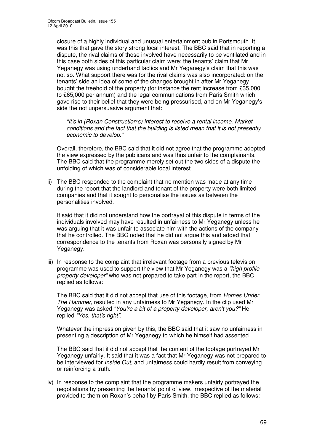closure of a highly individual and unusual entertainment pub in Portsmouth. It was this that gave the story strong local interest. The BBC said that in reporting a dispute, the rival claims of those involved have necessarily to be ventilated and in this case both sides of this particular claim were: the tenants' claim that Mr Yeganegy was using underhand tactics and Mr Yeganegy's claim that this was not so. What support there was for the rival claims was also incorporated: on the tenants' side an idea of some of the changes brought in after Mr Yeganegy bought the freehold of the property (for instance the rent increase from £35,000 to £65,000 per annum) and the legal communications from Paris Smith which gave rise to their belief that they were being pressurised, and on Mr Yeganegy's side the not unpersuasive argument that:

*"It's in (Roxan Construction's) interest to receive a rental income. Market conditions and the fact that the building is listed mean that it is not presently economic to develop."*

Overall, therefore, the BBC said that it did not agree that the programme adopted the view expressed by the publicans and was thus unfair to the complainants. The BBC said that the programme merely set out the two sides of a dispute the unfolding of which was of considerable local interest.

ii) The BBC responded to the complaint that no mention was made at any time during the report that the landlord and tenant of the property were both limited companies and that it sought to personalise the issues as between the personalities involved.

It said that it did not understand how the portrayal of this dispute in terms of the individuals involved may have resulted in unfairness to Mr Yeganegy unless he was arguing that it was unfair to associate him with the actions of the company that he controlled. The BBC noted that he did not argue this and added that correspondence to the tenants from Roxan was personally signed by Mr Yeganegy.

iii) In response to the complaint that irrelevant footage from a previous television programme was used to support the view that Mr Yeganegy was a *"high profile property developer"* who was not prepared to take part in the report, the BBC replied as follows:

The BBC said that it did not accept that use of this footage, from *Homes Under The Hammer*, resulted in any unfairness to Mr Yeganegy. In the clip used Mr Yeganegy was asked *"You're a bit of a property developer, aren't you?"* He replied *"Yes, that's right"*.

Whatever the impression given by this, the BBC said that it saw no unfairness in presenting a description of Mr Yeganegy to which he himself had assented.

The BBC said that it did not accept that the content of the footage portrayed Mr Yeganegy unfairly. It said that it was a fact that Mr Yeganegy was not prepared to be interviewed for *Inside Out*, and unfairness could hardly result from conveying or reinforcing a truth.

iv) In response to the complaint that the programme makers unfairly portrayed the negotiations by presenting the tenants' point of view, irrespective of the material provided to them on Roxan's behalf by Paris Smith, the BBC replied as follows: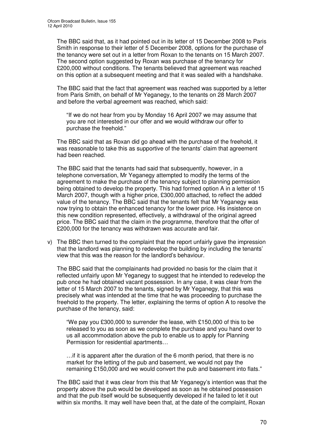The BBC said that, as it had pointed out in its letter of 15 December 2008 to Paris Smith in response to their letter of 5 December 2008, options for the purchase of the tenancy were set out in a letter from Roxan to the tenants on 15 March 2007. The second option suggested by Roxan was purchase of the tenancy for £200,000 without conditions. The tenants believed that agreement was reached on this option at a subsequent meeting and that it was sealed with a handshake.

The BBC said that the fact that agreement was reached was supported by a letter from Paris Smith, on behalf of Mr Yeganegy, to the tenants on 28 March 2007 and before the verbal agreement was reached, which said:

"If we do not hear from you by Monday 16 April 2007 we may assume that you are not interested in our offer and we would withdraw our offer to purchase the freehold."

The BBC said that as Roxan did go ahead with the purchase of the freehold, it was reasonable to take this as supportive of the tenants' claim that agreement had been reached.

The BBC said that the tenants had said that subsequently, however, in a telephone conversation, Mr Yeganegy attempted to modify the terms of the agreement to make the purchase of the tenancy subject to planning permission being obtained to develop the property. This had formed option A in a letter of 15 March 2007, though with a higher price, £300,000 attached, to reflect the added value of the tenancy. The BBC said that the tenants felt that Mr Yeganegy was now trying to obtain the enhanced tenancy for the lower price. His insistence on this new condition represented, effectively, a withdrawal of the original agreed price. The BBC said that the claim in the programme, therefore that the offer of £200,000 for the tenancy was withdrawn was accurate and fair.

v) The BBC then turned to the complaint that the report unfairly gave the impression that the landlord was planning to redevelop the building by including the tenants' view that this was the reason for the landlord's behaviour.

The BBC said that the complainants had provided no basis for the claim that it reflected unfairly upon Mr Yeganegy to suggest that he intended to redevelop the pub once he had obtained vacant possession. In any case, it was clear from the letter of 15 March 2007 to the tenants, signed by Mr Yeganegy, that this was precisely what was intended at the time that he was proceeding to purchase the freehold to the property. The letter, explaining the terms of option A to resolve the purchase of the tenancy, said:

"We pay you £300,000 to surrender the lease, with £150,000 of this to be released to you as soon as we complete the purchase and you hand over to us all accommodation above the pub to enable us to apply for Planning Permission for residential apartments…

…if it is apparent after the duration of the 6 month period, that there is no market for the letting of the pub and basement, we would not pay the remaining £150,000 and we would convert the pub and basement into flats."

The BBC said that it was clear from this that Mr Yeganegy's intention was that the property above the pub would be developed as soon as he obtained possession and that the pub itself would be subsequently developed if he failed to let it out within six months. It may well have been that, at the date of the complaint, Roxan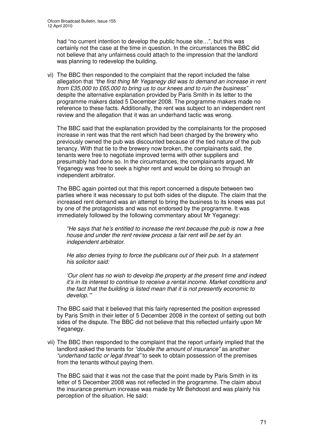had "no current intention to develop the public house site…", but this was certainly not the case at the time in question. In the circumstances the BBC did not believe that any unfairness could attach to the impression that the landlord was planning to redevelop the building.

vi) The BBC then responded to the complaint that the report included the false allegation that *"the first thing Mr Yeganegy did was to demand an increase in rent from £35,000 to £65,000 to bring us to our knees and to ruin the business"* despite the alternative explanation provided by Paris Smith in its letter to the programme makers dated 5 December 2008. The programme makers made no reference to these facts. Additionally, the rent was subject to an independent rent review and the allegation that it was an underhand tactic was wrong.

The BBC said that the explanation provided by the complainants for the proposed increase in rent was that the rent which had been charged by the brewery who previously owned the pub was discounted because of the tied nature of the pub tenancy. With that tie to the brewery now broken, the complainants said, the tenants were free to negotiate improved terms with other suppliers and presumably had done so. In the circumstances, the complainants argued, Mr Yeganegy was free to seek a higher rent and would be doing so through an independent arbitrator.

The BBC again pointed out that this report concerned a dispute between two parties where it was necessary to put both sides of the dispute. The claim that the increased rent demand was an attempt to bring the business to its knees was put by one of the protagonists and was not endorsed by the programme. It was immediately followed by the following commentary about Mr Yeganegy:

*"He says that he's entitled to increase the rent because the pub is now a free house and under the rent review process a fair rent will be set by an independent arbitrator.*

*He also denies trying to force the publicans out of their pub. In a statement his solicitor said:*

*'Our client has no wish to develop the property at the present time and indeed it's in its interest to continue to receive a rental income. Market conditions and the fact that the building is listed mean that it is not presently economic to develop.'"*

The BBC said that it believed that this fairly represented the position expressed by Paris Smith in their letter of 5 December 2008 in the context of setting out both sides of the dispute. The BBC did not believe that this reflected unfairly upon Mr Yeganegy.

vii) The BBC then responded to the complaint that the report unfairly implied that the landlord asked the tenants for *"double the amount of insurance"* as another *"underhand tactic or legal threat"* to seek to obtain possession of the premises from the tenants without paying them.

The BBC said that it was not the case that the point made by Paris Smith in its letter of 5 December 2008 was not reflected in the programme. The claim about the insurance premium increase was made by Mr Behdoost and was plainly his perception of the situation. He said: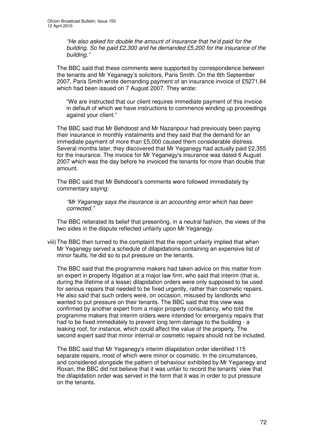*"He also asked for double the amount of insurance that he'd paid for the building. So he paid £2,300 and he demanded £5,200 for the insurance of the building."*

The BBC said that these comments were supported by correspondence between the tenants and Mr Yeganegy's solicitors, Paris Smith. On the 6th September 2007, Paris Smith wrote demanding payment of an insurance invoice of £5271.84 which had been issued on 7 August 2007. They wrote:

"We are instructed that our client requires immediate payment of this invoice in default of which we have instructions to commence winding up proceedings against your client."

The BBC said that Mr Behdoost and Mr Nazaripour had previously been paying their insurance in monthly instalments and they said that the demand for an immediate payment of more than £5,000 caused them considerable distress. Several months later, they discovered that Mr Yeganegy had actually paid £2,355 for the insurance. The invoice for Mr Yeganegy's insurance was dated 6 August 2007 which was the day before he invoiced the tenants for more than double that amount.

The BBC said that Mr Behdoost's comments were followed immediately by commentary saying:

*"Mr Yeganegy says the insurance is an accounting error which has been corrected."*

The BBC reiterated its belief that presenting, in a neutral fashion, the views of the two sides in the dispute reflected unfairly upon Mr Yeganegy.

viii)The BBC then turned to the complaint that the report unfairly implied that when Mr Yeganegy served a schedule of dilapidations containing an expensive list of minor faults, he did so to put pressure on the tenants.

The BBC said that the programme makers had taken advice on this matter from an expert in property litigation at a major law firm, who said that interim (that is, during the lifetime of a lease) dilapidation orders were only supposed to be used for serious repairs that needed to be fixed urgently, rather than cosmetic repairs. He also said that such orders were, on occasion, misused by landlords who wanted to put pressure on their tenants. The BBC said that this view was confirmed by another expert from a major property consultancy, who told the programme makers that interim orders were intended for emergency repairs that had to be fixed immediately to prevent long term damage to the building - a leaking roof, for instance, which could affect the value of the property. The second expert said that minor internal or cosmetic repairs should not be included.

The BBC said that Mr Yeganegy's interim dilapidation order identified 115 separate repairs, most of which were minor or cosmetic. In the circumstances, and considered alongside the pattern of behaviour exhibited by Mr Yeganegy and Roxan, the BBC did not believe that it was unfair to record the tenants' view that the dilapidation order was served in the form that it was in order to put pressure on the tenants.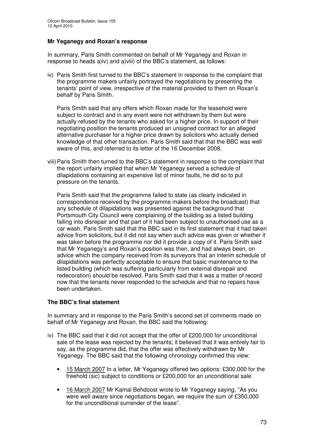### **Mr Yeganegy and Roxan's response**

In summary, Paris Smith commented on behalf of Mr Yeganegy and Roxan in response to heads a)iv) and a)viii) of the BBC's statement, as follows:

iv) Paris Smith first turned to the BBC's statement in response to the complaint that the programme makers unfairly portrayed the negotiations by presenting the tenants' point of view, irrespective of the material provided to them on Roxan's behalf by Paris Smith.

Paris Smith said that any offers which Roxan made for the leasehold were subject to contract and in any event were not withdrawn by them but were actually refused by the tenants who asked for a higher price. In support of their negotiating position the tenants produced an unsigned contract for an alleged alternative purchaser for a higher price drawn by solicitors who actually denied knowledge of that other transaction. Paris Smith said that that the BBC was well aware of this, and referred to its letter of the 16 December 2008.

viii)Paris Smith then turned to the BBC's statement in response to the complaint that the report unfairly implied that when Mr Yeganegy served a schedule of dilapidations containing an expensive list of minor faults, he did so to put pressure on the tenants.

Paris Smith said that the programme failed to state (as clearly indicated in correspondence received by the programme makers before the broadcast) that any schedule of dilapidations was presented against the background that Portsmouth City Council were complaining of the building as a listed building falling into disrepair and that part of it had been subject to unauthorised use as a car wash. Paris Smith said that the BBC said in its first statement that it had taken advice from solicitors, but it did not say when such advice was given or whether it was taken before the programme nor did it provide a copy of it. Paris Smith said that Mr Yeganegy's and Roxan's position was then, and had always been, on advice which the company received from its surveyors that an interim schedule of dilapidations was perfectly acceptable to ensure that basic maintenance to the listed building (which was suffering particularly from external disrepair and redecoration) should be resolved. Paris Smith said that it was a matter of record now that the tenants never responded to the schedule and that no repairs have been undertaken.

#### **The BBC's final statement**

In summary and in response to the Paris Smith's second set of comments made on behalf of Mr Yeganegy and Roxan, the BBC said the following:

- iv) The BBC said that it did not accept that the offer of £200,000 for unconditional sale of the lease was rejected by the tenants; it believed that it was entirely fair to say, as the programme did, that the offer was effectively withdrawn by Mr Yeganegy. The BBC said that the following chronology confirmed this view:
	- 15 March 2007 In a letter, Mr Yeganegy offered two options: £300,000 for the freehold (sic) subject to conditions or £200,000 for an unconditional sale.
	- 16 March 2007 Mr Kamal Behdoost wrote to Mr Yeganegy saying, "As you were well aware since negotiations began, we require the sum of £350,000 for the unconditional surrender of the lease".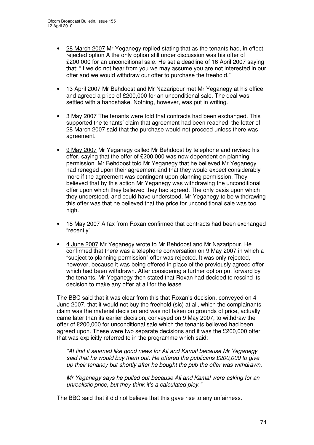- 28 March 2007 Mr Yeganegy replied stating that as the tenants had, in effect, rejected option A the only option still under discussion was his offer of £200,000 for an unconditional sale. He set a deadline of 16 April 2007 saying that: "If we do not hear from you we may assume you are not interested in our offer and we would withdraw our offer to purchase the freehold."
- 13 April 2007 Mr Behdoost and Mr Nazaripour met Mr Yeganegy at his office and agreed a price of £200,000 for an unconditional sale. The deal was settled with a handshake. Nothing, however, was put in writing.
- 3 May 2007 The tenants were told that contracts had been exchanged. This supported the tenants' claim that agreement had been reached: the letter of 28 March 2007 said that the purchase would not proceed unless there was agreement.
- 9 May 2007 Mr Yeganegy called Mr Behdoost by telephone and revised his offer, saying that the offer of £200,000 was now dependent on planning permission. Mr Behdoost told Mr Yeganegy that he believed Mr Yeganegy had reneged upon their agreement and that they would expect considerably more if the agreement was contingent upon planning permission. They believed that by this action Mr Yeganegy was withdrawing the unconditional offer upon which they believed they had agreed. The only basis upon which they understood, and could have understood, Mr Yeganegy to be withdrawing this offer was that he believed that the price for unconditional sale was too high.
- 18 May 2007 A fax from Roxan confirmed that contracts had been exchanged "recently".
- 4 June 2007 Mr Yeganegy wrote to Mr Behdoost and Mr Nazaripour. He confirmed that there was a telephone conversation on 9 May 2007 in which a "subject to planning permission" offer was rejected. It was only rejected, however, because it was being offered in place of the previously agreed offer which had been withdrawn. After considering a further option put forward by the tenants, Mr Yeganegy then stated that Roxan had decided to rescind its decision to make any offer at all for the lease.

The BBC said that it was clear from this that Roxan's decision, conveyed on 4 June 2007, that it would not buy the freehold (sic) at all, which the complainants claim was the material decision and was not taken on grounds of price, actually came later than its earlier decision, conveyed on 9 May 2007, to withdraw the offer of £200,000 for unconditional sale which the tenants believed had been agreed upon. These were two separate decisions and it was the £200,000 offer that was explicitly referred to in the programme which said:

*"At first it seemed like good news for Ali and Kamal because Mr Yeganegy said that he would buy them out. He offered the publicans £200,000 to give up their tenancy but shortly after he bought the pub the offer was withdrawn.*

*Mr Yeganegy says he pulled out because Ali and Kamal were asking for an unrealistic price, but they think it's a calculated ploy."*

The BBC said that it did not believe that this gave rise to any unfairness.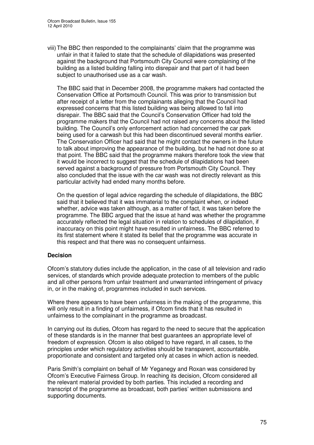viii)The BBC then responded to the complainants' claim that the programme was unfair in that it failed to state that the schedule of dilapidations was presented against the background that Portsmouth City Council were complaining of the building as a listed building falling into disrepair and that part of it had been subject to unauthorised use as a car wash.

The BBC said that in December 2008, the programme makers had contacted the Conservation Office at Portsmouth Council. This was prior to transmission but after receipt of a letter from the complainants alleging that the Council had expressed concerns that this listed building was being allowed to fall into disrepair. The BBC said that the Council's Conservation Officer had told the programme makers that the Council had not raised any concerns about the listed building. The Council's only enforcement action had concerned the car park being used for a carwash but this had been discontinued several months earlier. The Conservation Officer had said that he might contact the owners in the future to talk about improving the appearance of the building, but he had not done so at that point. The BBC said that the programme makers therefore took the view that it would be incorrect to suggest that the schedule of dilapidations had been served against a background of pressure from Portsmouth City Council. They also concluded that the issue with the car wash was not directly relevant as this particular activity had ended many months before.

On the question of legal advice regarding the schedule of dilapidations, the BBC said that it believed that it was immaterial to the complaint when, or indeed whether, advice was taken although, as a matter of fact, it was taken before the programme. The BBC argued that the issue at hand was whether the programme accurately reflected the legal situation in relation to schedules of dilapidation, if inaccuracy on this point might have resulted in unfairness. The BBC referred to its first statement where it stated its belief that the programme was accurate in this respect and that there was no consequent unfairness.

#### **Decision**

Ofcom's statutory duties include the application, in the case of all television and radio services, of standards which provide adequate protection to members of the public and all other persons from unfair treatment and unwarranted infringement of privacy in, or in the making of, programmes included in such services.

Where there appears to have been unfairness in the making of the programme, this will only result in a finding of unfairness, if Ofcom finds that it has resulted in unfairness to the complainant in the programme as broadcast.

In carrying out its duties, Ofcom has regard to the need to secure that the application of these standards is in the manner that best guarantees an appropriate level of freedom of expression. Ofcom is also obliged to have regard, in all cases, to the principles under which regulatory activities should be transparent, accountable, proportionate and consistent and targeted only at cases in which action is needed.

Paris Smith's complaint on behalf of Mr Yeganegy and Roxan was considered by Ofcom's Executive Fairness Group. In reaching its decision, Ofcom considered all the relevant material provided by both parties. This included a recording and transcript of the programme as broadcast, both parties' written submissions and supporting documents.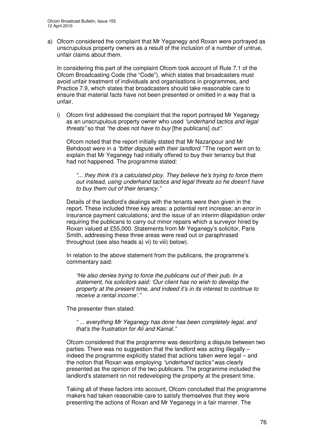a) Ofcom considered the complaint that Mr Yeganegy and Roxan were portrayed as unscrupulous property owners as a result of the inclusion of a number of untrue, unfair claims about them.

In considering this part of the complaint Ofcom took account of Rule 7.1 of the Ofcom Broadcasting Code (the "Code"), which states that broadcasters must avoid unfair treatment of individuals and organisations in programmes, and Practice 7.9, which states that broadcasters should take reasonable care to ensure that material facts have not been presented or omitted in a way that is unfair.

i) Ofcom first addressed the complaint that the report portrayed Mr Yeganegy as an unscrupulous property owner who used *"underhand tactics and legal threats"* so that *"he does not have to buy* [the publicans] *out"*.

Ofcom noted that the report initially stated that Mr Nazaripour and Mr Behdoost were in a *"bitter dispute with their landlord."* The report went on to explain that Mr Yeganegy had initially offered to buy their tenancy but that had not happened. The programme stated:

*"... they think it's a calculated ploy. They believe he's trying to force them out instead, using underhand tactics and legal threats so he doesn't have to buy them out of their tenancy."*

Details of the landlord's dealings with the tenants were then given in the report. These included three key areas: a potential rent increase; an error in insurance payment calculations; and the issue of an interim dilapidation order requiring the publicans to carry out minor repairs which a surveyor hired by Roxan valued at £55,000. Statements from Mr Yeganegy's solicitor, Paris Smith, addressing these three areas were read out or paraphrased throughout (see also heads a) vi) to viii) below).

In relation to the above statement from the publicans, the programme's commentary said:

*"He also denies trying to force the publicans out of their pub. In a statement, his solicitors said: 'Our client has no wish to develop the property at the present time, and indeed it's in its interest to continue to receive a rental income'."*

The presenter then stated:

*" ... everything Mr Yeganegy has done has been completely legal, and that's the frustration for Ali and Kamal."*

Ofcom considered that the programme was describing a dispute between two parties. There was no suggestion that the landlord was acting illegally – indeed the programme explicitly stated that actions taken were legal – and the notion that Roxan was employing *"underhand tactics"* was clearly presented as the opinion of the two publicans. The programme included the landlord's statement on not redeveloping the property at the present time.

Taking all of these factors into account, Ofcom concluded that the programme makers had taken reasonable care to satisfy themselves that they were presenting the actions of Roxan and Mr Yeganegy in a fair manner. The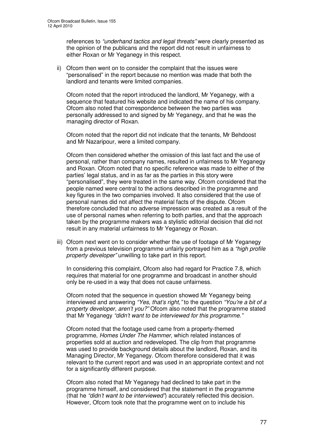references to *"underhand tactics and legal threats"* were clearly presented as the opinion of the publicans and the report did not result in unfairness to either Roxan or Mr Yeganegy in this respect.

ii) Ofcom then went on to consider the complaint that the issues were "personalised" in the report because no mention was made that both the landlord and tenants were limited companies.

Ofcom noted that the report introduced the landlord, Mr Yeganegy, with a sequence that featured his website and indicated the name of his company. Ofcom also noted that correspondence between the two parties was personally addressed to and signed by Mr Yeganegy, and that he was the managing director of Roxan.

Ofcom noted that the report did not indicate that the tenants, Mr Behdoost and Mr Nazaripour, were a limited company.

Ofcom then considered whether the omission of this last fact and the use of personal, rather than company names, resulted in unfairness to Mr Yeganegy and Roxan. Ofcom noted that no specific reference was made to either of the parties' legal status, and in as far as the parties in this story were "personalised", they were treated in the same way. Ofcom considered that the people named were central to the actions described in the programme and key figures in the two companies involved. It also considered that the use of personal names did not affect the material facts of the dispute. Ofcom therefore concluded that no adverse impression was created as a result of the use of personal names when referring to both parties, and that the approach taken by the programme makers was a stylistic editorial decision that did not result in any material unfairness to Mr Yeganegy or Roxan.

iii) Ofcom next went on to consider whether the use of footage of Mr Yeganegy from a previous television programme unfairly portrayed him as a *"high profile property developer"* unwilling to take part in this report.

In considering this complaint, Ofcom also had regard for Practice 7.8, which requires that material for one programme and broadcast in another should only be re-used in a way that does not cause unfairness.

Ofcom noted that the sequence in question showed Mr Yeganegy being interviewed and answering *"Yes, that's right,"* to the question *"You're a bit of a property developer, aren't you?"* Ofcom also noted that the programme stated that Mr Yeganegy *"didn't want to be interviewed for this programme."*

Ofcom noted that the footage used came from a property-themed programme, *Homes Under The Hammer,* which related instances of properties sold at auction and redeveloped. The clip from that programme was used to provide background details about the landlord, Roxan, and its Managing Director, Mr Yeganegy. Ofcom therefore considered that it was relevant to the current report and was used in an appropriate context and not for a significantly different purpose.

Ofcom also noted that Mr Yeganegy had declined to take part in the programme himself, and considered that the statement in the programme (that he *"didn't want to be interviewed"*) accurately reflected this decision. However, Ofcom took note that the programme went on to include his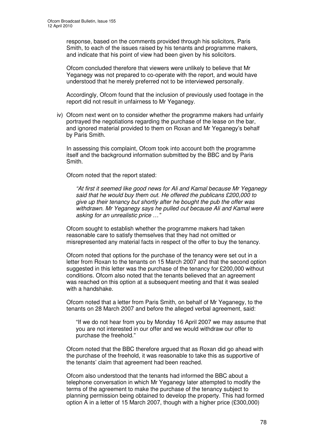response, based on the comments provided through his solicitors, Paris Smith, to each of the issues raised by his tenants and programme makers, and indicate that his point of view had been given by his solicitors.

Ofcom concluded therefore that viewers were unlikely to believe that Mr Yeganegy was not prepared to co-operate with the report, and would have understood that he merely preferred not to be interviewed personally.

Accordingly, Ofcom found that the inclusion of previously used footage in the report did not result in unfairness to Mr Yeganegy.

iv) Ofcom next went on to consider whether the programme makers had unfairly portrayed the negotiations regarding the purchase of the lease on the bar, and ignored material provided to them on Roxan and Mr Yeganegy's behalf by Paris Smith.

In assessing this complaint, Ofcom took into account both the programme itself and the background information submitted by the BBC and by Paris Smith.

Ofcom noted that the report stated:

*"At first it seemed like good news for Ali and Kamal because Mr Yeganegy said that he would buy them out. He offered the publicans £200,000 to give up their tenancy but shortly after he bought the pub the offer was withdrawn. Mr Yeganegy says he pulled out because Ali and Kamal were asking for an unrealistic price …"*

Ofcom sought to establish whether the programme makers had taken reasonable care to satisfy themselves that they had not omitted or misrepresented any material facts in respect of the offer to buy the tenancy.

Ofcom noted that options for the purchase of the tenancy were set out in a letter from Roxan to the tenants on 15 March 2007 and that the second option suggested in this letter was the purchase of the tenancy for £200,000 without conditions. Ofcom also noted that the tenants believed that an agreement was reached on this option at a subsequent meeting and that it was sealed with a handshake.

Ofcom noted that a letter from Paris Smith, on behalf of Mr Yeganegy, to the tenants on 28 March 2007 and before the alleged verbal agreement, said:

"If we do not hear from you by Monday 16 April 2007 we may assume that you are not interested in our offer and we would withdraw our offer to purchase the freehold."

Ofcom noted that the BBC therefore argued that as Roxan did go ahead with the purchase of the freehold, it was reasonable to take this as supportive of the tenants' claim that agreement had been reached.

Ofcom also understood that the tenants had informed the BBC about a telephone conversation in which Mr Yeganegy later attempted to modify the terms of the agreement to make the purchase of the tenancy subject to planning permission being obtained to develop the property. This had formed option A in a letter of 15 March 2007, though with a higher price (£300,000)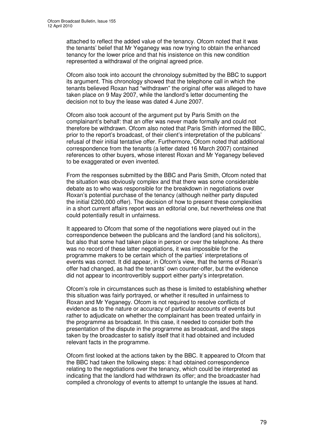attached to reflect the added value of the tenancy. Ofcom noted that it was the tenants' belief that Mr Yeganegy was now trying to obtain the enhanced tenancy for the lower price and that his insistence on this new condition represented a withdrawal of the original agreed price.

Ofcom also took into account the chronology submitted by the BBC to support its argument. This chronology showed that the telephone call in which the tenants believed Roxan had "withdrawn" the original offer was alleged to have taken place on 9 May 2007, while the landlord's letter documenting the decision not to buy the lease was dated 4 June 2007.

Ofcom also took account of the argument put by Paris Smith on the complainant's behalf: that an offer was never made formally and could not therefore be withdrawn. Ofcom also noted that Paris Smith informed the BBC, prior to the report's broadcast, of their client's interpretation of the publicans' refusal of their initial tentative offer. Furthermore, Ofcom noted that additional correspondence from the tenants (a letter dated 16 March 2007) contained references to other buyers, whose interest Roxan and Mr Yeganegy believed to be exaggerated or even invented.

From the responses submitted by the BBC and Paris Smith, Ofcom noted that the situation was obviously complex and that there was some considerable debate as to who was responsible for the breakdown in negotiations over Roxan's potential purchase of the tenancy (although neither party disputed the initial £200,000 offer). The decision of how to present these complexities in a short current affairs report was an editorial one, but nevertheless one that could potentially result in unfairness.

It appeared to Ofcom that some of the negotiations were played out in the correspondence between the publicans and the landlord (and his solicitors), but also that some had taken place in person or over the telephone. As there was no record of these latter negotiations, it was impossible for the programme makers to be certain which of the parties' interpretations of events was correct. It did appear, in Ofcom's view, that the terms of Roxan's offer had changed, as had the tenants' own counter-offer, but the evidence did not appear to incontrovertibly support either party's interpretation.

Ofcom's role in circumstances such as these is limited to establishing whether this situation was fairly portrayed, or whether it resulted in unfairness to Roxan and Mr Yeganegy. Ofcom is not required to resolve conflicts of evidence as to the nature or accuracy of particular accounts of events but rather to adjudicate on whether the complainant has been treated unfairly in the programme as broadcast. In this case, it needed to consider both the presentation of the dispute in the programme as broadcast, and the steps taken by the broadcaster to satisfy itself that it had obtained and included relevant facts in the programme.

Ofcom first looked at the actions taken by the BBC. It appeared to Ofcom that the BBC had taken the following steps: it had obtained correspondence relating to the negotiations over the tenancy, which could be interpreted as indicating that the landlord had withdrawn its offer; and the broadcaster had compiled a chronology of events to attempt to untangle the issues at hand.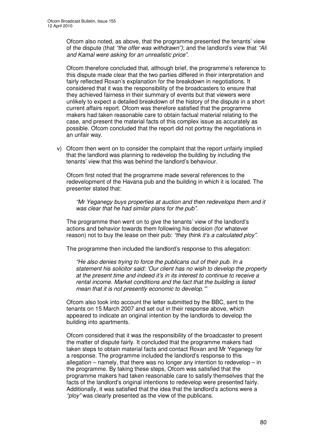Ofcom also noted, as above, that the programme presented the tenants' view of the dispute (that *"the offer was withdrawn")*; and the landlord's view that *"Ali and Kamal were asking for an unrealistic price".*

Ofcom therefore concluded that, although brief, the programme's reference to this dispute made clear that the two parties differed in their interpretation and fairly reflected Roxan's explanation for the breakdown in negotiations. It considered that it was the responsibility of the broadcasters to ensure that they achieved fairness in their summary of events but that viewers were unlikely to expect a detailed breakdown of the history of the dispute in a short current affairs report. Ofcom was therefore satisfied that the programme makers had taken reasonable care to obtain factual material relating to the case, and present the material facts of this complex issue as accurately as possible. Ofcom concluded that the report did not portray the negotiations in an unfair way.

v) Ofcom then went on to consider the complaint that the report unfairly implied that the landlord was planning to redevelop the building by including the tenants' view that this was behind the landlord's behaviour.

Ofcom first noted that the programme made several references to the redevelopment of the Havana pub and the building in which it is located. The presenter stated that:

*"Mr Yeganegy buys properties at auction and then redevelops them and it was clear that he had similar plans for the pub".*

The programme then went on to give the tenants' view of the landlord's actions and behavior towards them following his decision (for whatever reason) not to buy the lease on their pub: *"they think it's a calculated ploy".*

The programme then included the landlord's response to this allegation:

*"He also denies trying to force the publicans out of their pub. In a statement his solicitor said: 'Our client has no wish to develop the property at the present time and indeed it's in its interest to continue to receive a rental income. Market conditions and the fact that the building is listed mean that it is not presently economic to develop.'"*

Ofcom also took into account the letter submitted by the BBC, sent to the tenants on 15 March 2007 and set out in their response above, which appeared to indicate an original intention by the landlords to develop the building into apartments.

Ofcom considered that it was the responsibility of the broadcaster to present the matter of dispute fairly. It concluded that the programme makers had taken steps to obtain material facts and contact Roxan and Mr Yeganegy for a response. The programme included the landlord's response to this allegation – namely, that there was no longer any intention to redevelop – in the programme. By taking these steps, Ofcom was satisfied that the programme makers had taken reasonable care to satisfy themselves that the facts of the landlord's original intentions to redevelop were presented fairly. Additionally, it was satisfied that the idea that the landlord's actions were a *"ploy"* was clearly presented as the view of the publicans.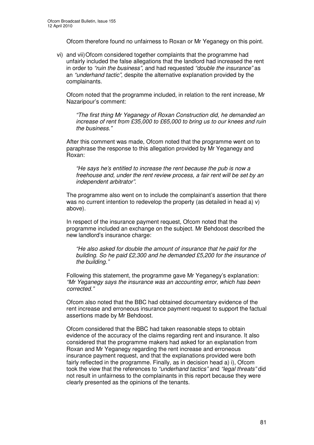Ofcom therefore found no unfairness to Roxan or Mr Yeganegy on this point.

vi) and vii)Ofcom considered together complaints that the programme had unfairly included the false allegations that the landlord had increased the rent in order to *"ruin the business"*, and had requested *"double the insurance"* as an *"underhand tactic",* despite the alternative explanation provided by the complainants.

Ofcom noted that the programme included, in relation to the rent increase, Mr Nazaripour's comment:

*"The first thing Mr Yeganegy of Roxan Construction did, he demanded an increase of rent from £35,000 to £65,000 to bring us to our knees and ruin the business."*

After this comment was made, Ofcom noted that the programme went on to paraphrase the response to this allegation provided by Mr Yeganegy and Roxan:

*"He says he's entitled to increase the rent because the pub is now a freehouse and, under the rent review process, a fair rent will be set by an independent arbitrator".*

The programme also went on to include the complainant's assertion that there was no current intention to redevelop the property (as detailed in head a) v) above).

In respect of the insurance payment request, Ofcom noted that the programme included an exchange on the subject. Mr Behdoost described the new landlord's insurance charge:

*"He also asked for double the amount of insurance that he paid for the building. So he paid £2,300 and he demanded £5,200 for the insurance of the building."*

Following this statement, the programme gave Mr Yeganegy's explanation: *"Mr Yeganegy says the insurance was an accounting error, which has been corrected."*

Ofcom also noted that the BBC had obtained documentary evidence of the rent increase and erroneous insurance payment request to support the factual assertions made by Mr Behdoost.

Ofcom considered that the BBC had taken reasonable steps to obtain evidence of the accuracy of the claims regarding rent and insurance. It also considered that the programme makers had asked for an explanation from Roxan and Mr Yeganegy regarding the rent increase and erroneous insurance payment request, and that the explanations provided were both fairly reflected in the programme. Finally, as in decision head a) i), Ofcom took the view that the references to *"underhand tactics"* and *"legal threats"* did not result in unfairness to the complainants in this report because they were clearly presented as the opinions of the tenants.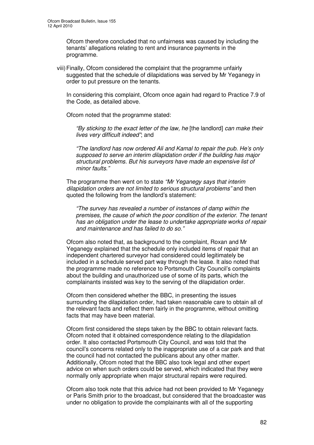Ofcom therefore concluded that no unfairness was caused by including the tenants' allegations relating to rent and insurance payments in the programme.

viii)Finally, Ofcom considered the complaint that the programme unfairly suggested that the schedule of dilapidations was served by Mr Yeganegy in order to put pressure on the tenants.

In considering this complaint, Ofcom once again had regard to Practice 7.9 of the Code, as detailed above.

Ofcom noted that the programme stated:

*"By sticking to the exact letter of the law, he* [the landlord] *can make their lives very difficult indeed"*; and

*"The landlord has now ordered Ali and Kamal to repair the pub. He's only supposed to serve an interim dilapidation order if the building has major structural problems. But his surveyors have made an expensive list of minor faults."*

The programme then went on to state *"Mr Yeganegy says that interim dilapidation orders are not limited to serious structural problems"* and then quoted the following from the landlord's statement:

*"The survey has revealed a number of instances of damp within the premises, the cause of which the poor condition of the exterior. The tenant has an obligation under the lease to undertake appropriate works of repair and maintenance and has failed to do so."*

Ofcom also noted that, as background to the complaint, Roxan and Mr Yeganegy explained that the schedule only included items of repair that an independent chartered surveyor had considered could legitimately be included in a schedule served part way through the lease. It also noted that the programme made no reference to Portsmouth City Council's complaints about the building and unauthorized use of some of its parts, which the complainants insisted was key to the serving of the dilapidation order.

Ofcom then considered whether the BBC, in presenting the issues surrounding the dilapidation order, had taken reasonable care to obtain all of the relevant facts and reflect them fairly in the programme, without omitting facts that may have been material.

Ofcom first considered the steps taken by the BBC to obtain relevant facts. Ofcom noted that it obtained correspondence relating to the dilapidation order. It also contacted Portsmouth City Council, and was told that the council's concerns related only to the inappropriate use of a car park and that the council had not contacted the publicans about any other matter. Additionally, Ofcom noted that the BBC also took legal and other expert advice on when such orders could be served, which indicated that they were normally only appropriate when major structural repairs were required.

Ofcom also took note that this advice had not been provided to Mr Yeganegy or Paris Smith prior to the broadcast, but considered that the broadcaster was under no obligation to provide the complainants with all of the supporting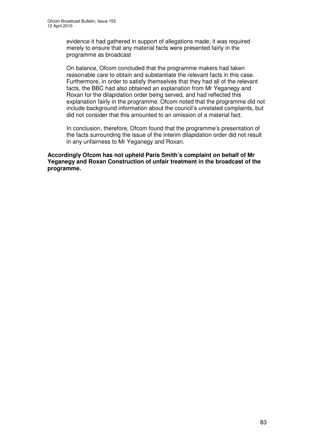evidence it had gathered in support of allegations made; it was required merely to ensure that any material facts were presented fairly in the programme as broadcast

On balance, Ofcom concluded that the programme makers had taken reasonable care to obtain and substantiate the relevant facts in this case. Furthermore, in order to satisfy themselves that they had all of the relevant facts, the BBC had also obtained an explanation from Mr Yeganegy and Roxan for the dilapidation order being served, and had reflected this explanation fairly in the programme. Ofcom noted that the programme did not include background information about the council's unrelated complaints, but did not consider that this amounted to an omission of a material fact.

In conclusion, therefore, Ofcom found that the programme's presentation of the facts surrounding the issue of the interim dilapidation order did not result in any unfairness to Mr Yeganegy and Roxan.

**Accordingly Ofcom has not upheld Paris Smith's complaint on behalf of Mr Yeganegy and Roxan Construction of unfair treatment in the broadcast of the programme.**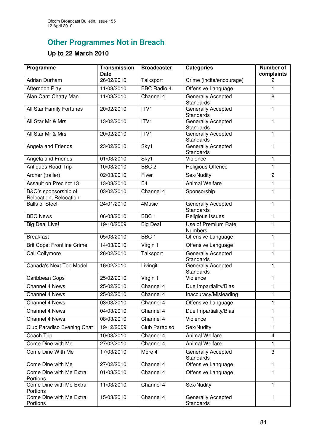## **Other Programmes Not in Breach**

# **Up to 22 March 2010**

| Programme                                      | <b>Transmission</b><br><b>Date</b> | <b>Broadcaster</b> | <b>Categories</b>                             | <b>Number of</b><br>complaints |
|------------------------------------------------|------------------------------------|--------------------|-----------------------------------------------|--------------------------------|
| <b>Adrian Durham</b>                           | 26/02/2010                         | Talksport          | Crime (incite/encourage)                      | 2                              |
| <b>Afternoon Play</b>                          | 11/03/2010                         | <b>BBC Radio 4</b> | Offensive Language                            | 1                              |
| Alan Carr: Chatty Man                          | 11/03/2010                         | Channel 4          | Generally Accepted<br><b>Standards</b>        | 8                              |
| All Star Family Fortunes                       | 20/02/2010                         | ITV1               | Generally Accepted<br><b>Standards</b>        | 1                              |
| All Star Mr & Mrs                              | 13/02/2010                         | ITV <sub>1</sub>   | Generally Accepted<br><b>Standards</b>        | 1                              |
| All Star Mr & Mrs                              | 20/02/2010                         | ITV1               | Generally Accepted<br>Standards               | 1                              |
| Angela and Friends                             | 23/02/2010                         | Sky1               | Generally Accepted<br>Standards               | 1                              |
| Angela and Friends                             | 01/03/2010                         | Sky1               | Violence                                      | $\mathbf{1}$                   |
| <b>Antiques Road Trip</b>                      | 10/03/2010                         | BBC <sub>2</sub>   | <b>Religious Offence</b>                      | $\mathbf{1}$                   |
| Archer (trailer)                               | 02/03/2010                         | Fiver              | Sex/Nudity                                    | $\overline{c}$                 |
| <b>Assault on Precinct 13</b>                  | 13/03/2010                         | E4                 | <b>Animal Welfare</b>                         | 1                              |
| B&Q's sponsorship of<br>Relocation, Relocation | 03/02/2010                         | Channel 4          | Sponsorship                                   | 1                              |
| <b>Balls of Steel</b>                          | 24/01/2010                         | 4Music             | <b>Generally Accepted</b><br><b>Standards</b> | 1                              |
| <b>BBC News</b>                                | 06/03/2010                         | BBC <sub>1</sub>   | Religious Issues                              | 1                              |
| <b>Big Deal Live!</b>                          | 19/10/2009                         | <b>Big Deal</b>    | <b>Use of Premium Rate</b><br><b>Numbers</b>  | 1                              |
| <b>Breakfast</b>                               | 05/03/2010                         | BBC <sub>1</sub>   | Offensive Language                            | 1                              |
| <b>Brit Cops: Frontline Crime</b>              | 14/03/2010                         | Virgin 1           | Offensive Language                            | $\mathbf{1}$                   |
| Call Collymore                                 | 28/02/2010                         | Talksport          | Generally Accepted<br><b>Standards</b>        | $\mathbf{1}$                   |
| Canada's Next Top Model                        | 16/02/2010                         | Livingit           | <b>Generally Accepted</b><br>Standards        | 1                              |
| Caribbean Cops                                 | 25/02/2010                         | Virgin 1           | Violence                                      | $\mathbf{1}$                   |
| <b>Channel 4 News</b>                          | 25/02/2010                         | Channel 4          | Due Impartiality/Bias                         | 1                              |
| Channel 4 News                                 | 25/02/2010                         | Channel 4          | Inaccuracy/Misleading                         | 1                              |
| Channel 4 News                                 | 03/03/2010                         | Channel 4          | Offensive Language                            | 1                              |
| Channel 4 News                                 | 04/03/2010                         | Channel 4          | Due Impartiality/Bias                         | 1                              |
| Channel 4 News                                 | 08/03/2010                         | Channel 4          | Violence                                      | $\mathbf{1}$                   |
| Club Paradiso Evening Chat                     | 19/12/2009                         | Club Paradiso      | Sex/Nudity                                    | 1                              |
| Coach Trip                                     | 10/03/2010                         | Channel 4          | Animal Welfare                                | 4                              |
| Come Dine with Me                              | 27/02/2010                         | Channel 4          | Animal Welfare                                | 1                              |
| Come Dine With Me                              | 17/03/2010                         | More 4             | Generally Accepted<br><b>Standards</b>        | 3                              |
| Come Dine with Me                              | 27/02/2010                         | Channel $4$        | Offensive Language                            | 1                              |
| Come Dine with Me Extra<br>Portions            | 01/03/2010                         | Channel 4          | Offensive Language                            | $\mathbf{1}$                   |
| Come Dine with Me Extra<br>Portions            | 11/03/2010                         | Channel 4          | Sex/Nudity                                    | 1                              |
| Come Dine with Me Extra<br>Portions            | 15/03/2010                         | Channel 4          | Generally Accepted<br>Standards               | 1                              |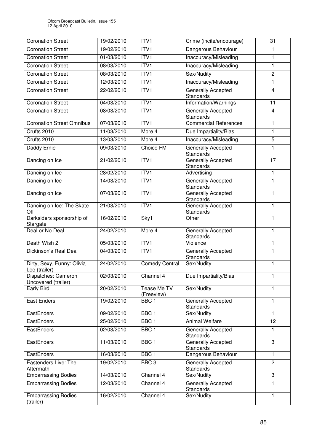| <b>Coronation Street</b>                    | 19/02/2010 | ITV1                      | Crime (incite/encourage)                      | 31             |
|---------------------------------------------|------------|---------------------------|-----------------------------------------------|----------------|
| <b>Coronation Street</b>                    | 19/02/2010 | ITVI                      | Dangerous Behaviour                           | 1              |
| <b>Coronation Street</b>                    | 01/03/2010 | ITVI                      | Inaccuracy/Misleading                         | 1              |
| <b>Coronation Street</b>                    | 08/03/2010 | ITVI                      | Inaccuracy/Misleading                         | 1              |
| <b>Coronation Street</b>                    | 08/03/2010 | ITVI                      | Sex/Nudity                                    | $\overline{2}$ |
| <b>Coronation Street</b>                    | 12/03/2010 | ITVI                      | Inaccuracy/Misleading                         | 1              |
| <b>Coronation Street</b>                    | 22/02/2010 | ITV1                      | Generally Accepted<br><b>Standards</b>        | 4              |
| <b>Coronation Street</b>                    | 04/03/2010 | ITVI                      | Information/Warnings                          | 11             |
| <b>Coronation Street</b>                    | 08/03/2010 | ITVI                      | Generally Accepted<br><b>Standards</b>        | 4              |
| <b>Coronation Street Omnibus</b>            | 07/03/2010 | ITV1                      | <b>Commercial References</b>                  | 1              |
| Crufts 2010                                 | 11/03/2010 | More 4                    | Due Impartiality/Bias                         | $\mathbf{1}$   |
| Crufts 2010                                 | 13/03/2010 | More 4                    | Inaccuracy/Misleading                         | 5              |
| Daddy Ernie                                 | 09/03/2010 | <b>Choice FM</b>          | <b>Generally Accepted</b><br>Standards        | 1              |
| Dancing on Ice                              | 21/02/2010 | ITVI                      | <b>Generally Accepted</b><br><b>Standards</b> | 17             |
| Dancing on Ice                              | 28/02/2010 | ITVI                      | Advertising                                   | $\mathbf{1}$   |
| Dancing on Ice                              | 14/03/2010 | ITV1                      | Generally Accepted<br><b>Standards</b>        | 1              |
| Dancing on Ice                              | 07/03/2010 | ITVI                      | Generally Accepted<br><b>Standards</b>        | 1              |
| Dancing on Ice: The Skate<br>Off            | 21/03/2010 | ITV1                      | Generally Accepted<br>Standards               | 1              |
| Darksiders sponsorship of<br>Stargate       | 16/02/2010 | Sky1                      | Other                                         | 1              |
| Deal or No Deal                             | 24/02/2010 | More 4                    | Generally Accepted<br><b>Standards</b>        | 1              |
| Death Wish 2                                | 05/03/2010 | ITV1                      | Violence                                      | $\mathbf{1}$   |
| Dickinson's Real Deal                       | 04/03/2010 | ITVI                      | Generally Accepted<br><b>Standards</b>        | $\mathbf{1}$   |
| Dirty, Sexy, Funny: Olivia<br>Lee (trailer) | 24/02/2010 | <b>Comedy Central</b>     | Sex/Nudity                                    | 1              |
| Dispatches: Cameron<br>Uncovered (trailer)  | 02/03/2010 | Channel 4                 | Due Impartiality/Bias                         | 1              |
| Early Bird                                  | 20/02/2010 | Tease Me TV<br>(Freeview) | Sex/Nudity                                    | 1              |
| <b>East Enders</b>                          | 19/02/2010 | BBC <sub>1</sub>          | Generally Accepted<br><b>Standards</b>        | 1              |
| EastEnders                                  | 09/02/2010 | BBC <sub>1</sub>          | Sex/Nudity                                    | 1              |
| EastEnders                                  | 25/02/2010 | BBC <sub>1</sub>          | Animal Welfare                                | 12             |
| EastEnders                                  | 02/03/2010 | BBC <sub>1</sub>          | <b>Generally Accepted</b><br><b>Standards</b> | 1              |
| EastEnders                                  | 11/03/2010 | BBC <sub>1</sub>          | Generally Accepted<br><b>Standards</b>        | 3              |
| EastEnders                                  | 16/03/2010 | BBC <sub>1</sub>          | Dangerous Behaviour                           | 1              |
| Eastenders Live: The<br>Aftermath           | 19/02/2010 | BBC <sub>3</sub>          | <b>Generally Accepted</b><br><b>Standards</b> | $\overline{2}$ |
| <b>Embarrassing Bodies</b>                  | 14/03/2010 | Channel 4                 | Sex/Nudity                                    | 3              |
| <b>Embarrassing Bodies</b>                  | 12/03/2010 | Channel 4                 | <b>Generally Accepted</b><br><b>Standards</b> | 1              |
| <b>Embarrassing Bodies</b><br>(trailer)     | 16/02/2010 | Channel $4$               | Sex/Nudity                                    | 1              |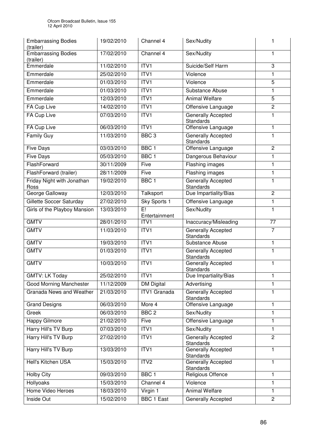| <b>Embarrassing Bodies</b><br>(trailer) | 19/02/2010               | Channel 4                     | Sex/Nudity                                    | 1                   |
|-----------------------------------------|--------------------------|-------------------------------|-----------------------------------------------|---------------------|
| <b>Embarrassing Bodies</b><br>(trailer) | 17/02/2010               | Channel 4                     | Sex/Nudity                                    | 1                   |
| Emmerdale                               | 11/02/2010               | ITVI                          | Suicide/Self Harm                             | 3                   |
| Emmerdale                               | 25/02/2010               | ITVI                          | Violence                                      | 1                   |
| Emmerdale                               | 01/03/2010               | ITV1                          | Violence                                      | 5                   |
| Emmerdale                               | 01/03/2010               | ITVI                          | Substance Abuse                               | 1                   |
| Emmerdale                               | 12/03/2010               | ITVI                          | <b>Animal Welfare</b>                         | 5                   |
| FA Cup Live                             | 14/02/2010               | ITV1                          | Offensive Language                            | $\overline{c}$      |
| FA Cup Live                             | 07/03/2010               | ITVI                          | Generally Accepted<br>Standards               | 1                   |
| FA Cup Live                             | 06/03/2010               | ITVI                          | Offensive Language                            | 1                   |
| <b>Family Guy</b>                       | 11/03/2010               | BBC <sub>3</sub>              | <b>Generally Accepted</b><br><b>Standards</b> | 1                   |
| <b>Five Days</b>                        | 03/03/2010               | BBC <sub>1</sub>              | Offensive Language                            | $\overline{2}$      |
| <b>Five Days</b>                        | 05/03/2010               | BBC <sub>1</sub>              | Dangerous Behaviour                           | 1                   |
| FlashForward                            | 30/11/2009               | Five                          | Flashing images                               | 1                   |
| FlashForward (trailer)                  | 28/11/2009               | Five                          | <b>Flashing images</b>                        | 1                   |
| Friday Night with Jonathan<br>Ross      | 19/02/2010               | BBC <sub>1</sub>              | Generally Accepted<br><b>Standards</b>        | 1                   |
| George Galloway                         | 12/03/2010               | Talksport                     | Due Impartiality/Bias                         | $\overline{c}$      |
| Gillette Soccer Saturday                | 27/02/2010               | Sky Sports 1                  | Offensive Language                            | $\mathbf{1}$        |
| Girls of the Playboy Mansion            | 13/03/2010               | E!<br>Entertainment           | Sex/Nudity                                    | $\mathbf{1}$        |
|                                         |                          |                               |                                               |                     |
| <b>GMTV</b>                             | 28/01/2010               | ITV1                          | Inaccuracy/Misleading                         | 77                  |
| <b>GMTV</b>                             | 11/03/2010               | ITV1                          | Generally Accepted<br>Standards               | 7                   |
| <b>GMTV</b>                             | 19/03/2010               | ITVI                          | Substance Abuse                               | 1                   |
| <b>GMTV</b>                             | 01/03/2010               | ITV1                          | Generally Accepted<br><b>Standards</b>        | 1                   |
| <b>GMTV</b>                             | 10/03/2010               | ITVI                          | Generally Accepted<br>Standards               | 1                   |
| <b>GMTV: LK Today</b>                   | 25/02/2010               | ITV <sub>1</sub>              | Due Impartiality/Bias                         | 1                   |
| <b>Good Morning Manchester</b>          | 11/12/2009               | <b>DM Digital</b>             | Advertising                                   |                     |
| Granada News and Weather                | 21/03/2010               | <b>ITV1 Granada</b>           | Generally Accepted<br><b>Standards</b>        | 1                   |
| <b>Grand Designs</b>                    | 06/03/2010               | More 4                        | Offensive Language                            | 1                   |
| Greek                                   | 06/03/2010               | BBC <sub>2</sub>              | Sex/Nudity                                    | 1                   |
| <b>Happy Gilmore</b>                    | 21/02/2010               | Five                          | Offensive Language                            | 1                   |
| Harry Hill's TV Burp                    | 07/03/2010               | ITV1                          | Sex/Nudity                                    | 1                   |
| Harry Hill's TV Burp                    | 27/02/2010               | ITVI                          | <b>Generally Accepted</b><br><b>Standards</b> | $\overline{2}$      |
| Harry Hill's TV Burp                    | 13/03/2010               | ITVI                          | Generally Accepted<br><b>Standards</b>        | 1                   |
| Hell's Kitchen USA                      | 15/03/2010               | ITV2                          | Generally Accepted<br>Standards               | 1                   |
| <b>Holby City</b>                       | 09/03/2010               | BBC <sub>1</sub>              | Religious Offence                             | 1                   |
| Hollyoaks                               | 15/03/2010               | Channel 4                     | Violence                                      | 1                   |
| Home Video Heroes                       | 18/03/2010<br>15/02/2010 | Virgin 1<br><b>BBC 1 East</b> | <b>Animal Welfare</b>                         | 1<br>$\overline{c}$ |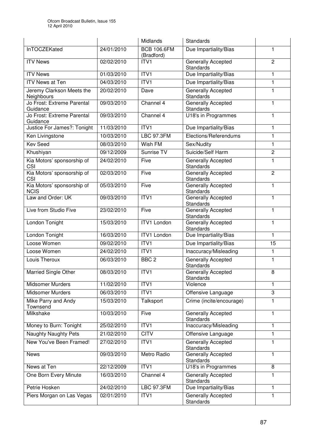|                                           |            | Midlands                         | <b>Standards</b>                              |                |
|-------------------------------------------|------------|----------------------------------|-----------------------------------------------|----------------|
| InTOCZEKated                              | 24/01/2010 | <b>BCB 106.6FM</b><br>(Bradford) | Due Impartiality/Bias                         | 1              |
| <b>ITV News</b>                           | 02/02/2010 | ITV1                             | Generally Accepted<br><b>Standards</b>        | $\overline{2}$ |
| <b>ITV News</b>                           | 01/03/2010 | ITVI                             | Due Impartiality/Bias                         | 1              |
| <b>ITV News at Ten</b>                    | 04/03/2010 | ITV1                             | Due Impartiality/Bias                         | 1              |
| Jeremy Clarkson Meets the<br>Neighbours   | 20/02/2010 | Dave                             | <b>Generally Accepted</b><br>Standards        | 1              |
| Jo Frost: Extreme Parental<br>Guidance    | 09/03/2010 | Channel 4                        | <b>Generally Accepted</b><br>Standards        | 1              |
| Jo Frost: Extreme Parental<br>Guidance    | 09/03/2010 | Channel 4                        | U18's in Programmes                           | 1              |
| Justice For James?: Tonight               | 11/03/2010 | ITVI                             | Due Impartiality/Bias                         | 1              |
| Ken Livingstone                           | 10/03/2010 | <b>LBC 97.3FM</b>                | Elections/Referendums                         | 1              |
| <b>Kev Seed</b>                           | 08/03/2010 | Wish FM                          | Sex/Nudity                                    | 1              |
| Khushiyan                                 | 09/12/2009 | Sunrise TV                       | Suicide/Self Harm                             | $\overline{2}$ |
| Kia Motors' sponsorship of<br>CSI         | 24/02/2010 | Five                             | Generally Accepted<br><b>Standards</b>        | 1              |
| Kia Motors' sponsorship of<br>CSI         | 02/03/2010 | Five                             | <b>Generally Accepted</b><br><b>Standards</b> | $\overline{2}$ |
| Kia Motors' sponsorship of<br><b>NCIS</b> | 05/03/2010 | Five                             | <b>Generally Accepted</b><br>Standards        | 1              |
| Law and Order: UK                         | 09/03/2010 | ITV1                             | <b>Generally Accepted</b><br>Standards        | 1              |
| Live from Studio Five                     | 23/02/2010 | Five                             | <b>Generally Accepted</b><br>Standards        | 1              |
| London Tonight                            | 15/03/2010 | <b>ITV1 London</b>               | <b>Generally Accepted</b><br>Standards        | 1              |
| London Tonight                            | 16/03/2010 | <b>ITV1 London</b>               | Due Impartiality/Bias                         | 1              |
| Loose Women                               | 09/02/2010 | ITV1                             | Due Impartiality/Bias                         | 15             |
| Loose Women                               | 24/02/2010 | ITV <sub>1</sub>                 | Inaccuracy/Misleading                         | 1              |
| Louis Theroux                             | 06/03/2010 | BBC <sub>2</sub>                 | Generally Accepted<br><b>Standards</b>        | 1              |
| Married Single Other                      | 08/03/2010 | ITV1                             | Generally Accepted<br>Standards               | 8              |
| <b>Midsomer Murders</b>                   | 11/02/2010 | ITV1                             | Violence                                      | 1              |
| <b>Midsomer Murders</b>                   | 06/03/2010 | ITV1                             | Offensive Language                            | 3              |
| Mike Parry and Andy<br>Townsend           | 15/03/2010 | Talksport                        | Crime (incite/encourage)                      | 1              |
| Milkshake                                 | 10/03/2010 | Five                             | Generally Accepted<br><b>Standards</b>        | 1              |
| Money to Burn: Tonight                    | 25/02/2010 | ITV1                             | Inaccuracy/Misleading                         | 1              |
| <b>Naughty Naughty Pets</b>               | 21/02/2010 | <b>CITV</b>                      | Offensive Language                            | 1              |
| New You've Been Framed!                   | 27/02/2010 | ITV1                             | <b>Generally Accepted</b><br><b>Standards</b> | 1              |
| <b>News</b>                               | 09/03/2010 | Metro Radio                      | <b>Generally Accepted</b><br><b>Standards</b> | 1              |
| News at Ten                               | 22/12/2009 | ITV1                             | U18's in Programmes                           | 8              |
| One Born Every Minute                     | 16/03/2010 | Channel 4                        | Generally Accepted<br><b>Standards</b>        | 1              |
| Petrie Hosken                             | 24/02/2010 | <b>LBC 97.3FM</b>                | Due Impartiality/Bias                         | 1              |
| Piers Morgan on Las Vegas                 | 02/01/2010 | ITV1                             | Generally Accepted<br><b>Standards</b>        | 1              |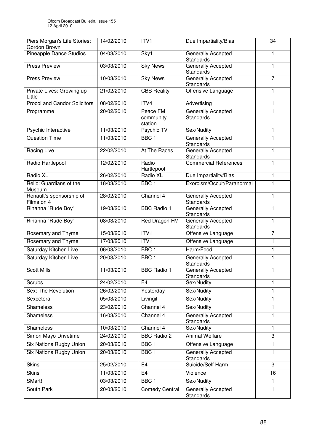| Piers Morgan's Life Stories:<br>Gordon Brown | 14/02/2010 | ITV <sub>1</sub>                 | Due Impartiality/Bias                         | 34             |
|----------------------------------------------|------------|----------------------------------|-----------------------------------------------|----------------|
| <b>Pineapple Dance Studios</b>               | 04/03/2010 | Sky1                             | Generally Accepted<br>Standards               | 1              |
| <b>Press Preview</b>                         | 03/03/2010 | <b>Sky News</b>                  | Generally Accepted<br>Standards               | 1              |
| <b>Press Preview</b>                         | 10/03/2010 | <b>Sky News</b>                  | Generally Accepted<br>Standards               | 7              |
| Private Lives: Growing up<br>Little          | 21/02/2010 | <b>CBS Reality</b>               | Offensive Language                            | 1              |
| <b>Procol and Candor Solicitors</b>          | 08/02/2010 | ITV4                             | Advertising                                   | 1              |
| Programme                                    | 20/02/2010 | Peace FM<br>community<br>station | <b>Generally Accepted</b><br><b>Standards</b> | $\mathbf{1}$   |
| Psychic Interactive                          | 11/03/2010 | Psychic TV                       | Sex/Nudity                                    | 1              |
| <b>Question Time</b>                         | 11/03/2010 | BBC <sub>1</sub>                 | Generally Accepted<br><b>Standards</b>        | 1              |
| Racing Live                                  | 22/02/2010 | At The Races                     | Generally Accepted<br>Standards               | $\mathbf{1}$   |
| Radio Hartlepool                             | 12/02/2010 | Radio<br>Hartlepool              | <b>Commercial References</b>                  | $\mathbf{1}$   |
| Radio XL                                     | 26/02/2010 | Radio XL                         | Due Impartiality/Bias                         | 1              |
| Relic: Guardians of the<br>Museum            | 18/03/2010 | BBC <sub>1</sub>                 | Exorcism/Occult/Paranormal                    | $\mathbf{1}$   |
| Renault's sponsorship of<br>Films on 4       | 28/02/2010 | Channel 4                        | Generally Accepted<br><b>Standards</b>        | 1              |
| Rihanna "Rude Boy"                           | 19/03/2010 | <b>BBC Radio 1</b>               | Generally Accepted<br>Standards               | 1              |
| Rihanna "Rude Boy"                           | 08/03/2010 | Red Dragon FM                    | Generally Accepted<br>Standards               | $\mathbf{1}$   |
| Rosemary and Thyme                           | 15/03/2010 | ITV <sub>1</sub>                 | Offensive Language                            | $\overline{7}$ |
| Rosemary and Thyme                           | 17/03/2010 | ITV1                             | Offensive Language                            | $\mathbf{1}$   |
| Saturday Kitchen Live                        | 06/03/2010 | BBC <sub>1</sub>                 | Harm/Food                                     | 1              |
| Saturday Kitchen Live                        | 20/03/2010 | BBC <sub>1</sub>                 | <b>Generally Accepted</b><br>Standards        | $\mathbf{1}$   |
| <b>Scott Mills</b>                           | 11/03/2010 | <b>BBC Radio 1</b>               | Generally Accepted<br>Standards               | 1              |
| Scrubs                                       | 24/02/2010 | E <sub>4</sub>                   | Sex/Nudity                                    | 1              |
| Sex: The Revolution                          | 26/02/2010 | Yesterday                        | Sex/Nudity                                    | 1              |
| Sexcetera                                    | 05/03/2010 | Livingit                         | Sex/Nudity                                    | $\mathbf{1}$   |
| <b>Shameless</b>                             | 23/02/2010 | Channel 4                        | Sex/Nudity                                    | $\mathbf{1}$   |
| <b>Shameless</b>                             | 16/03/2010 | Channel 4                        | <b>Generally Accepted</b><br>Standards        | 1              |
| <b>Shameless</b>                             | 10/03/2010 | Channel 4                        | Sex/Nudity                                    | $\mathbf{1}$   |
| Simon Mayo Drivetime                         | 24/02/2010 | <b>BBC Radio 2</b>               | <b>Animal Welfare</b>                         | 3              |
| <b>Six Nations Rugby Union</b>               | 20/03/2010 | BBC 1                            | Offensive Language                            | 1              |
| Six Nations Rugby Union                      | 20/03/2010 | BBC <sub>1</sub>                 | Generally Accepted<br>Standards               | 1              |
| <b>Skins</b>                                 | 25/02/2010 | E4                               | Suicide/Self Harm                             | 3              |
| <b>Skins</b>                                 | 11/03/2010 | E <sub>4</sub>                   | Violence                                      | 16             |
| SMart!                                       | 03/03/2010 | BBC <sub>1</sub>                 | Sex/Nudity                                    | 1              |
| South Park                                   | 20/03/2010 | <b>Comedy Central</b>            | Generally Accepted<br>Standards               | 1              |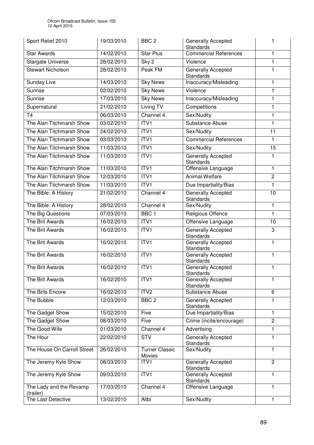| Sport Relief 2010                    | 19/03/2010 | BBC <sub>2</sub>                | Generally Accepted<br><b>Standards</b>        | 1              |
|--------------------------------------|------------|---------------------------------|-----------------------------------------------|----------------|
| <b>Star Awards</b>                   | 14/02/2010 | <b>Star Plus</b>                | <b>Commercial References</b>                  | 1              |
| <b>Stargate Universe</b>             | 28/02/2010 | Sky 2                           | Violence                                      | $\mathbf{1}$   |
| <b>Stewart Nicholson</b>             | 28/02/2010 | Peak FM                         | Generally Accepted<br>Standards               | $\mathbf{1}$   |
| <b>Sunday Live</b>                   | 14/03/2010 | <b>Sky News</b>                 | Inaccuracy/Misleading                         | 1              |
| Sunrise                              | 02/02/2010 | <b>Sky News</b>                 | Violence                                      | 1              |
| Sunrise                              | 17/03/2010 | <b>Sky News</b>                 | Inaccuracy/Misleading                         | 1              |
| Supernatural                         | 21/02/2010 | Living $T\overline{V}$          | Competitions                                  | $\mathbf{1}$   |
| $\overline{14}$                      | 06/03/2010 | Channel 4                       | Sex/Nudity                                    | $\mathbf{1}$   |
| The Alan Titchmarsh Show             | 03/02/2010 | ITV1                            | Substance Abuse                               | $\mathbf{1}$   |
| The Alan Titchmarsh Show             | 24/02/2010 | ITVI                            | Sex/Nudity                                    | 11             |
| The Alan Titchmarsh Show             | 03/03/2010 | ITVI                            | <b>Commercial References</b>                  | 1              |
| The Alan Titchmarsh Show             | 11/03/2010 | ITV <sub>1</sub>                | Sex/Nudity                                    | 15             |
| The Alan Titchmarsh Show             | 11/03/2010 | ITV1                            | Generally Accepted<br>Standards               | 1              |
| The Alan Titchmarsh Show             | 11/03/2010 | ITVI                            | Offensive Language                            | $\mathbf{1}$   |
| The Alan Titchmarsh Show             | 12/03/2010 | ITV1                            | <b>Animal Welfare</b>                         | $\overline{c}$ |
| The Alan Titchmarsh Show             | 11/03/2010 | ITVI                            | Due Impartiality/Bias                         | 1              |
| The Bible: A History                 | 21/02/2010 | Channel 4                       | Generally Accepted<br>Standards               | 10             |
| The Bible: A History                 | 28/02/2010 | Channel 4                       | Sex/Nudity                                    | 1              |
| The Big Questions                    | 07/03/2010 | BBC <sub>1</sub>                | Religious Offence                             | $\mathbf{1}$   |
| The Brit Awards                      | 16/02/2010 | ITVI                            | Offensive Language                            | 10             |
| The Brit Awards                      | 16/02/2010 | ITVI                            | Generally Accepted<br>Standards               | 3              |
| The Brit Awards                      | 16/02/2010 | ITV <sub>1</sub>                | <b>Generally Accepted</b><br>Standards        | 1              |
| The Brit Awards                      | 16/02/2010 | ITV1                            | Generally Accepted<br>Standards               | 1              |
| The Brit Awards                      | 16/02/2010 | ITVI                            | Generally Accepted<br>Standards               | 1              |
| The Brit Awards                      | 16/02/2010 | ITV1                            | <b>Generally Accepted</b><br>Standards        | $\mathbf{1}$   |
| The Brits Encore                     | 16/02/2010 | ITV <sub>2</sub>                | Substance Abuse                               | 6              |
| The Bubble                           | 12/03/2010 | BBC <sub>2</sub>                | Generally Accepted<br><b>Standards</b>        | 1              |
| The Gadget Show                      | 15/02/2010 | Five                            | Due Impartiality/Bias                         | 1              |
| The Gadget Show                      | 08/03/2010 | Five                            | Crime (incite/encourage)                      | $\overline{2}$ |
| The Good Wife                        | 01/03/2010 | Channel 4                       | Advertising                                   | 1              |
| The Hour                             | 22/02/2010 | STV                             | <b>Generally Accepted</b><br><b>Standards</b> | 1              |
| The House On Carroll Street          | 26/02/2010 | <b>Turner Classic</b><br>Movies | Sex/Nudity                                    | 1              |
| The Jeremy Kyle Show                 | 08/03/2010 | ITV1                            | Generally Accepted<br>Standards               | $\overline{2}$ |
| The Jeremy Kyle Show                 | 09/03/2010 | ITV1                            | Generally Accepted<br>Standards               | 1              |
| The Lady and the Revamp<br>(trailer) | 17/03/2010 | Channel 4                       | Offensive Language                            | 1              |
| The Last Detective                   | 13/02/2010 | Alibi                           | Sex/Nudity                                    | 1              |